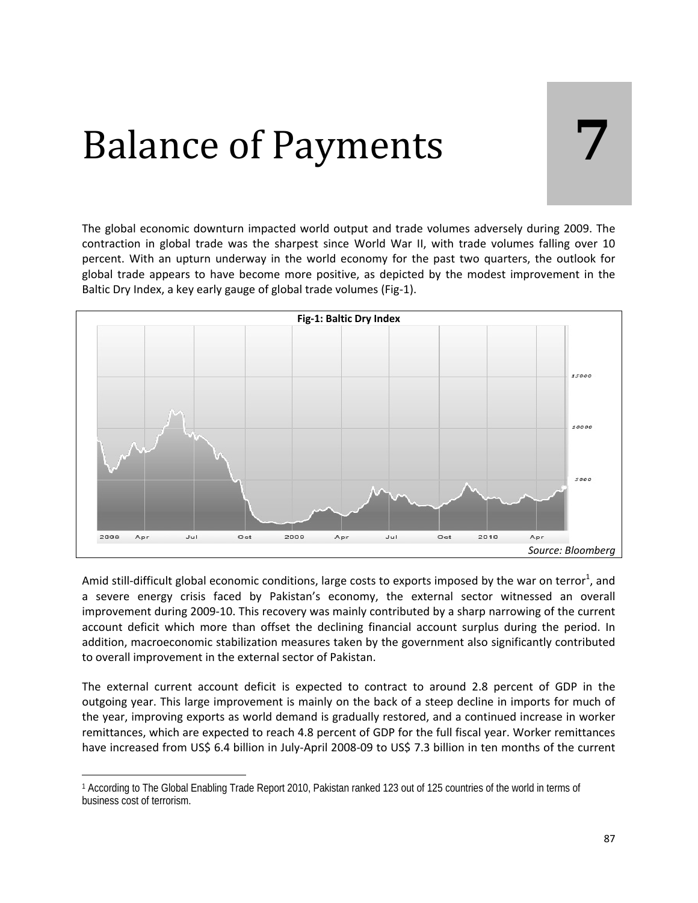# Balance of Payments **7**

The global economic downturn impacted world output and trade volumes adversely during 2009. The contraction in global trade was the sharpest since World War II, with trade volumes falling over 10 percent. With an upturn underway in the world economy for the past two quarters, the outlook for global trade appears to have become more positive, as depicted by the modest improvement in the Baltic Dry Index, a key early gauge of global trade volumes (Fig‐1).



Amid still-difficult global economic conditions, large costs to exports imposed by the war on terror<sup>1</sup>, and a severe energy crisis faced by Pakistan's economy, the external sector witnessed an overall improvement during 2009‐10. This recovery was mainly contributed by a sharp narrowing of the current account deficit which more than offset the declining financial account surplus during the period. In addition, macroeconomic stabilization measures taken by the government also significantly contributed to overall improvement in the external sector of Pakistan.

The external current account deficit is expected to contract to around 2.8 percent of GDP in the outgoing year. This large improvement is mainly on the back of a steep decline in imports for much of the year, improving exports as world demand is gradually restored, and a continued increase in worker remittances, which are expected to reach 4.8 percent of GDP for the full fiscal year. Worker remittances have increased from US\$ 6.4 billion in July‐April 2008‐09 to US\$ 7.3 billion in ten months of the current

<sup>1</sup> According to The Global Enabling Trade Report 2010, Pakistan ranked 123 out of 125 countries of the world in terms of business cost of terrorism.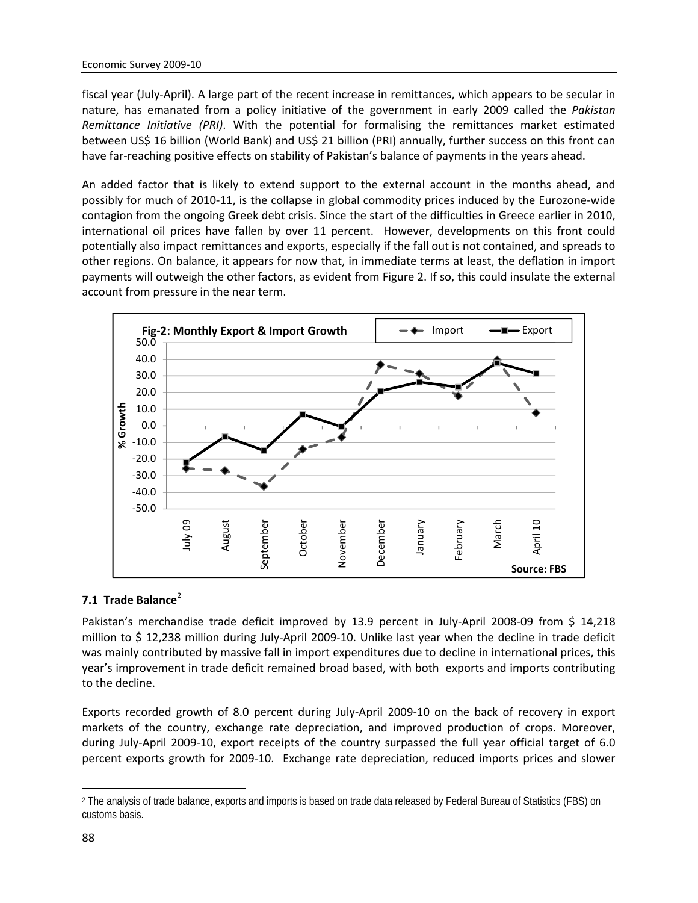fiscal year (July‐April). A large part of the recent increase in remittances, which appears to be secular in nature, has emanated from a policy initiative of the government in early 2009 called the *Pakistan Remittance Initiative (PRI)*. With the potential for formalising the remittances market estimated between US\$ 16 billion (World Bank) and US\$ 21 billion (PRI) annually, further success on this front can have far-reaching positive effects on stability of Pakistan's balance of payments in the years ahead.

An added factor that is likely to extend support to the external account in the months ahead, and possibly for much of 2010‐11, is the collapse in global commodity prices induced by the Eurozone‐wide contagion from the ongoing Greek debt crisis. Since the start of the difficulties in Greece earlier in 2010, international oil prices have fallen by over 11 percent. However, developments on this front could potentially also impact remittances and exports, especially if the fall out is not contained, and spreads to other regions. On balance, it appears for now that, in immediate terms at least, the deflation in import payments will outweigh the other factors, as evident from Figure 2. If so, this could insulate the external account from pressure in the near term.



#### **7.1 Trade Balance**<sup>2</sup>

Pakistan's merchandise trade deficit improved by 13.9 percent in July-April 2008-09 from \$ 14,218 million to \$ 12,238 million during July‐April 2009‐10. Unlike last year when the decline in trade deficit was mainly contributed by massive fall in import expenditures due to decline in international prices, this year's improvement in trade deficit remained broad based, with both exports and imports contributing to the decline.

Exports recorded growth of 8.0 percent during July‐April 2009‐10 on the back of recovery in export markets of the country, exchange rate depreciation, and improved production of crops. Moreover, during July‐April 2009‐10, export receipts of the country surpassed the full year official target of 6.0 percent exports growth for 2009-10. Exchange rate depreciation, reduced imports prices and slower

<sup>2</sup> The analysis of trade balance, exports and imports is based on trade data released by Federal Bureau of Statistics (FBS) on customs basis.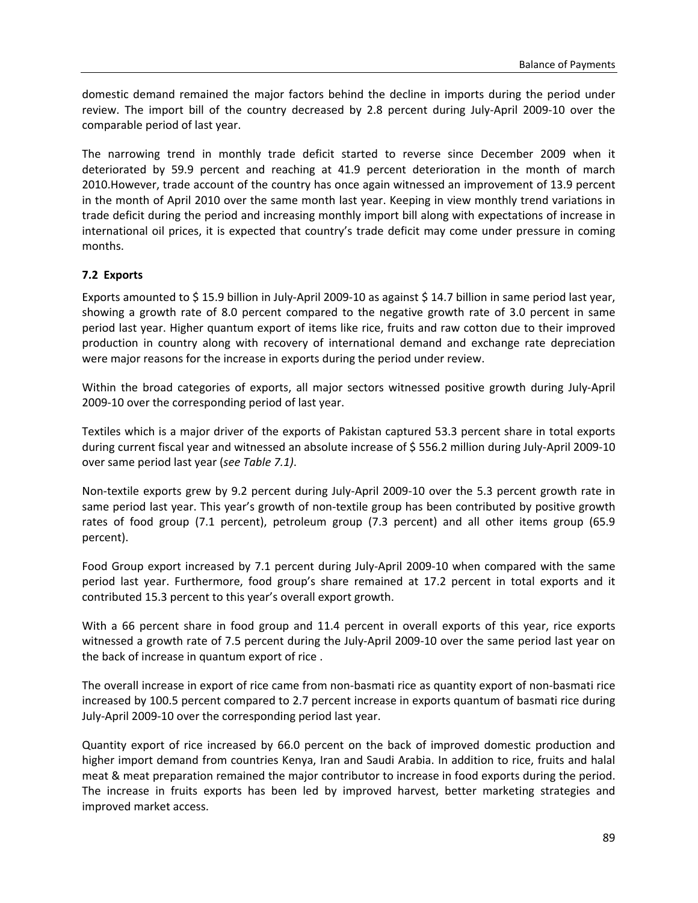domestic demand remained the major factors behind the decline in imports during the period under review. The import bill of the country decreased by 2.8 percent during July‐April 2009‐10 over the comparable period of last year.

The narrowing trend in monthly trade deficit started to reverse since December 2009 when it deteriorated by 59.9 percent and reaching at 41.9 percent deterioration in the month of march 2010.However, trade account of the country has once again witnessed an improvement of 13.9 percent in the month of April 2010 over the same month last year. Keeping in view monthly trend variations in trade deficit during the period and increasing monthly import bill along with expectations of increase in international oil prices, it is expected that country's trade deficit may come under pressure in coming months.

#### **7.2 Exports**

Exports amounted to \$ 15.9 billion in July‐April 2009‐10 as against \$ 14.7 billion in same period last year, showing a growth rate of 8.0 percent compared to the negative growth rate of 3.0 percent in same period last year. Higher quantum export of items like rice, fruits and raw cotton due to their improved production in country along with recovery of international demand and exchange rate depreciation were major reasons for the increase in exports during the period under review.

Within the broad categories of exports, all major sectors witnessed positive growth during July‐April 2009‐10 over the corresponding period of last year.

Textiles which is a major driver of the exports of Pakistan captured 53.3 percent share in total exports during current fiscal year and witnessed an absolute increase of \$ 556.2 million during July‐April 2009‐10 over same period last year (*see Table 7.1)*.

Non‐textile exports grew by 9.2 percent during July‐April 2009‐10 over the 5.3 percent growth rate in same period last year. This year's growth of non-textile group has been contributed by positive growth rates of food group (7.1 percent), petroleum group (7.3 percent) and all other items group (65.9 percent).

Food Group export increased by 7.1 percent during July‐April 2009‐10 when compared with the same period last year. Furthermore, food group's share remained at 17.2 percent in total exports and it contributed 15.3 percent to this year's overall export growth.

With a 66 percent share in food group and 11.4 percent in overall exports of this year, rice exports witnessed a growth rate of 7.5 percent during the July‐April 2009‐10 over the same period last year on the back of increase in quantum export of rice .

The overall increase in export of rice came from non‐basmati rice as quantity export of non‐basmati rice increased by 100.5 percent compared to 2.7 percent increase in exports quantum of basmati rice during July‐April 2009‐10 over the corresponding period last year.

Quantity export of rice increased by 66.0 percent on the back of improved domestic production and higher import demand from countries Kenya, Iran and Saudi Arabia. In addition to rice, fruits and halal meat & meat preparation remained the major contributor to increase in food exports during the period. The increase in fruits exports has been led by improved harvest, better marketing strategies and improved market access.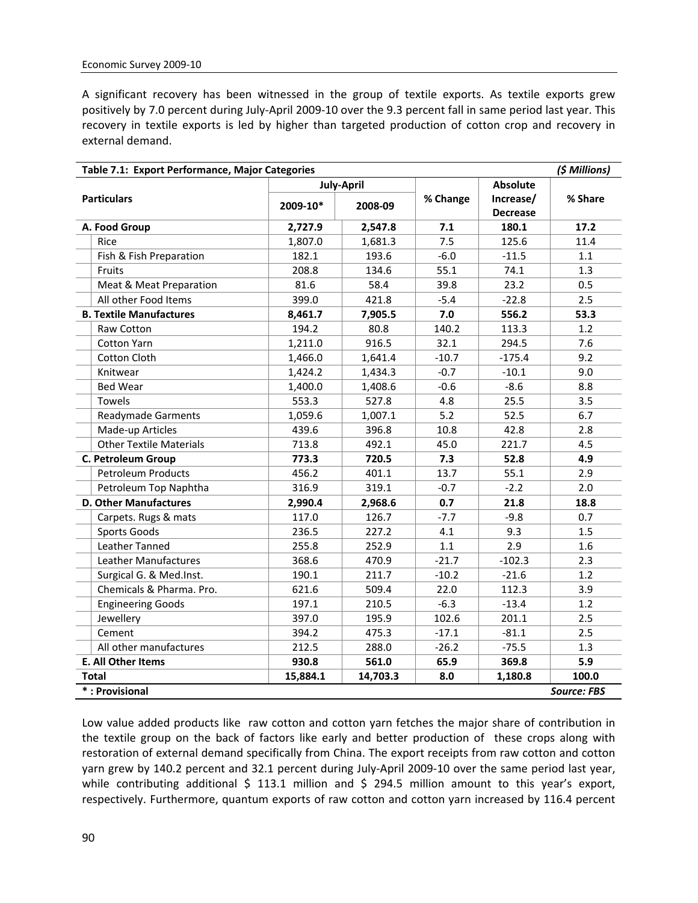A significant recovery has been witnessed in the group of textile exports. As textile exports grew positively by 7.0 percent during July‐April 2009‐10 over the 9.3 percent fall in same period last year. This recovery in textile exports is led by higher than targeted production of cotton crop and recovery in external demand.

| (\$ Millions)<br>Table 7.1: Export Performance, Major Categories |          |                   |          |                 |                    |  |  |
|------------------------------------------------------------------|----------|-------------------|----------|-----------------|--------------------|--|--|
|                                                                  |          | <b>July-April</b> |          | <b>Absolute</b> |                    |  |  |
| <b>Particulars</b>                                               | 2009-10* |                   | % Change | Increase/       | % Share            |  |  |
|                                                                  |          | 2008-09           |          | <b>Decrease</b> |                    |  |  |
| A. Food Group                                                    | 2,727.9  | 2,547.8           | 7.1      | 180.1           | 17.2               |  |  |
| Rice                                                             | 1,807.0  | 1,681.3           | 7.5      | 125.6           | 11.4               |  |  |
| Fish & Fish Preparation                                          | 182.1    | 193.6             | $-6.0$   | $-11.5$         | 1.1                |  |  |
| Fruits                                                           | 208.8    | 134.6             | 55.1     | 74.1            | 1.3                |  |  |
| Meat & Meat Preparation                                          | 81.6     | 58.4              | 39.8     | 23.2            | 0.5                |  |  |
| All other Food Items                                             | 399.0    | 421.8             | $-5.4$   | $-22.8$         | 2.5                |  |  |
| <b>B. Textile Manufactures</b>                                   | 8,461.7  | 7,905.5           | 7.0      | 556.2           | 53.3               |  |  |
| Raw Cotton                                                       | 194.2    | 80.8              | 140.2    | 113.3           | 1.2                |  |  |
| <b>Cotton Yarn</b>                                               | 1,211.0  | 916.5             | 32.1     | 294.5           | 7.6                |  |  |
| <b>Cotton Cloth</b>                                              | 1,466.0  | 1,641.4           | $-10.7$  | $-175.4$        | 9.2                |  |  |
| Knitwear                                                         | 1,424.2  | 1,434.3           | $-0.7$   | $-10.1$         | 9.0                |  |  |
| <b>Bed Wear</b>                                                  | 1,400.0  | 1,408.6           | $-0.6$   | $-8.6$          | 8.8                |  |  |
| Towels                                                           | 553.3    | 527.8             | 4.8      | 25.5            | 3.5                |  |  |
| <b>Readymade Garments</b>                                        | 1,059.6  | 1,007.1           | 5.2      | 52.5            | 6.7                |  |  |
| Made-up Articles                                                 | 439.6    | 396.8             | 10.8     | 42.8            | 2.8                |  |  |
| <b>Other Textile Materials</b>                                   | 713.8    | 492.1             | 45.0     | 221.7           | 4.5                |  |  |
| C. Petroleum Group                                               | 773.3    | 720.5             | 7.3      | 52.8            | 4.9                |  |  |
| <b>Petroleum Products</b>                                        | 456.2    | 401.1             | 13.7     | 55.1            | 2.9                |  |  |
| Petroleum Top Naphtha                                            | 316.9    | 319.1             | $-0.7$   | $-2.2$          | 2.0                |  |  |
| <b>D. Other Manufactures</b>                                     | 2,990.4  | 2,968.6           | 0.7      | 21.8            | 18.8               |  |  |
| Carpets. Rugs & mats                                             | 117.0    | 126.7             | $-7.7$   | $-9.8$          | 0.7                |  |  |
| Sports Goods                                                     | 236.5    | 227.2             | 4.1      | 9.3             | 1.5                |  |  |
| Leather Tanned                                                   | 255.8    | 252.9             | 1.1      | 2.9             | 1.6                |  |  |
| Leather Manufactures                                             | 368.6    | 470.9             | $-21.7$  | $-102.3$        | 2.3                |  |  |
| Surgical G. & Med.Inst.                                          | 190.1    | 211.7             | $-10.2$  | $-21.6$         | 1.2                |  |  |
| Chemicals & Pharma. Pro.                                         | 621.6    | 509.4             | 22.0     | 112.3           | 3.9                |  |  |
| <b>Engineering Goods</b>                                         | 197.1    | 210.5             | $-6.3$   | $-13.4$         | 1.2                |  |  |
| Jewellery                                                        | 397.0    | 195.9             | 102.6    | 201.1           | 2.5                |  |  |
| Cement                                                           | 394.2    | 475.3             | $-17.1$  | $-81.1$         | 2.5                |  |  |
| All other manufactures                                           | 212.5    | 288.0             | $-26.2$  | $-75.5$         | 1.3                |  |  |
| E. All Other Items                                               | 930.8    | 561.0             | 65.9     | 369.8           | 5.9                |  |  |
| <b>Total</b>                                                     | 15,884.1 | 14,703.3          | 8.0      | 1,180.8         | 100.0              |  |  |
| *: Provisional                                                   |          |                   |          |                 | <b>Source: FBS</b> |  |  |

Low value added products like raw cotton and cotton yarn fetches the major share of contribution in the textile group on the back of factors like early and better production of these crops along with restoration of external demand specifically from China. The export receipts from raw cotton and cotton yarn grew by 140.2 percent and 32.1 percent during July‐April 2009‐10 over the same period last year, while contributing additional \$ 113.1 million and \$ 294.5 million amount to this year's export, respectively. Furthermore, quantum exports of raw cotton and cotton yarn increased by 116.4 percent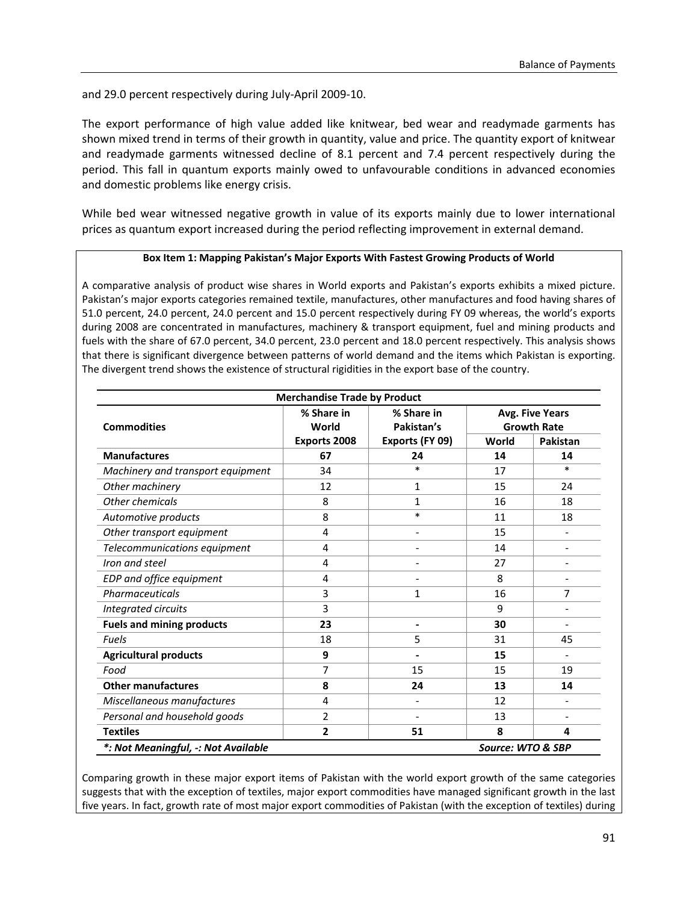and 29.0 percent respectively during July‐April 2009‐10.

The export performance of high value added like knitwear, bed wear and readymade garments has shown mixed trend in terms of their growth in quantity, value and price. The quantity export of knitwear and readymade garments witnessed decline of 8.1 percent and 7.4 percent respectively during the period. This fall in quantum exports mainly owed to unfavourable conditions in advanced economies and domestic problems like energy crisis.

While bed wear witnessed negative growth in value of its exports mainly due to lower international prices as quantum export increased during the period reflecting improvement in external demand.

#### **Box Item 1: Mapping Pakistan's Major Exports With Fastest Growing Products of World**

A comparative analysis of product wise shares in World exports and Pakistan's exports exhibits a mixed picture. Pakistan's major exports categories remained textile, manufactures, other manufactures and food having shares of 51.0 percent, 24.0 percent, 24.0 percent and 15.0 percent respectively during FY 09 whereas, the world's exports during 2008 are concentrated in manufactures, machinery & transport equipment, fuel and mining products and fuels with the share of 67.0 percent, 34.0 percent, 23.0 percent and 18.0 percent respectively. This analysis shows that there is significant divergence between patterns of world demand and the items which Pakistan is exporting. The divergent trend shows the existence of structural rigidities in the export base of the country.

| <b>Merchandise Trade by Product</b> |                     |                          |                                              |                          |  |  |  |
|-------------------------------------|---------------------|--------------------------|----------------------------------------------|--------------------------|--|--|--|
| <b>Commodities</b>                  | % Share in<br>World | % Share in<br>Pakistan's | <b>Avg. Five Years</b><br><b>Growth Rate</b> |                          |  |  |  |
|                                     | Exports 2008        | Exports (FY 09)          | World                                        | Pakistan                 |  |  |  |
| <b>Manufactures</b>                 | 67                  | 24                       | 14                                           | 14                       |  |  |  |
| Machinery and transport equipment   | 34                  | $\ast$                   | 17                                           | $\ast$                   |  |  |  |
| Other machinery                     | 12                  | 1                        | 15                                           | 24                       |  |  |  |
| Other chemicals                     | 8                   | 1                        | 16                                           | 18                       |  |  |  |
| Automotive products                 | 8                   | $\ast$                   | 11                                           | 18                       |  |  |  |
| Other transport equipment           | 4                   |                          | 15                                           |                          |  |  |  |
| Telecommunications equipment        | 4                   |                          | 14                                           |                          |  |  |  |
| Iron and steel                      | 4                   |                          | 27                                           |                          |  |  |  |
| EDP and office equipment            | 4                   |                          | 8                                            | $\overline{\phantom{a}}$ |  |  |  |
| Pharmaceuticals                     | 3                   | 1                        | 16                                           | 7                        |  |  |  |
| Integrated circuits                 | 3                   |                          | 9                                            | $\overline{\phantom{a}}$ |  |  |  |
| <b>Fuels and mining products</b>    | 23                  | -                        | 30                                           | $\overline{\phantom{a}}$ |  |  |  |
| <b>Fuels</b>                        | 18                  | 5                        | 31                                           | 45                       |  |  |  |
| <b>Agricultural products</b>        | 9                   |                          | 15                                           |                          |  |  |  |
| Food                                | 7                   | 15                       | 15                                           | 19                       |  |  |  |
| <b>Other manufactures</b>           | 8                   | 24                       | 13                                           | 14                       |  |  |  |
| Miscellaneous manufactures          | 4                   |                          | 12                                           |                          |  |  |  |
| Personal and household goods        | $\overline{2}$      |                          | 13                                           | $\overline{\phantom{a}}$ |  |  |  |
| <b>Textiles</b>                     | 2                   | 51                       | 8                                            | 4                        |  |  |  |
| *: Not Meaningful, -: Not Available |                     |                          | Source: WTO & SBP                            |                          |  |  |  |

Comparing growth in these major export items of Pakistan with the world export growth of the same categories suggests that with the exception of textiles, major export commodities have managed significant growth in the last five years. In fact, growth rate of most major export commodities of Pakistan (with the exception of textiles) during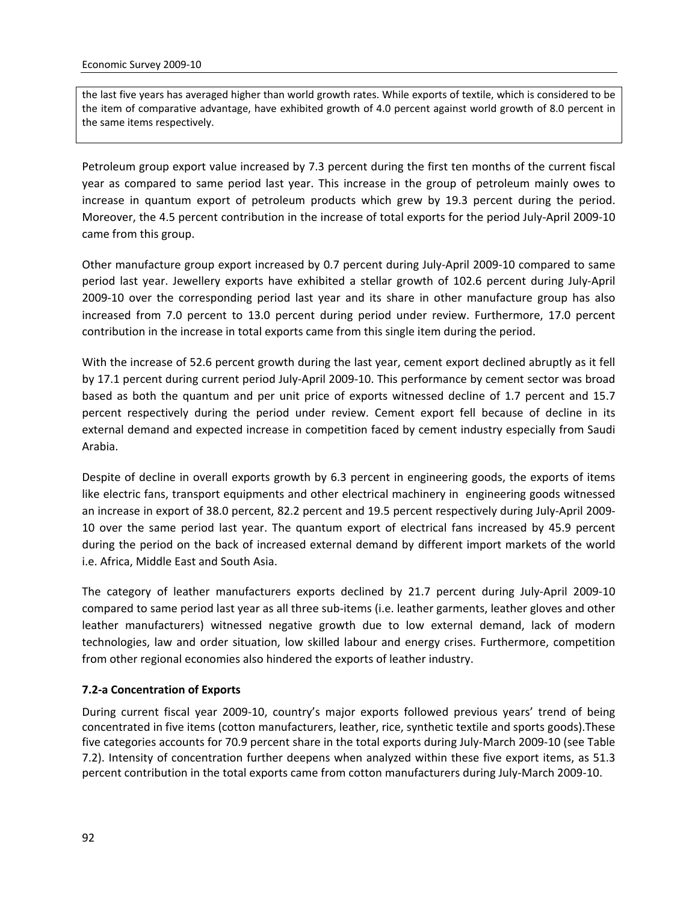the last five years has averaged higher than world growth rates. While exports of textile, which is considered to be the item of comparative advantage, have exhibited growth of 4.0 percent against world growth of 8.0 percent in the same items respectively.

Petroleum group export value increased by 7.3 percent during the first ten months of the current fiscal year as compared to same period last year. This increase in the group of petroleum mainly owes to increase in quantum export of petroleum products which grew by 19.3 percent during the period. Moreover, the 4.5 percent contribution in the increase of total exports for the period July‐April 2009‐10 came from this group.

Other manufacture group export increased by 0.7 percent during July‐April 2009‐10 compared to same period last year. Jewellery exports have exhibited a stellar growth of 102.6 percent during July‐April 2009‐10 over the corresponding period last year and its share in other manufacture group has also increased from 7.0 percent to 13.0 percent during period under review. Furthermore, 17.0 percent contribution in the increase in total exports came from this single item during the period.

With the increase of 52.6 percent growth during the last year, cement export declined abruptly as it fell by 17.1 percent during current period July‐April 2009‐10. This performance by cement sector was broad based as both the quantum and per unit price of exports witnessed decline of 1.7 percent and 15.7 percent respectively during the period under review. Cement export fell because of decline in its external demand and expected increase in competition faced by cement industry especially from Saudi Arabia.

Despite of decline in overall exports growth by 6.3 percent in engineering goods, the exports of items like electric fans, transport equipments and other electrical machinery in engineering goods witnessed an increase in export of 38.0 percent, 82.2 percent and 19.5 percent respectively during July-April 2009-10 over the same period last year. The quantum export of electrical fans increased by 45.9 percent during the period on the back of increased external demand by different import markets of the world i.e. Africa, Middle East and South Asia.

The category of leather manufacturers exports declined by 21.7 percent during July‐April 2009‐10 compared to same period last year as all three sub‐items (i.e. leather garments, leather gloves and other leather manufacturers) witnessed negative growth due to low external demand, lack of modern technologies, law and order situation, low skilled labour and energy crises. Furthermore, competition from other regional economies also hindered the exports of leather industry.

#### **7.2‐a Concentration of Exports**

During current fiscal year 2009-10, country's major exports followed previous years' trend of being concentrated in five items (cotton manufacturers, leather, rice, synthetic textile and sports goods).These five categories accounts for 70.9 percent share in the total exports during July‐March 2009‐10 (see Table 7.2). Intensity of concentration further deepens when analyzed within these five export items, as 51.3 percent contribution in the total exports came from cotton manufacturers during July‐March 2009‐10.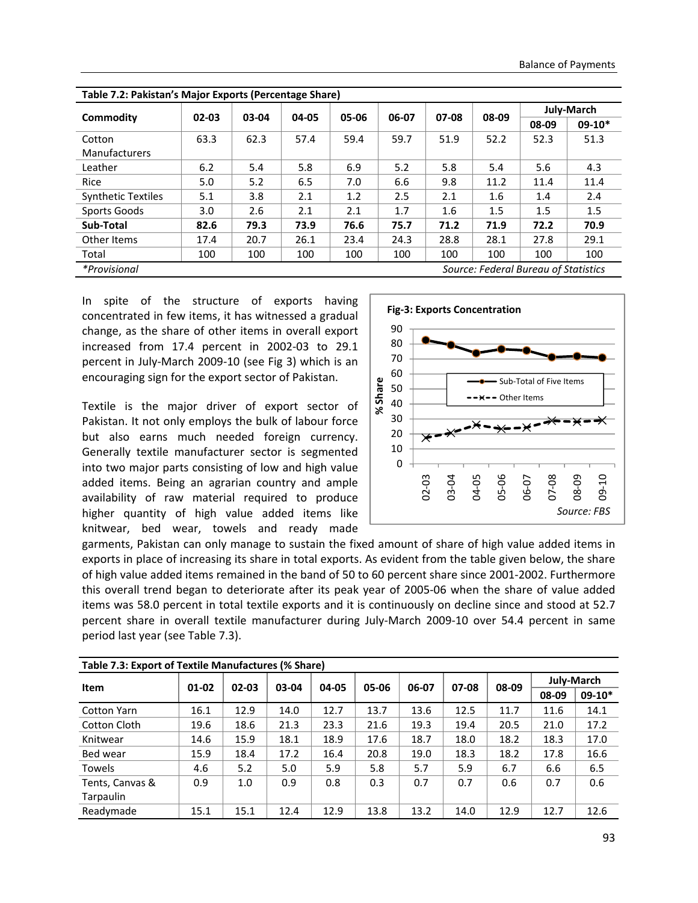|                                                             |           |       | - - - - - - - - |       |       |       |       | July-March |          |
|-------------------------------------------------------------|-----------|-------|-----------------|-------|-------|-------|-------|------------|----------|
| Commodity                                                   | $02 - 03$ | 03-04 | 04-05           | 05-06 | 06-07 | 07-08 | 08-09 | 08-09      | $09-10*$ |
| Cotton<br><b>Manufacturers</b>                              | 63.3      | 62.3  | 57.4            | 59.4  | 59.7  | 51.9  | 52.2  | 52.3       | 51.3     |
| Leather                                                     | 6.2       | 5.4   | 5.8             | 6.9   | 5.2   | 5.8   | 5.4   | 5.6        | 4.3      |
| Rice                                                        | 5.0       | 5.2   | 6.5             | 7.0   | 6.6   | 9.8   | 11.2  | 11.4       | 11.4     |
| <b>Synthetic Textiles</b>                                   | 5.1       | 3.8   | 2.1             | 1.2   | 2.5   | 2.1   | 1.6   | 1.4        | 2.4      |
| Sports Goods                                                | 3.0       | 2.6   | 2.1             | 2.1   | 1.7   | 1.6   | 1.5   | 1.5        | 1.5      |
| Sub-Total                                                   | 82.6      | 79.3  | 73.9            | 76.6  | 75.7  | 71.2  | 71.9  | 72.2       | 70.9     |
| Other Items                                                 | 17.4      | 20.7  | 26.1            | 23.4  | 24.3  | 28.8  | 28.1  | 27.8       | 29.1     |
| Total                                                       | 100       | 100   | 100             | 100   | 100   | 100   | 100   | 100        | 100      |
| <i>*Provisional</i><br>Source: Federal Bureau of Statistics |           |       |                 |       |       |       |       |            |          |

| Table 7.2: Pakistan's Major Exports (Percentage Share) |  |  |  |
|--------------------------------------------------------|--|--|--|
|--------------------------------------------------------|--|--|--|

In spite of the structure of exports having concentrated in few items, it has witnessed a gradual change, as the share of other items in overall export increased from 17.4 percent in 2002‐03 to 29.1 percent in July‐March 2009‐10 (see Fig 3) which is an encouraging sign for the export sector of Pakistan.

Textile is the major driver of export sector of Pakistan. It not only employs the bulk of labour force but also earns much needed foreign currency. Generally textile manufacturer sector is segmented into two major parts consisting of low and high value added items. Being an agrarian country and ample availability of raw material required to produce higher quantity of high value added items like knitwear, bed wear, towels and ready made



garments, Pakistan can only manage to sustain the fixed amount of share of high value added items in exports in place of increasing its share in total exports. As evident from the table given below, the share of high value added items remained in the band of 50 to 60 percent share since 2001‐2002. Furthermore this overall trend began to deteriorate after its peak year of 2005‐06 when the share of value added items was 58.0 percent in total textile exports and it is continuously on decline since and stood at 52.7 percent share in overall textile manufacturer during July‐March 2009‐10 over 54.4 percent in same period last year (see Table 7.3).

| Table 7.3: Export of Textile Manufactures (% Share) |       |       |       |       |       |       |           |       |            |          |
|-----------------------------------------------------|-------|-------|-------|-------|-------|-------|-----------|-------|------------|----------|
| <b>Item</b>                                         | 01-02 | 02-03 | 03-04 | 04-05 | 05-06 | 06-07 | $07 - 08$ | 08-09 | July-March |          |
|                                                     |       |       |       |       |       |       |           |       | 08-09      | $09-10*$ |
| <b>Cotton Yarn</b>                                  | 16.1  | 12.9  | 14.0  | 12.7  | 13.7  | 13.6  | 12.5      | 11.7  | 11.6       | 14.1     |
| Cotton Cloth                                        | 19.6  | 18.6  | 21.3  | 23.3  | 21.6  | 19.3  | 19.4      | 20.5  | 21.0       | 17.2     |
| Knitwear                                            | 14.6  | 15.9  | 18.1  | 18.9  | 17.6  | 18.7  | 18.0      | 18.2  | 18.3       | 17.0     |
| Bed wear                                            | 15.9  | 18.4  | 17.2  | 16.4  | 20.8  | 19.0  | 18.3      | 18.2  | 17.8       | 16.6     |
| <b>Towels</b>                                       | 4.6   | 5.2   | 5.0   | 5.9   | 5.8   | 5.7   | 5.9       | 6.7   | 6.6        | 6.5      |
| Tents, Canvas &                                     | 0.9   | 1.0   | 0.9   | 0.8   | 0.3   | 0.7   | 0.7       | 0.6   | 0.7        | 0.6      |
| <b>Tarpaulin</b>                                    |       |       |       |       |       |       |           |       |            |          |
| Readymade                                           | 15.1  | 15.1  | 12.4  | 12.9  | 13.8  | 13.2  | 14.0      | 12.9  | 12.7       | 12.6     |

| Table 7.3: Export of Textile Manufactures (% Share) |  |
|-----------------------------------------------------|--|
|-----------------------------------------------------|--|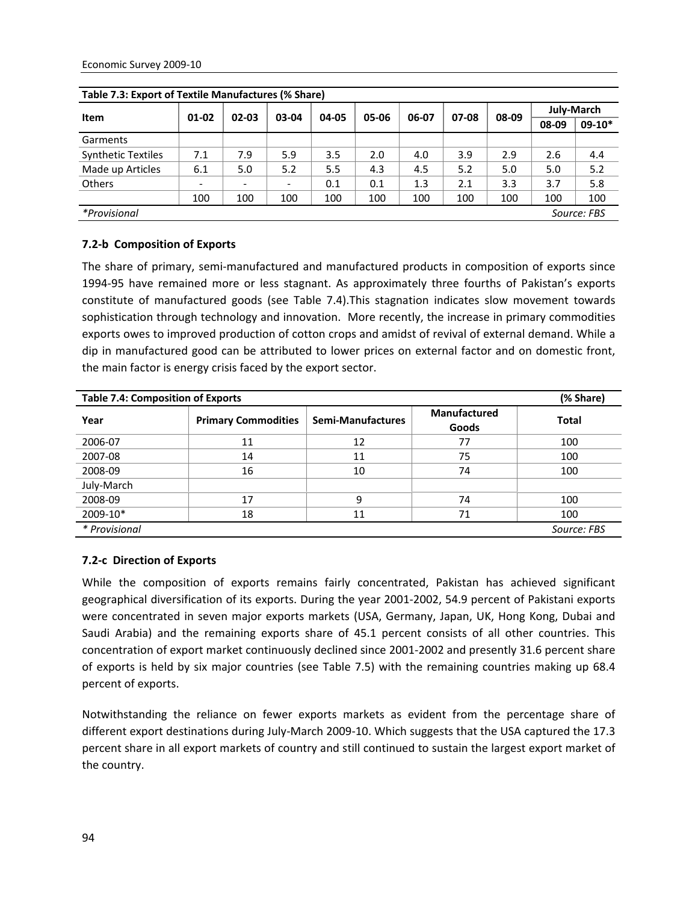| Table 7.3: Export of Textile Manufactures (% Share) |           |           |       |       |       |       |       |       |                   |          |
|-----------------------------------------------------|-----------|-----------|-------|-------|-------|-------|-------|-------|-------------------|----------|
| <b>Item</b>                                         |           |           |       |       | 05-06 | 06-07 | 07-08 | 08-09 | <b>July-March</b> |          |
|                                                     | $01 - 02$ | $02 - 03$ | 03-04 | 04-05 |       |       |       |       | 08-09             | $09-10*$ |
| Garments                                            |           |           |       |       |       |       |       |       |                   |          |
| <b>Synthetic Textiles</b>                           | 7.1       | 7.9       | 5.9   | 3.5   | 2.0   | 4.0   | 3.9   | 2.9   | 2.6               | 4.4      |
| Made up Articles                                    | 6.1       | 5.0       | 5.2   | 5.5   | 4.3   | 4.5   | 5.2   | 5.0   | 5.0               | 5.2      |
| <b>Others</b>                                       |           | ۳         |       | 0.1   | 0.1   | 1.3   | 2.1   | 3.3   | 3.7               | 5.8      |
|                                                     | 100       | 100       | 100   | 100   | 100   | 100   | 100   | 100   | 100               | 100      |
| <i>*Provisional</i><br>Source: FBS                  |           |           |       |       |       |       |       |       |                   |          |

**Table 7.3: Export of Textile Manufactures (% Share)**

#### **7.2‐b Composition of Exports**

The share of primary, semi-manufactured and manufactured products in composition of exports since 1994‐95 have remained more or less stagnant. As approximately three fourths of Pakistan's exports constitute of manufactured goods (see Table 7.4).This stagnation indicates slow movement towards sophistication through technology and innovation. More recently, the increase in primary commodities exports owes to improved production of cotton crops and amidst of revival of external demand. While a dip in manufactured good can be attributed to lower prices on external factor and on domestic front, the main factor is energy crisis faced by the export sector.

| <b>Table 7.4: Composition of Exports</b> | (% Share)                  |                   |                                     |              |
|------------------------------------------|----------------------------|-------------------|-------------------------------------|--------------|
| Year                                     | <b>Primary Commodities</b> | Semi-Manufactures | <b>Manufactured</b><br><b>Goods</b> | <b>Total</b> |
| 2006-07                                  | 11                         | 12                | 77                                  | 100          |
| 2007-08                                  | 14                         | 11                | 75                                  | 100          |
| 2008-09                                  | 16                         | 10                | 74                                  | 100          |
| July-March                               |                            |                   |                                     |              |
| 2008-09                                  | 17                         | 9                 | 74                                  | 100          |
| 2009-10*                                 | 18                         | 11                | 71                                  | 100          |
| * Provisional                            |                            |                   |                                     | Source: FBS  |

#### **7.2‐c Direction of Exports**

While the composition of exports remains fairly concentrated, Pakistan has achieved significant geographical diversification of its exports. During the year 2001‐2002, 54.9 percent of Pakistani exports were concentrated in seven major exports markets (USA, Germany, Japan, UK, Hong Kong, Dubai and Saudi Arabia) and the remaining exports share of 45.1 percent consists of all other countries. This concentration of export market continuously declined since 2001‐2002 and presently 31.6 percent share of exports is held by six major countries (see Table 7.5) with the remaining countries making up 68.4 percent of exports.

Notwithstanding the reliance on fewer exports markets as evident from the percentage share of different export destinations during July‐March 2009‐10. Which suggests that the USA captured the 17.3 percent share in all export markets of country and still continued to sustain the largest export market of the country.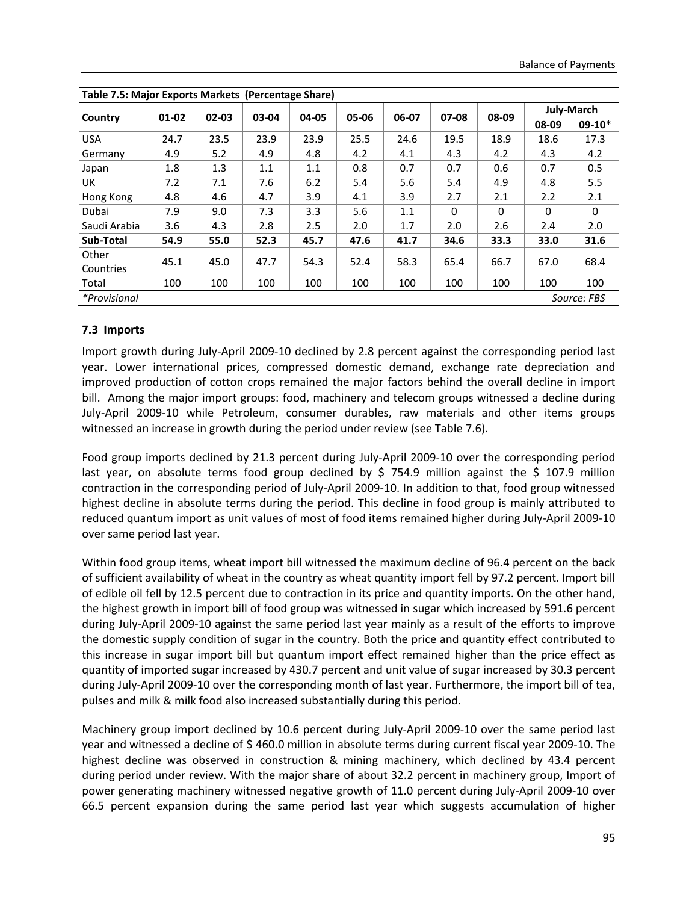| Table 7.5: Major Exports Markets (Percentage Share) |       |           |       |       |       |       |          |          |          |            |
|-----------------------------------------------------|-------|-----------|-------|-------|-------|-------|----------|----------|----------|------------|
|                                                     | 01-02 | $02 - 03$ | 03-04 | 04-05 | 05-06 | 06-07 | 07-08    | 08-09    |          | July-March |
| Country                                             |       |           |       |       |       |       |          |          | 08-09    | $09-10*$   |
| <b>USA</b>                                          | 24.7  | 23.5      | 23.9  | 23.9  | 25.5  | 24.6  | 19.5     | 18.9     | 18.6     | 17.3       |
| Germany                                             | 4.9   | 5.2       | 4.9   | 4.8   | 4.2   | 4.1   | 4.3      | 4.2      | 4.3      | 4.2        |
| Japan                                               | 1.8   | 1.3       | 1.1   | 1.1   | 0.8   | 0.7   | 0.7      | 0.6      | 0.7      | 0.5        |
| UK                                                  | 7.2   | 7.1       | 7.6   | 6.2   | 5.4   | 5.6   | 5.4      | 4.9      | 4.8      | 5.5        |
| Hong Kong                                           | 4.8   | 4.6       | 4.7   | 3.9   | 4.1   | 3.9   | 2.7      | 2.1      | 2.2      | 2.1        |
| Dubai                                               | 7.9   | 9.0       | 7.3   | 3.3   | 5.6   | 1.1   | $\Omega$ | $\Omega$ | $\Omega$ | $\Omega$   |
| Saudi Arabia                                        | 3.6   | 4.3       | 2.8   | 2.5   | 2.0   | 1.7   | 2.0      | 2.6      | 2.4      | 2.0        |
| Sub-Total                                           | 54.9  | 55.0      | 52.3  | 45.7  | 47.6  | 41.7  | 34.6     | 33.3     | 33.0     | 31.6       |
| Other                                               | 45.1  | 45.0      | 47.7  | 54.3  | 52.4  | 58.3  | 65.4     | 66.7     | 67.0     | 68.4       |
| Countries                                           |       |           |       |       |       |       |          |          |          |            |
| Total                                               | 100   | 100       | 100   | 100   | 100   | 100   | 100      | 100      | 100      | 100        |
| <i>*Provisional</i><br>Source: FBS                  |       |           |       |       |       |       |          |          |          |            |

**Table 7.5: Major Exports Markets (Percentage Share)**

#### **7.3 Imports**

Import growth during July‐April 2009‐10 declined by 2.8 percent against the corresponding period last year. Lower international prices, compressed domestic demand, exchange rate depreciation and improved production of cotton crops remained the major factors behind the overall decline in import bill. Among the major import groups: food, machinery and telecom groups witnessed a decline during July‐April 2009‐10 while Petroleum, consumer durables, raw materials and other items groups witnessed an increase in growth during the period under review (see Table 7.6).

Food group imports declined by 21.3 percent during July‐April 2009‐10 over the corresponding period last year, on absolute terms food group declined by \$ 754.9 million against the \$ 107.9 million contraction in the corresponding period of July‐April 2009‐10. In addition to that, food group witnessed highest decline in absolute terms during the period. This decline in food group is mainly attributed to reduced quantum import as unit values of most of food items remained higher during July‐April 2009‐10 over same period last year.

Within food group items, wheat import bill witnessed the maximum decline of 96.4 percent on the back of sufficient availability of wheat in the country as wheat quantity import fell by 97.2 percent. Import bill of edible oil fell by 12.5 percent due to contraction in its price and quantity imports. On the other hand, the highest growth in import bill of food group was witnessed in sugar which increased by 591.6 percent during July‐April 2009‐10 against the same period last year mainly as a result of the efforts to improve the domestic supply condition of sugar in the country. Both the price and quantity effect contributed to this increase in sugar import bill but quantum import effect remained higher than the price effect as quantity of imported sugar increased by 430.7 percent and unit value of sugar increased by 30.3 percent during July‐April 2009‐10 over the corresponding month of last year. Furthermore, the import bill of tea, pulses and milk & milk food also increased substantially during this period.

Machinery group import declined by 10.6 percent during July-April 2009-10 over the same period last year and witnessed a decline of \$ 460.0 million in absolute terms during current fiscal year 2009‐10. The highest decline was observed in construction & mining machinery, which declined by 43.4 percent during period under review. With the major share of about 32.2 percent in machinery group, Import of power generating machinery witnessed negative growth of 11.0 percent during July‐April 2009‐10 over 66.5 percent expansion during the same period last year which suggests accumulation of higher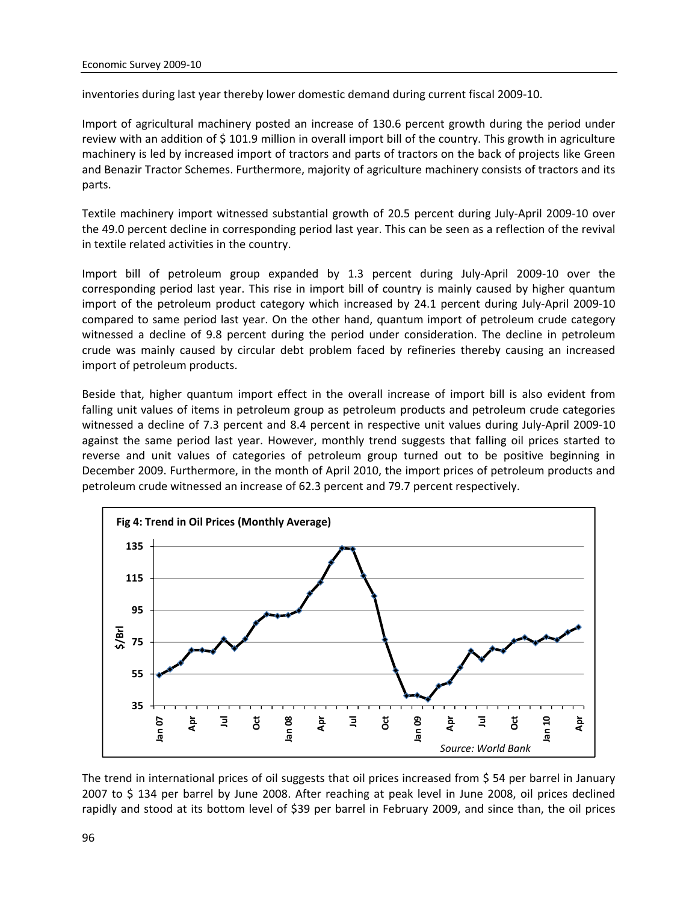inventories during last year thereby lower domestic demand during current fiscal 2009‐10.

Import of agricultural machinery posted an increase of 130.6 percent growth during the period under review with an addition of \$101.9 million in overall import bill of the country. This growth in agriculture machinery is led by increased import of tractors and parts of tractors on the back of projects like Green and Benazir Tractor Schemes. Furthermore, majority of agriculture machinery consists of tractors and its parts.

Textile machinery import witnessed substantial growth of 20.5 percent during July‐April 2009‐10 over the 49.0 percent decline in corresponding period last year. This can be seen as a reflection of the revival in textile related activities in the country.

Import bill of petroleum group expanded by 1.3 percent during July‐April 2009‐10 over the corresponding period last year. This rise in import bill of country is mainly caused by higher quantum import of the petroleum product category which increased by 24.1 percent during July‐April 2009‐10 compared to same period last year. On the other hand, quantum import of petroleum crude category witnessed a decline of 9.8 percent during the period under consideration. The decline in petroleum crude was mainly caused by circular debt problem faced by refineries thereby causing an increased import of petroleum products.

Beside that, higher quantum import effect in the overall increase of import bill is also evident from falling unit values of items in petroleum group as petroleum products and petroleum crude categories witnessed a decline of 7.3 percent and 8.4 percent in respective unit values during July‐April 2009‐10 against the same period last year. However, monthly trend suggests that falling oil prices started to reverse and unit values of categories of petroleum group turned out to be positive beginning in December 2009. Furthermore, in the month of April 2010, the import prices of petroleum products and petroleum crude witnessed an increase of 62.3 percent and 79.7 percent respectively.



The trend in international prices of oil suggests that oil prices increased from \$ 54 per barrel in January 2007 to \$ 134 per barrel by June 2008. After reaching at peak level in June 2008, oil prices declined rapidly and stood at its bottom level of \$39 per barrel in February 2009, and since than, the oil prices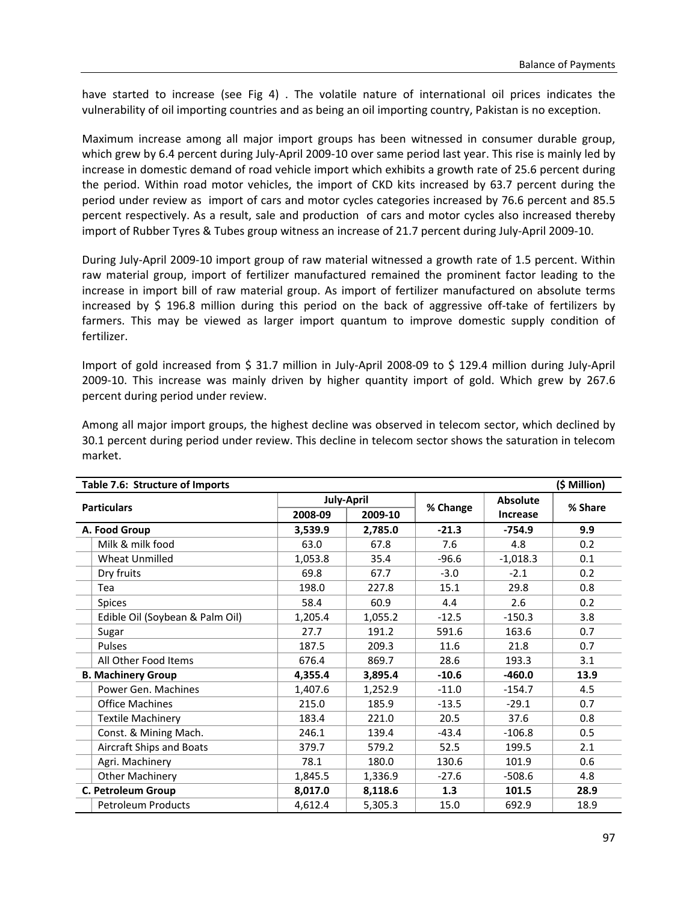have started to increase (see Fig 4) . The volatile nature of international oil prices indicates the vulnerability of oil importing countries and as being an oil importing country, Pakistan is no exception.

Maximum increase among all major import groups has been witnessed in consumer durable group, which grew by 6.4 percent during July-April 2009-10 over same period last year. This rise is mainly led by increase in domestic demand of road vehicle import which exhibits a growth rate of 25.6 percent during the period. Within road motor vehicles, the import of CKD kits increased by 63.7 percent during the period under review as import of cars and motor cycles categories increased by 76.6 percent and 85.5 percent respectively. As a result, sale and production of cars and motor cycles also increased thereby import of Rubber Tyres & Tubes group witness an increase of 21.7 percent during July‐April 2009‐10.

During July‐April 2009‐10 import group of raw material witnessed a growth rate of 1.5 percent. Within raw material group, import of fertilizer manufactured remained the prominent factor leading to the increase in import bill of raw material group. As import of fertilizer manufactured on absolute terms increased by \$ 196.8 million during this period on the back of aggressive off-take of fertilizers by farmers. This may be viewed as larger import quantum to improve domestic supply condition of fertilizer.

Import of gold increased from \$ 31.7 million in July‐April 2008‐09 to \$ 129.4 million during July‐April 2009‐10. This increase was mainly driven by higher quantity import of gold. Which grew by 267.6 percent during period under review.

| (\$ Million)<br>Table 7.6: Structure of Imports |                    |                   |          |                 |         |  |  |
|-------------------------------------------------|--------------------|-------------------|----------|-----------------|---------|--|--|
|                                                 |                    | <b>July-April</b> |          | Absolute        |         |  |  |
| <b>Particulars</b>                              | 2008-09<br>2009-10 |                   | % Change | <b>Increase</b> | % Share |  |  |
| A. Food Group                                   | 3,539.9            | 2,785.0           | $-21.3$  | $-754.9$        | 9.9     |  |  |
| Milk & milk food                                | 63.0               | 67.8              | 7.6      | 4.8             | 0.2     |  |  |
| Wheat Unmilled                                  | 1,053.8            | 35.4              | $-96.6$  | $-1,018.3$      | 0.1     |  |  |
| Dry fruits                                      | 69.8               | 67.7              | $-3.0$   | $-2.1$          | 0.2     |  |  |
| Tea                                             | 198.0              | 227.8             | 15.1     | 29.8            | 0.8     |  |  |
| <b>Spices</b>                                   | 58.4               | 60.9              | 4.4      | 2.6             | 0.2     |  |  |
| Edible Oil (Soybean & Palm Oil)                 | 1,205.4            | 1,055.2           | $-12.5$  | $-150.3$        | 3.8     |  |  |
| Sugar                                           | 27.7               | 191.2             | 591.6    | 163.6           | 0.7     |  |  |
| Pulses                                          | 187.5              | 209.3             | 11.6     | 21.8            | 0.7     |  |  |
| All Other Food Items                            | 676.4              | 869.7             | 28.6     | 193.3           | 3.1     |  |  |
| <b>B. Machinery Group</b>                       | 4,355.4            | 3,895.4           | $-10.6$  | $-460.0$        | 13.9    |  |  |
| Power Gen. Machines                             | 1,407.6            | 1,252.9           | $-11.0$  | $-154.7$        | 4.5     |  |  |
| <b>Office Machines</b>                          | 215.0              | 185.9             | $-13.5$  | $-29.1$         | 0.7     |  |  |
| <b>Textile Machinery</b>                        | 183.4              | 221.0             | 20.5     | 37.6            | 0.8     |  |  |
| Const. & Mining Mach.                           | 246.1              | 139.4             | $-43.4$  | $-106.8$        | 0.5     |  |  |
| <b>Aircraft Ships and Boats</b>                 | 379.7              | 579.2             | 52.5     | 199.5           | 2.1     |  |  |
| Agri. Machinery                                 | 78.1               | 180.0             | 130.6    | 101.9           | 0.6     |  |  |
| <b>Other Machinery</b>                          | 1,845.5            | 1,336.9           | $-27.6$  | $-508.6$        | 4.8     |  |  |
| C. Petroleum Group                              | 8,017.0            | 8,118.6           | 1.3      | 101.5           | 28.9    |  |  |
| <b>Petroleum Products</b>                       | 4,612.4            | 5,305.3           | 15.0     | 692.9           | 18.9    |  |  |

Among all major import groups, the highest decline was observed in telecom sector, which declined by 30.1 percent during period under review. This decline in telecom sector shows the saturation in telecom market.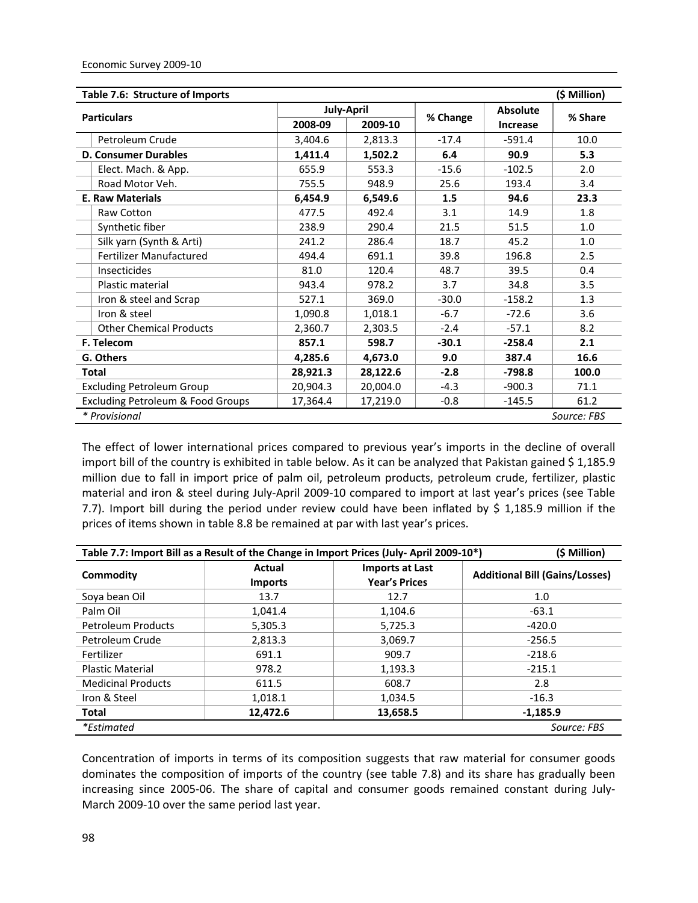| Table 7.6: Structure of Imports<br>(\$ Million) |                    |                   |          |                 |             |  |  |
|-------------------------------------------------|--------------------|-------------------|----------|-----------------|-------------|--|--|
|                                                 |                    | <b>July-April</b> |          | <b>Absolute</b> |             |  |  |
| <b>Particulars</b>                              | 2008-09<br>2009-10 |                   | % Change | Increase        | % Share     |  |  |
| Petroleum Crude                                 | 3,404.6            | 2,813.3           | $-17.4$  | $-591.4$        | 10.0        |  |  |
| <b>D. Consumer Durables</b>                     | 1,411.4            | 1,502.2           | 6.4      | 90.9            | 5.3         |  |  |
| Elect. Mach. & App.                             | 655.9              | 553.3             | $-15.6$  | $-102.5$        | 2.0         |  |  |
| Road Motor Veh.                                 | 755.5              | 948.9             | 25.6     | 193.4           | 3.4         |  |  |
| <b>E. Raw Materials</b>                         | 6,454.9            | 6,549.6           | 1.5      | 94.6            | 23.3        |  |  |
| Raw Cotton                                      | 477.5              | 492.4             | 3.1      | 14.9            | 1.8         |  |  |
| Synthetic fiber                                 | 238.9              | 290.4             | 21.5     | 51.5            | 1.0         |  |  |
| Silk yarn (Synth & Arti)                        | 241.2              | 286.4             | 18.7     | 45.2            | 1.0         |  |  |
| <b>Fertilizer Manufactured</b>                  | 494.4              | 691.1             | 39.8     | 196.8           | 2.5         |  |  |
| Insecticides                                    | 81.0               | 120.4             | 48.7     | 39.5            | 0.4         |  |  |
| Plastic material                                | 943.4              | 978.2             | 3.7      | 34.8            | 3.5         |  |  |
| Iron & steel and Scrap                          | 527.1              | 369.0             | $-30.0$  | $-158.2$        | 1.3         |  |  |
| Iron & steel                                    | 1,090.8            | 1,018.1           | $-6.7$   | $-72.6$         | 3.6         |  |  |
| <b>Other Chemical Products</b>                  | 2,360.7            | 2,303.5           | $-2.4$   | $-57.1$         | 8.2         |  |  |
| F. Telecom                                      | 857.1              | 598.7             | $-30.1$  | $-258.4$        | 2.1         |  |  |
| G. Others                                       | 4,285.6            | 4,673.0           | 9.0      | 387.4           | 16.6        |  |  |
| Total                                           | 28,921.3           | 28,122.6          | $-2.8$   | $-798.8$        | 100.0       |  |  |
| <b>Excluding Petroleum Group</b>                | 20,904.3           | 20,004.0          | $-4.3$   | $-900.3$        | 71.1        |  |  |
| <b>Excluding Petroleum &amp; Food Groups</b>    | 17,364.4           | 17,219.0          | $-0.8$   | $-145.5$        | 61.2        |  |  |
| * Provisional                                   |                    |                   |          |                 | Source: FBS |  |  |

The effect of lower international prices compared to previous year's imports in the decline of overall import bill of the country is exhibited in table below. As it can be analyzed that Pakistan gained \$1,185.9 million due to fall in import price of palm oil, petroleum products, petroleum crude, fertilizer, plastic material and iron & steel during July‐April 2009‐10 compared to import at last year's prices (see Table 7.7). Import bill during the period under review could have been inflated by \$ 1,185.9 million if the prices of items shown in table 8.8 be remained at par with last year's prices.

| Table 7.7: Import Bill as a Result of the Change in Import Prices (July-April 2009-10*)<br>(\$ Million) |                                                                                   |          |                                       |  |  |  |  |  |
|---------------------------------------------------------------------------------------------------------|-----------------------------------------------------------------------------------|----------|---------------------------------------|--|--|--|--|--|
| Commodity                                                                                               | <b>Imports at Last</b><br><b>Actual</b><br><b>Year's Prices</b><br><b>Imports</b> |          | <b>Additional Bill (Gains/Losses)</b> |  |  |  |  |  |
| Sova bean Oil                                                                                           | 13.7                                                                              | 12.7     | 1.0                                   |  |  |  |  |  |
| Palm Oil                                                                                                | 1,041.4                                                                           | 1,104.6  | $-63.1$                               |  |  |  |  |  |
| <b>Petroleum Products</b>                                                                               | 5,305.3                                                                           | 5,725.3  | $-420.0$                              |  |  |  |  |  |
| Petroleum Crude                                                                                         | 2,813.3                                                                           | 3,069.7  | $-256.5$                              |  |  |  |  |  |
| Fertilizer                                                                                              | 691.1                                                                             | 909.7    | $-218.6$                              |  |  |  |  |  |
| <b>Plastic Material</b>                                                                                 | 978.2                                                                             | 1,193.3  | $-215.1$                              |  |  |  |  |  |
| <b>Medicinal Products</b>                                                                               | 611.5                                                                             | 608.7    | 2.8                                   |  |  |  |  |  |
| Iron & Steel                                                                                            | 1,018.1                                                                           | 1,034.5  | $-16.3$                               |  |  |  |  |  |
| <b>Total</b>                                                                                            | 12,472.6                                                                          | 13,658.5 | $-1.185.9$                            |  |  |  |  |  |
| <i>*Estimated</i>                                                                                       |                                                                                   |          | Source: FBS                           |  |  |  |  |  |

Concentration of imports in terms of its composition suggests that raw material for consumer goods dominates the composition of imports of the country (see table 7.8) and its share has gradually been increasing since 2005‐06. The share of capital and consumer goods remained constant during July‐ March 2009‐10 over the same period last year.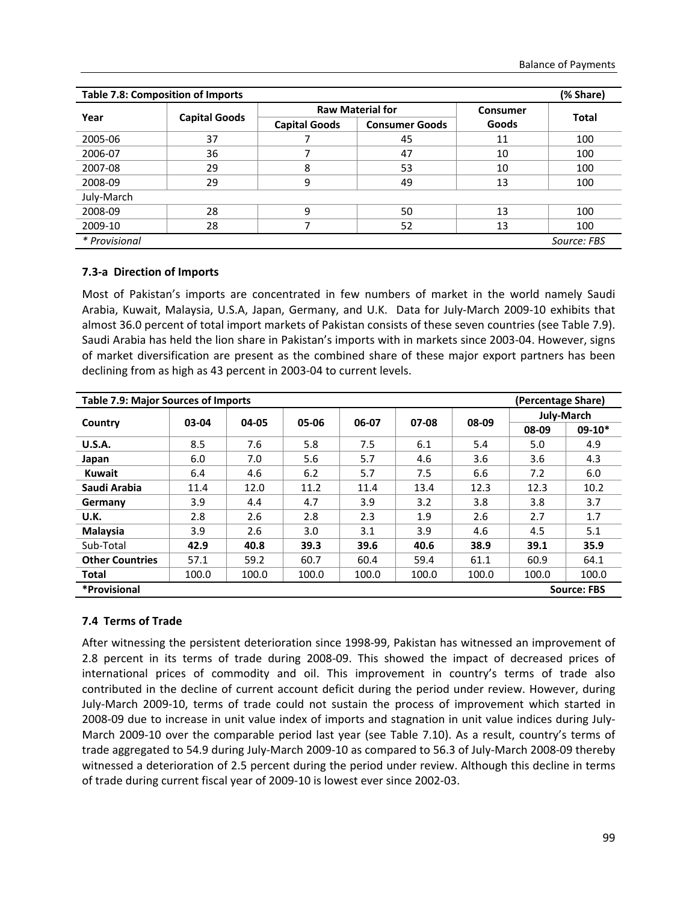| (% Share)<br><b>Table 7.8: Composition of Imports</b> |                      |                      |                         |          |              |  |  |  |  |  |  |
|-------------------------------------------------------|----------------------|----------------------|-------------------------|----------|--------------|--|--|--|--|--|--|
| Year                                                  | <b>Capital Goods</b> |                      | <b>Raw Material for</b> | Consumer | <b>Total</b> |  |  |  |  |  |  |
|                                                       |                      | <b>Capital Goods</b> | <b>Consumer Goods</b>   | Goods    |              |  |  |  |  |  |  |
| 2005-06                                               | 37                   |                      | 45                      | 11       | 100          |  |  |  |  |  |  |
| 2006-07                                               | 36                   |                      | 47                      | 10       | 100          |  |  |  |  |  |  |
| 2007-08                                               | 29                   | 8                    | 53                      | 10       | 100          |  |  |  |  |  |  |
| 2008-09                                               | 29                   | 9                    | 49                      | 13       | 100          |  |  |  |  |  |  |
| July-March                                            |                      |                      |                         |          |              |  |  |  |  |  |  |
| 2008-09                                               | 28                   | 9                    | 50                      | 13       | 100          |  |  |  |  |  |  |
| 2009-10                                               | 28                   |                      | 52                      | 13       | 100          |  |  |  |  |  |  |
| * Provisional                                         |                      |                      |                         |          | Source: FBS  |  |  |  |  |  |  |

#### **7.3‐a Direction of Imports**

Most of Pakistan's imports are concentrated in few numbers of market in the world namely Saudi Arabia, Kuwait, Malaysia, U.S.A, Japan, Germany, and U.K. Data for July‐March 2009‐10 exhibits that almost 36.0 percent of total import markets of Pakistan consists of these seven countries (see Table 7.9). Saudi Arabia has held the lion share in Pakistan's imports with in markets since 2003-04. However, signs of market diversification are present as the combined share of these major export partners has been declining from as high as 43 percent in 2003‐04 to current levels.

| <b>Table 7.9: Major Sources of Imports</b> |                    |       |       |       |       |       | (Percentage Share) |          |  |  |  |
|--------------------------------------------|--------------------|-------|-------|-------|-------|-------|--------------------|----------|--|--|--|
| Country                                    | 03-04              | 04-05 | 05-06 | 06-07 | 07-08 | 08-09 | July-March         |          |  |  |  |
|                                            |                    |       |       |       |       |       | 08-09              | $09-10*$ |  |  |  |
| U.S.A.                                     | 8.5                | 7.6   | 5.8   | 7.5   | 6.1   | 5.4   | 5.0                | 4.9      |  |  |  |
| Japan                                      | 6.0                | 7.0   | 5.6   | 5.7   | 4.6   | 3.6   | 3.6                | 4.3      |  |  |  |
| <b>Kuwait</b>                              | 6.4                | 4.6   | 6.2   | 5.7   | 7.5   | 6.6   | 7.2                | 6.0      |  |  |  |
| Saudi Arabia                               | 11.4               | 12.0  | 11.2  | 11.4  | 13.4  | 12.3  | 12.3               | 10.2     |  |  |  |
| Germany                                    | 3.9                | 4.4   | 4.7   | 3.9   | 3.2   | 3.8   | 3.8                | 3.7      |  |  |  |
| U.K.                                       | 2.8                | 2.6   | 2.8   | 2.3   | 1.9   | 2.6   | 2.7                | 1.7      |  |  |  |
| Malaysia                                   | 3.9                | 2.6   | 3.0   | 3.1   | 3.9   | 4.6   | 4.5                | 5.1      |  |  |  |
| Sub-Total                                  | 42.9               | 40.8  | 39.3  | 39.6  | 40.6  | 38.9  | 39.1               | 35.9     |  |  |  |
| <b>Other Countries</b>                     | 57.1               | 59.2  | 60.7  | 60.4  | 59.4  | 61.1  | 60.9               | 64.1     |  |  |  |
| <b>Total</b>                               | 100.0              | 100.0 | 100.0 | 100.0 | 100.0 | 100.0 | 100.0              | 100.0    |  |  |  |
| *Provisional                               | <b>Source: FBS</b> |       |       |       |       |       |                    |          |  |  |  |

#### **7.4 Terms of Trade**

After witnessing the persistent deterioration since 1998‐99, Pakistan has witnessed an improvement of 2.8 percent in its terms of trade during 2008‐09. This showed the impact of decreased prices of international prices of commodity and oil. This improvement in country's terms of trade also contributed in the decline of current account deficit during the period under review. However, during July‐March 2009‐10, terms of trade could not sustain the process of improvement which started in 2008‐09 due to increase in unit value index of imports and stagnation in unit value indices during July‐ March 2009-10 over the comparable period last year (see Table 7.10). As a result, country's terms of trade aggregated to 54.9 during July‐March 2009‐10 as compared to 56.3 of July‐March 2008‐09 thereby witnessed a deterioration of 2.5 percent during the period under review. Although this decline in terms of trade during current fiscal year of 2009‐10 is lowest ever since 2002‐03.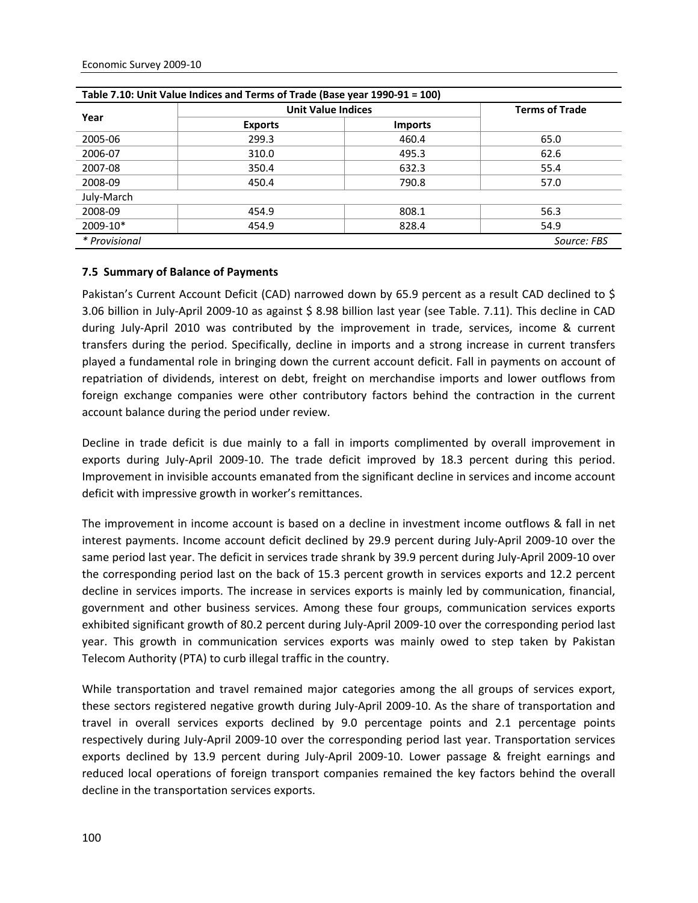| Table 7.10: Unit Value Indices and Terms of Trade (Base year 1990-91 = 100) |                           |                       |             |  |  |  |  |  |  |
|-----------------------------------------------------------------------------|---------------------------|-----------------------|-------------|--|--|--|--|--|--|
|                                                                             | <b>Unit Value Indices</b> | <b>Terms of Trade</b> |             |  |  |  |  |  |  |
| Year                                                                        | <b>Exports</b>            | <b>Imports</b>        |             |  |  |  |  |  |  |
| 2005-06                                                                     | 299.3                     | 460.4                 | 65.0        |  |  |  |  |  |  |
| 2006-07                                                                     | 310.0                     | 495.3                 | 62.6        |  |  |  |  |  |  |
| 2007-08                                                                     | 350.4                     | 632.3                 | 55.4        |  |  |  |  |  |  |
| 2008-09                                                                     | 450.4                     | 790.8                 | 57.0        |  |  |  |  |  |  |
| July-March                                                                  |                           |                       |             |  |  |  |  |  |  |
| 2008-09                                                                     | 454.9                     | 808.1                 | 56.3        |  |  |  |  |  |  |
| 2009-10*                                                                    | 454.9                     | 828.4                 | 54.9        |  |  |  |  |  |  |
| * Provisional                                                               |                           |                       | Source: FBS |  |  |  |  |  |  |

#### **7.5 Summary of Balance of Payments**

Pakistan's Current Account Deficit (CAD) narrowed down by 65.9 percent as a result CAD declined to \$ 3.06 billion in July‐April 2009‐10 as against \$ 8.98 billion last year (see Table. 7.11). This decline in CAD during July‐April 2010 was contributed by the improvement in trade, services, income & current transfers during the period. Specifically, decline in imports and a strong increase in current transfers played a fundamental role in bringing down the current account deficit. Fall in payments on account of repatriation of dividends, interest on debt, freight on merchandise imports and lower outflows from foreign exchange companies were other contributory factors behind the contraction in the current account balance during the period under review.

Decline in trade deficit is due mainly to a fall in imports complimented by overall improvement in exports during July‐April 2009‐10. The trade deficit improved by 18.3 percent during this period. Improvement in invisible accounts emanated from the significant decline in services and income account deficit with impressive growth in worker's remittances.

The improvement in income account is based on a decline in investment income outflows & fall in net interest payments. Income account deficit declined by 29.9 percent during July‐April 2009‐10 over the same period last year. The deficit in services trade shrank by 39.9 percent during July‐April 2009‐10 over the corresponding period last on the back of 15.3 percent growth in services exports and 12.2 percent decline in services imports. The increase in services exports is mainly led by communication, financial, government and other business services. Among these four groups, communication services exports exhibited significant growth of 80.2 percent during July‐April 2009‐10 over the corresponding period last year. This growth in communication services exports was mainly owed to step taken by Pakistan Telecom Authority (PTA) to curb illegal traffic in the country.

While transportation and travel remained major categories among the all groups of services export, these sectors registered negative growth during July‐April 2009‐10. As the share of transportation and travel in overall services exports declined by 9.0 percentage points and 2.1 percentage points respectively during July‐April 2009‐10 over the corresponding period last year. Transportation services exports declined by 13.9 percent during July‐April 2009‐10. Lower passage & freight earnings and reduced local operations of foreign transport companies remained the key factors behind the overall decline in the transportation services exports.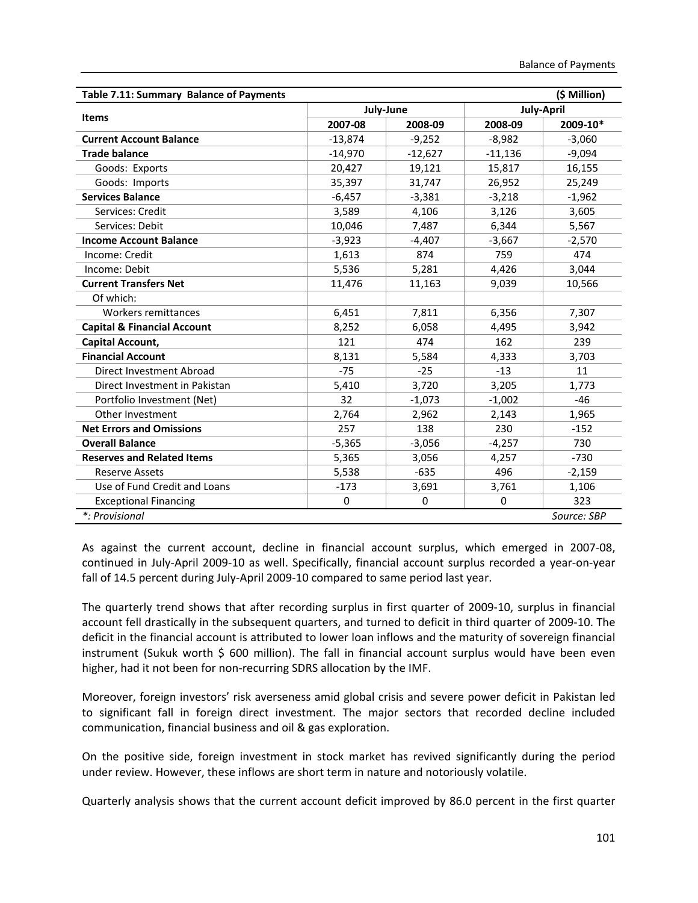| (\$ Million)<br>Table 7.11: Summary Balance of Payments |           |           |           |                   |  |  |  |  |  |
|---------------------------------------------------------|-----------|-----------|-----------|-------------------|--|--|--|--|--|
|                                                         | July-June |           |           | <b>July-April</b> |  |  |  |  |  |
| <b>Items</b>                                            | 2007-08   | 2008-09   | 2008-09   | 2009-10*          |  |  |  |  |  |
| <b>Current Account Balance</b>                          | $-13,874$ | $-9,252$  | $-8,982$  | $-3,060$          |  |  |  |  |  |
| <b>Trade balance</b>                                    | $-14,970$ | $-12,627$ | $-11,136$ | $-9,094$          |  |  |  |  |  |
| Goods: Exports                                          | 20,427    | 19,121    | 15,817    | 16,155            |  |  |  |  |  |
| Goods: Imports                                          | 35,397    | 31,747    | 26,952    | 25,249            |  |  |  |  |  |
| <b>Services Balance</b>                                 | $-6,457$  | $-3,381$  | $-3,218$  | $-1,962$          |  |  |  |  |  |
| Services: Credit                                        | 3,589     | 4,106     | 3,126     | 3,605             |  |  |  |  |  |
| Services: Debit                                         | 10,046    | 7,487     | 6,344     | 5,567             |  |  |  |  |  |
| <b>Income Account Balance</b>                           | $-3,923$  | $-4,407$  | $-3,667$  | $-2,570$          |  |  |  |  |  |
| Income: Credit                                          | 1,613     | 874       | 759       | 474               |  |  |  |  |  |
| Income: Debit                                           | 5,536     | 5,281     | 4,426     | 3,044             |  |  |  |  |  |
| <b>Current Transfers Net</b>                            | 11,476    | 11,163    | 9,039     | 10,566            |  |  |  |  |  |
| Of which:                                               |           |           |           |                   |  |  |  |  |  |
| Workers remittances                                     | 6,451     | 7,811     | 6,356     | 7,307             |  |  |  |  |  |
| <b>Capital &amp; Financial Account</b>                  | 8,252     | 6,058     | 4,495     | 3,942             |  |  |  |  |  |
| Capital Account,                                        | 121       | 474       | 162       | 239               |  |  |  |  |  |
| <b>Financial Account</b>                                | 8,131     | 5,584     | 4,333     | 3,703             |  |  |  |  |  |
| Direct Investment Abroad                                | $-75$     | $-25$     | $-13$     | 11                |  |  |  |  |  |
| Direct Investment in Pakistan                           | 5,410     | 3,720     | 3,205     | 1,773             |  |  |  |  |  |
| Portfolio Investment (Net)                              | 32        | $-1,073$  | $-1,002$  | $-46$             |  |  |  |  |  |
| Other Investment                                        | 2,764     | 2,962     | 2,143     | 1,965             |  |  |  |  |  |
| <b>Net Errors and Omissions</b>                         | 257       | 138       | 230       | $-152$            |  |  |  |  |  |
| <b>Overall Balance</b>                                  | $-5,365$  | $-3,056$  | $-4,257$  | 730               |  |  |  |  |  |
| <b>Reserves and Related Items</b>                       | 5,365     | 3,056     | 4,257     | $-730$            |  |  |  |  |  |
| <b>Reserve Assets</b>                                   | 5,538     | $-635$    | 496       | $-2,159$          |  |  |  |  |  |
| Use of Fund Credit and Loans                            | $-173$    | 3,691     | 3,761     | 1,106             |  |  |  |  |  |
| <b>Exceptional Financing</b>                            | $\Omega$  | $\Omega$  | $\Omega$  | 323               |  |  |  |  |  |
| *: Provisional                                          |           |           |           | Source: SBP       |  |  |  |  |  |

As against the current account, decline in financial account surplus, which emerged in 2007‐08, continued in July‐April 2009‐10 as well. Specifically, financial account surplus recorded a year‐on‐year fall of 14.5 percent during July‐April 2009‐10 compared to same period last year.

The quarterly trend shows that after recording surplus in first quarter of 2009-10, surplus in financial account fell drastically in the subsequent quarters, and turned to deficit in third quarter of 2009‐10. The deficit in the financial account is attributed to lower loan inflows and the maturity of sovereign financial instrument (Sukuk worth  $\frac{2}{5}$  600 million). The fall in financial account surplus would have been even higher, had it not been for non‐recurring SDRS allocation by the IMF.

Moreover, foreign investors' risk averseness amid global crisis and severe power deficit in Pakistan led to significant fall in foreign direct investment. The major sectors that recorded decline included communication, financial business and oil & gas exploration.

On the positive side, foreign investment in stock market has revived significantly during the period under review. However, these inflows are short term in nature and notoriously volatile.

Quarterly analysis shows that the current account deficit improved by 86.0 percent in the first quarter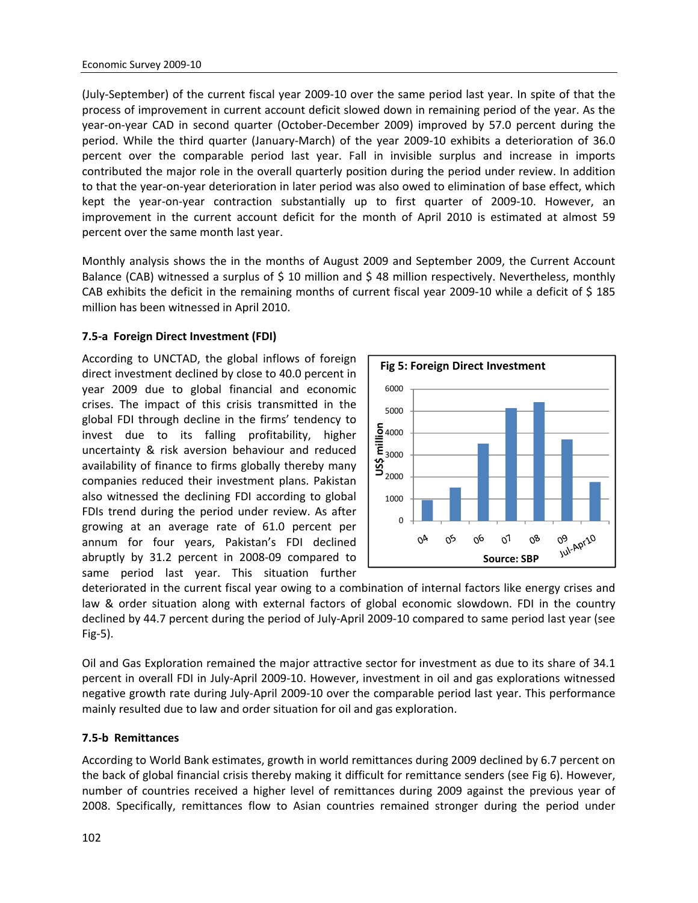(July‐September) of the current fiscal year 2009‐10 over the same period last year. In spite of that the process of improvement in current account deficit slowed down in remaining period of the year. As the year-on-year CAD in second quarter (October-December 2009) improved by 57.0 percent during the period. While the third quarter (January‐March) of the year 2009‐10 exhibits a deterioration of 36.0 percent over the comparable period last year. Fall in invisible surplus and increase in imports contributed the major role in the overall quarterly position during the period under review. In addition to that the year-on-year deterioration in later period was also owed to elimination of base effect, which kept the year-on-year contraction substantially up to first quarter of 2009-10. However, an improvement in the current account deficit for the month of April 2010 is estimated at almost 59 percent over the same month last year.

Monthly analysis shows the in the months of August 2009 and September 2009, the Current Account Balance (CAB) witnessed a surplus of \$ 10 million and \$ 48 million respectively. Nevertheless, monthly CAB exhibits the deficit in the remaining months of current fiscal year 2009‐10 while a deficit of \$ 185 million has been witnessed in April 2010.

#### **7.5‐a Foreign Direct Investment (FDI)**

According to UNCTAD, the global inflows of foreign direct investment declined by close to 40.0 percent in year 2009 due to global financial and economic crises. The impact of this crisis transmitted in the global FDI through decline in the firms' tendency to invest due to its falling profitability, higher uncertainty & risk aversion behaviour and reduced availability of finance to firms globally thereby many companies reduced their investment plans. Pakistan also witnessed the declining FDI according to global FDIs trend during the period under review. As after growing at an average rate of 61.0 percent per annum for four years, Pakistan's FDI declined abruptly by 31.2 percent in 2008‐09 compared to same period last year. This situation further



deteriorated in the current fiscal year owing to a combination of internal factors like energy crises and law & order situation along with external factors of global economic slowdown. FDI in the country declined by 44.7 percent during the period of July‐April 2009‐10 compared to same period last year (see Fig‐5).

Oil and Gas Exploration remained the major attractive sector for investment as due to its share of 34.1 percent in overall FDI in July‐April 2009‐10. However, investment in oil and gas explorations witnessed negative growth rate during July‐April 2009‐10 over the comparable period last year. This performance mainly resulted due to law and order situation for oil and gas exploration.

#### **7.5‐b Remittances**

According to World Bank estimates, growth in world remittances during 2009 declined by 6.7 percent on the back of global financial crisis thereby making it difficult for remittance senders (see Fig 6). However, number of countries received a higher level of remittances during 2009 against the previous year of 2008. Specifically, remittances flow to Asian countries remained stronger during the period under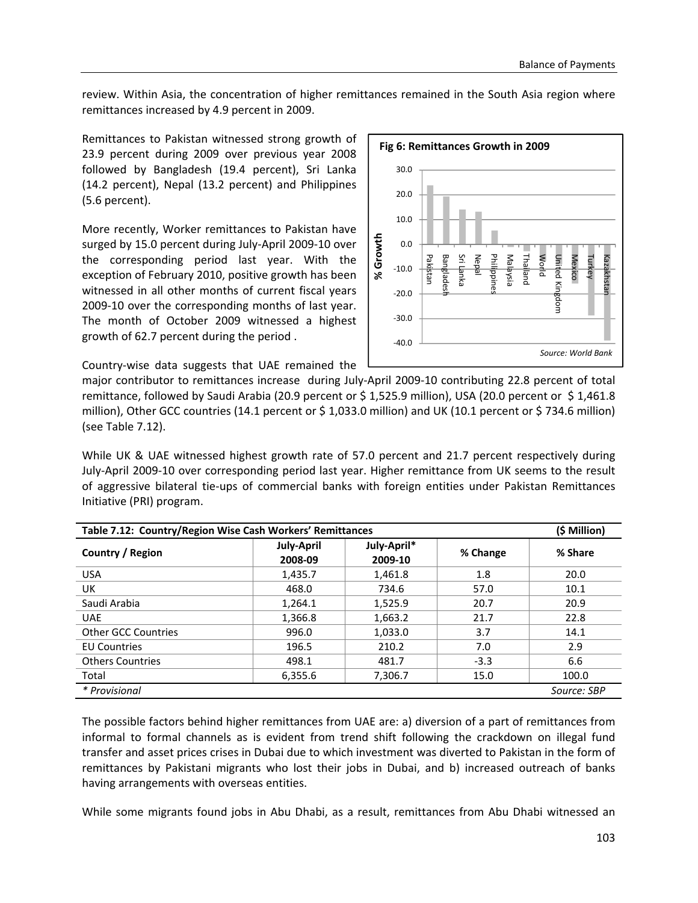review. Within Asia, the concentration of higher remittances remained in the South Asia region where remittances increased by 4.9 percent in 2009.

Remittances to Pakistan witnessed strong growth of 23.9 percent during 2009 over previous year 2008 followed by Bangladesh (19.4 percent), Sri Lanka (14.2 percent), Nepal (13.2 percent) and Philippines (5.6 percent).

More recently, Worker remittances to Pakistan have surged by 15.0 percent during July‐April 2009‐10 over the corresponding period last year. With the exception of February 2010, positive growth has been witnessed in all other months of current fiscal years 2009‐10 over the corresponding months of last year. The month of October 2009 witnessed a highest growth of 62.7 percent during the period .



Country‐wise data suggests that UAE remained the

major contributor to remittances increase during July‐April 2009‐10 contributing 22.8 percent of total remittance, followed by Saudi Arabia (20.9 percent or \$1,525.9 million), USA (20.0 percent or \$1,461.8 million), Other GCC countries (14.1 percent or \$ 1,033.0 million) and UK (10.1 percent or \$ 734.6 million) (see Table 7.12).

While UK & UAE witnessed highest growth rate of 57.0 percent and 21.7 percent respectively during July‐April 2009‐10 over corresponding period last year. Higher remittance from UK seems to the result of aggressive bilateral tie‐ups of commercial banks with foreign entities under Pakistan Remittances Initiative (PRI) program.

| Table 7.12: Country/Region Wise Cash Workers' Remittances |                              |                        |        |             |  |  |  |  |  |
|-----------------------------------------------------------|------------------------------|------------------------|--------|-------------|--|--|--|--|--|
| Country / Region                                          | <b>July-April</b><br>2008-09 | July-April*<br>2009-10 |        | % Share     |  |  |  |  |  |
| <b>USA</b>                                                | 1,435.7                      | 1,461.8                | 1.8    | 20.0        |  |  |  |  |  |
| UK                                                        | 468.0                        | 734.6                  | 57.0   | 10.1        |  |  |  |  |  |
| Saudi Arabia                                              | 1,264.1                      | 1,525.9                | 20.7   | 20.9        |  |  |  |  |  |
| <b>UAE</b>                                                | 1,366.8                      | 1,663.2                | 21.7   | 22.8        |  |  |  |  |  |
| <b>Other GCC Countries</b>                                | 996.0                        | 1,033.0                | 3.7    | 14.1        |  |  |  |  |  |
| <b>EU Countries</b>                                       | 196.5                        | 210.2                  | 7.0    | 2.9         |  |  |  |  |  |
| <b>Others Countries</b>                                   | 498.1                        | 481.7                  | $-3.3$ | 6.6         |  |  |  |  |  |
| Total                                                     | 6,355.6                      | 7,306.7                | 15.0   | 100.0       |  |  |  |  |  |
| * Provisional                                             |                              |                        |        | Source: SBP |  |  |  |  |  |

The possible factors behind higher remittances from UAE are: a) diversion of a part of remittances from informal to formal channels as is evident from trend shift following the crackdown on illegal fund transfer and asset prices crises in Dubai due to which investment was diverted to Pakistan in the form of remittances by Pakistani migrants who lost their jobs in Dubai, and b) increased outreach of banks having arrangements with overseas entities.

While some migrants found jobs in Abu Dhabi, as a result, remittances from Abu Dhabi witnessed an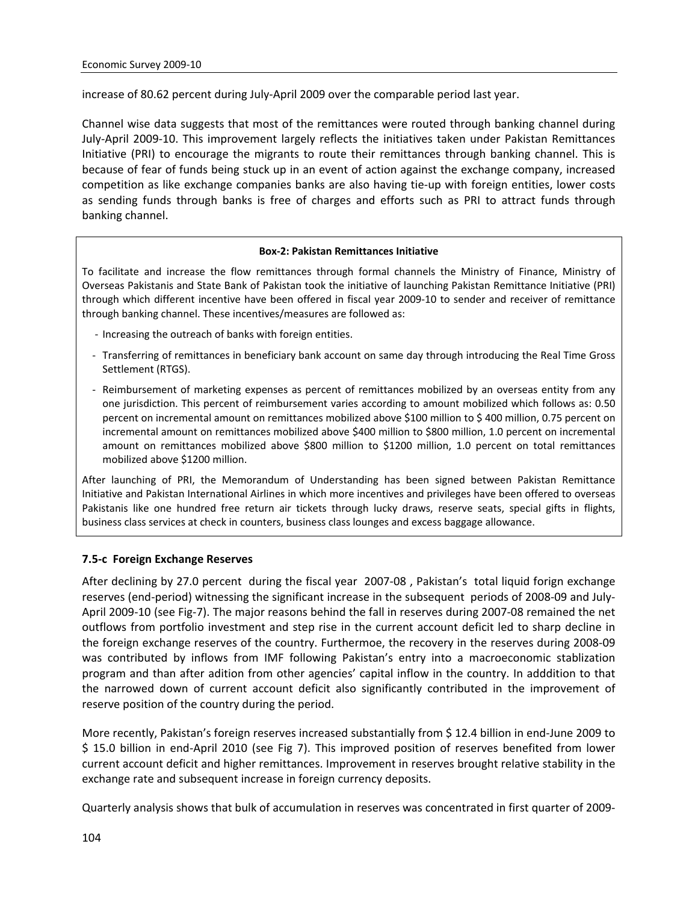increase of 80.62 percent during July‐April 2009 over the comparable period last year.

Channel wise data suggests that most of the remittances were routed through banking channel during July‐April 2009‐10. This improvement largely reflects the initiatives taken under Pakistan Remittances Initiative (PRI) to encourage the migrants to route their remittances through banking channel. This is because of fear of funds being stuck up in an event of action against the exchange company, increased competition as like exchange companies banks are also having tie‐up with foreign entities, lower costs as sending funds through banks is free of charges and efforts such as PRI to attract funds through banking channel.

#### **Box‐2: Pakistan Remittances Initiative**

To facilitate and increase the flow remittances through formal channels the Ministry of Finance, Ministry of Overseas Pakistanis and State Bank of Pakistan took the initiative of launching Pakistan Remittance Initiative (PRI) through which different incentive have been offered in fiscal year 2009‐10 to sender and receiver of remittance through banking channel. These incentives/measures are followed as:

- ‐ Increasing the outreach of banks with foreign entities.
- ‐ Transferring of remittances in beneficiary bank account on same day through introducing the Real Time Gross Settlement (RTGS).
- ‐ Reimbursement of marketing expenses as percent of remittances mobilized by an overseas entity from any one jurisdiction. This percent of reimbursement varies according to amount mobilized which follows as: 0.50 percent on incremental amount on remittances mobilized above \$100 million to \$ 400 million, 0.75 percent on incremental amount on remittances mobilized above \$400 million to \$800 million, 1.0 percent on incremental amount on remittances mobilized above \$800 million to \$1200 million, 1.0 percent on total remittances mobilized above \$1200 million.

After launching of PRI, the Memorandum of Understanding has been signed between Pakistan Remittance Initiative and Pakistan International Airlines in which more incentives and privileges have been offered to overseas Pakistanis like one hundred free return air tickets through lucky draws, reserve seats, special gifts in flights, business class services at check in counters, business class lounges and excess baggage allowance.

#### **7.5‐c Foreign Exchange Reserves**

After declining by 27.0 percent during the fiscal year 2007‐08 , Pakistan's total liquid forign exchange reserves (end‐period) witnessing the significant increase in the subsequent periods of 2008‐09 and July‐ April 2009‐10 (see Fig‐7). The major reasons behind the fall in reserves during 2007‐08 remained the net outflows from portfolio investment and step rise in the current account deficit led to sharp decline in the foreign exchange reserves of the country. Furthermoe, the recovery in the reserves during 2008‐09 was contributed by inflows from IMF following Pakistan's entry into a macroeconomic stablization program and than after adition from other agencies' capital inflow in the country. In adddition to that the narrowed down of current account deficit also significantly contributed in the improvement of reserve position of the country during the period.

More recently, Pakistan's foreign reserves increased substantially from \$12.4 billion in end-June 2009 to \$ 15.0 billion in end-April 2010 (see Fig 7). This improved position of reserves benefited from lower current account deficit and higher remittances. Improvement in reserves brought relative stability in the exchange rate and subsequent increase in foreign currency deposits.

Quarterly analysis shows that bulk of accumulation in reserves was concentrated in first quarter of 2009‐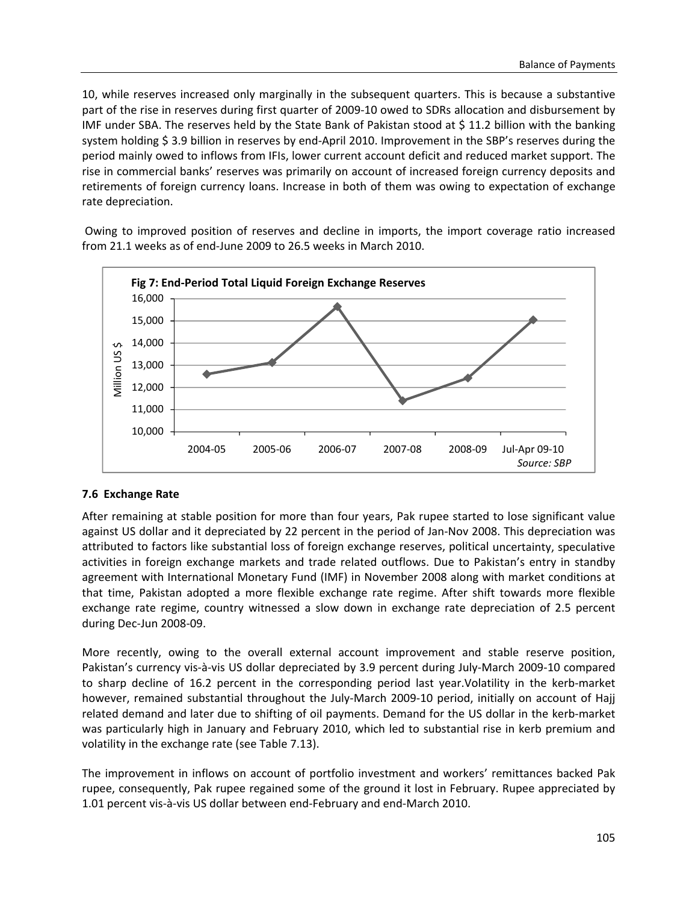10, while reserves increased only marginally in the subsequent quarters. This is because a substantive part of the rise in reserves during first quarter of 2009-10 owed to SDRs allocation and disbursement by IMF under SBA. The reserves held by the State Bank of Pakistan stood at \$ 11.2 billion with the banking system holding \$3.9 billion in reserves by end-April 2010. Improvement in the SBP's reserves during the period mainly owed to inflows from IFIs, lower current account deficit and reduced market support. The rise in commercial banks' reserves was primarily on account of increased foreign currency deposits and retirements of foreign currency loans. Increase in both of them was owing to expectation of exchange rate depreciation.

Owing to improved position of reserves and decline in imports, the import coverage ratio increased from 21.1 weeks as of end‐June 2009 to 26.5 weeks in March 2010.



#### **7.6 Exchange Rate**

After remaining at stable position for more than four years, Pak rupee started to lose significant value against US dollar and it depreciated by 22 percent in the period of Jan‐Nov 2008. This depreciation was attributed to factors like substantial loss of foreign exchange reserves, political uncertainty, speculative activities in foreign exchange markets and trade related outflows. Due to Pakistan's entry in standby agreement with International Monetary Fund (IMF) in November 2008 along with market conditions at that time, Pakistan adopted a more flexible exchange rate regime. After shift towards more flexible exchange rate regime, country witnessed a slow down in exchange rate depreciation of 2.5 percent during Dec‐Jun 2008‐09.

More recently, owing to the overall external account improvement and stable reserve position, Pakistan's currency vis‐à‐vis US dollar depreciated by 3.9 percent during July‐March 2009‐10 compared to sharp decline of 16.2 percent in the corresponding period last year.Volatility in the kerb-market however, remained substantial throughout the July-March 2009-10 period, initially on account of Hajj related demand and later due to shifting of oil payments. Demand for the US dollar in the kerb‐market was particularly high in January and February 2010, which led to substantial rise in kerb premium and volatility in the exchange rate (see Table 7.13).

The improvement in inflows on account of portfolio investment and workers' remittances backed Pak rupee, consequently, Pak rupee regained some of the ground it lost in February. Rupee appreciated by 1.01 percent vis‐à‐vis US dollar between end‐February and end‐March 2010.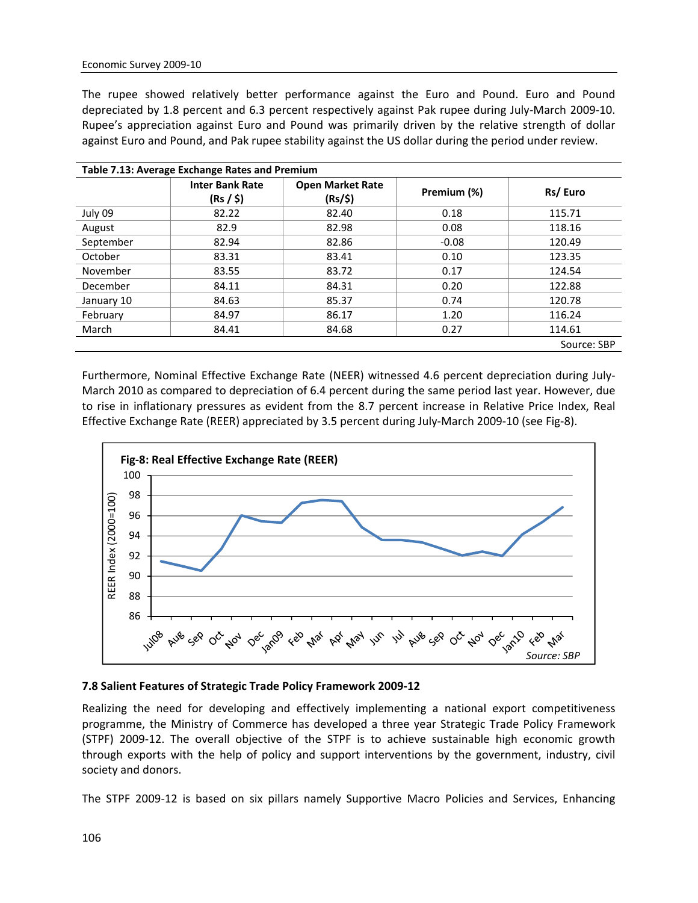The rupee showed relatively better performance against the Euro and Pound. Euro and Pound depreciated by 1.8 percent and 6.3 percent respectively against Pak rupee during July‐March 2009‐10. Rupee's appreciation against Euro and Pound was primarily driven by the relative strength of dollar against Euro and Pound, and Pak rupee stability against the US dollar during the period under review.

| Table 7.13: Average Exchange Rates and Premium |                                     |                                    |             |             |  |  |  |  |  |  |  |
|------------------------------------------------|-------------------------------------|------------------------------------|-------------|-------------|--|--|--|--|--|--|--|
|                                                | <b>Inter Bank Rate</b><br>(Rs / \$) | <b>Open Market Rate</b><br>(Rs/\$) | Premium (%) | Rs/Euro     |  |  |  |  |  |  |  |
| July 09                                        | 82.22                               | 82.40                              | 0.18        | 115.71      |  |  |  |  |  |  |  |
| August                                         | 82.9                                | 82.98                              | 0.08        | 118.16      |  |  |  |  |  |  |  |
| September                                      | 82.94                               | 82.86                              | $-0.08$     | 120.49      |  |  |  |  |  |  |  |
| October                                        | 83.31                               | 83.41                              | 0.10        | 123.35      |  |  |  |  |  |  |  |
| November                                       | 83.55                               | 83.72                              | 0.17        | 124.54      |  |  |  |  |  |  |  |
| December                                       | 84.11                               | 84.31                              | 0.20        | 122.88      |  |  |  |  |  |  |  |
| January 10                                     | 84.63                               | 85.37                              | 0.74        | 120.78      |  |  |  |  |  |  |  |
| February                                       | 84.97                               | 86.17                              | 1.20        | 116.24      |  |  |  |  |  |  |  |
| March                                          | 84.41                               | 84.68                              | 0.27        | 114.61      |  |  |  |  |  |  |  |
|                                                |                                     |                                    |             | Source: SBP |  |  |  |  |  |  |  |

Furthermore, Nominal Effective Exchange Rate (NEER) witnessed 4.6 percent depreciation during July‐ March 2010 as compared to depreciation of 6.4 percent during the same period last year. However, due to rise in inflationary pressures as evident from the 8.7 percent increase in Relative Price Index, Real Effective Exchange Rate (REER) appreciated by 3.5 percent during July‐March 2009‐10 (see Fig‐8).



#### **7.8 Salient Features of Strategic Trade Policy Framework 2009‐12**

Realizing the need for developing and effectively implementing a national export competitiveness programme, the Ministry of Commerce has developed a three year Strategic Trade Policy Framework (STPF) 2009‐12. The overall objective of the STPF is to achieve sustainable high economic growth through exports with the help of policy and support interventions by the government, industry, civil society and donors.

The STPF 2009‐12 is based on six pillars namely Supportive Macro Policies and Services, Enhancing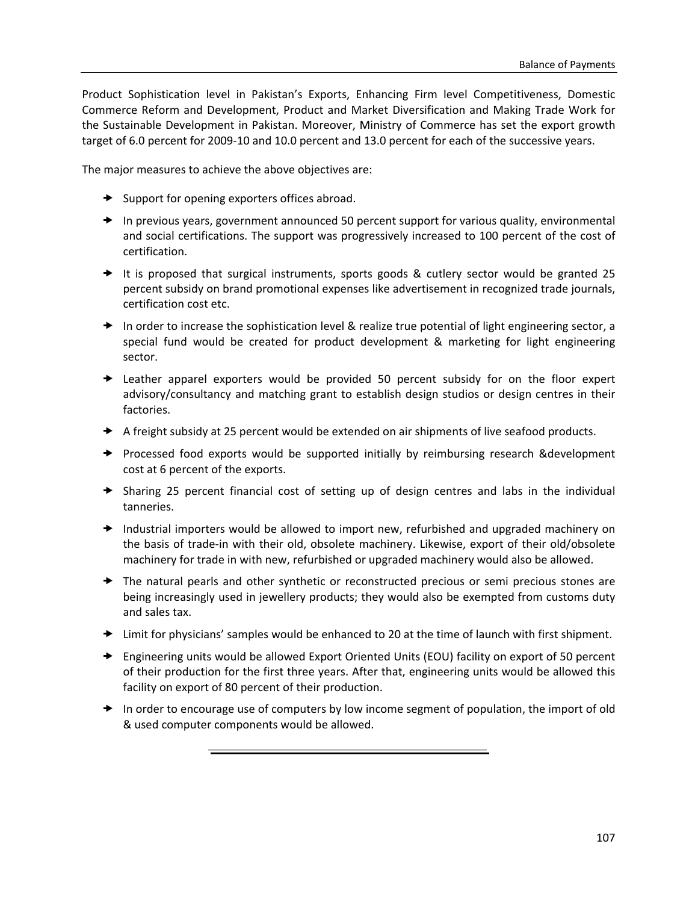Product Sophistication level in Pakistan's Exports, Enhancing Firm level Competitiveness, Domestic Commerce Reform and Development, Product and Market Diversification and Making Trade Work for the Sustainable Development in Pakistan. Moreover, Ministry of Commerce has set the export growth target of 6.0 percent for 2009‐10 and 10.0 percent and 13.0 percent for each of the successive years.

The major measures to achieve the above objectives are:

- $\rightarrow$  Support for opening exporters offices abroad.
- $\rightarrow$  In previous years, government announced 50 percent support for various quality, environmental and social certifications. The support was progressively increased to 100 percent of the cost of certification.
- $\rightarrow$  It is proposed that surgical instruments, sports goods & cutlery sector would be granted 25 percent subsidy on brand promotional expenses like advertisement in recognized trade journals, certification cost etc.
- $\rightarrow$  In order to increase the sophistication level & realize true potential of light engineering sector, a special fund would be created for product development & marketing for light engineering sector.
- $\rightarrow$  Leather apparel exporters would be provided 50 percent subsidy for on the floor expert advisory/consultancy and matching grant to establish design studios or design centres in their factories.
- $\blacktriangleright$  A freight subsidy at 25 percent would be extended on air shipments of live seafood products.
- $\rightarrow$  Processed food exports would be supported initially by reimbursing research &development cost at 6 percent of the exports.
- $\rightarrow$  Sharing 25 percent financial cost of setting up of design centres and labs in the individual tanneries.
- $\rightarrow$  Industrial importers would be allowed to import new, refurbished and upgraded machinery on the basis of trade‐in with their old, obsolete machinery. Likewise, export of their old/obsolete machinery for trade in with new, refurbished or upgraded machinery would also be allowed.
- $\rightarrow$  The natural pearls and other synthetic or reconstructed precious or semi precious stones are being increasingly used in jewellery products; they would also be exempted from customs duty and sales tax.
- $\rightarrow$  Limit for physicians' samples would be enhanced to 20 at the time of launch with first shipment.
- $\rightarrow$  Engineering units would be allowed Export Oriented Units (EOU) facility on export of 50 percent of their production for the first three years. After that, engineering units would be allowed this facility on export of 80 percent of their production.
- $\rightarrow$  In order to encourage use of computers by low income segment of population, the import of old & used computer components would be allowed.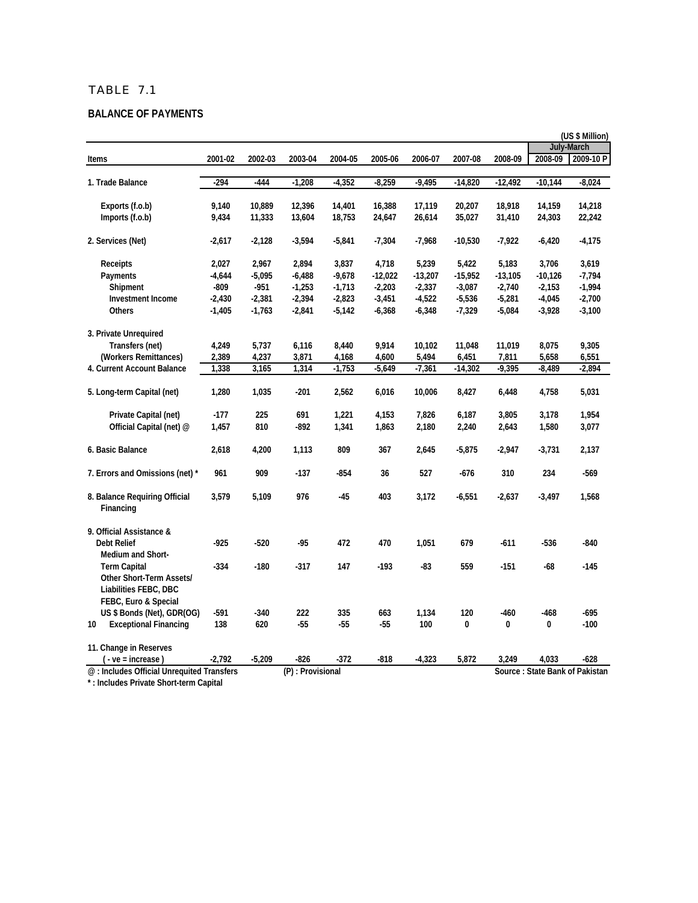#### **BALANCE OF PAYMENTS**

|                                                                          |          |          |                  |          |           |           |           |           |           | (US \$ Million)                |
|--------------------------------------------------------------------------|----------|----------|------------------|----------|-----------|-----------|-----------|-----------|-----------|--------------------------------|
|                                                                          |          |          |                  |          |           |           |           |           |           | <b>July-March</b>              |
| <b>Items</b>                                                             | 2001-02  | 2002-03  | 2003-04          | 2004-05  | 2005-06   | 2006-07   | 2007-08   | 2008-09   | 2008-09   | 2009-10 P                      |
| 1. Trade Balance                                                         | -294     | -444     | $-1,208$         | $-4,352$ | $-8,259$  | $-9,495$  | $-14,820$ | $-12,492$ | $-10,144$ | $-8,024$                       |
| Exports (f.o.b)                                                          | 9,140    | 10,889   | 12,396           | 14,401   | 16,388    | 17,119    | 20,207    | 18,918    | 14,159    | 14,218                         |
| Imports (f.o.b)                                                          | 9,434    | 11,333   | 13,604           | 18,753   | 24,647    | 26,614    | 35,027    | 31,410    | 24,303    | 22,242                         |
| 2. Services (Net)                                                        | $-2,617$ | $-2,128$ | $-3,594$         | $-5,841$ | $-7,304$  | $-7,968$  | $-10,530$ | -7,922    | $-6,420$  | $-4,175$                       |
| <b>Receipts</b>                                                          | 2,027    | 2,967    | 2,894            | 3,837    | 4,718     | 5,239     | 5,422     | 5,183     | 3,706     | 3,619                          |
| Payments                                                                 | $-4,644$ | $-5,095$ | $-6,488$         | $-9,678$ | $-12,022$ | $-13,207$ | $-15,952$ | $-13,105$ | $-10,126$ | $-7,794$                       |
| Shipment                                                                 | $-809$   | $-951$   | $-1,253$         | $-1,713$ | $-2,203$  | $-2,337$  | $-3,087$  | $-2,740$  | $-2,153$  | $-1,994$                       |
| <b>Investment Income</b>                                                 | $-2,430$ | $-2,381$ | $-2,394$         | $-2,823$ | $-3,451$  | $-4,522$  | $-5,536$  | $-5,281$  | $-4,045$  | $-2,700$                       |
| Others                                                                   | $-1,405$ | $-1,763$ | $-2,841$         | $-5,142$ | $-6,368$  | $-6,348$  | $-7,329$  | $-5,084$  | $-3,928$  | $-3,100$                       |
| 3. Private Unrequired                                                    |          |          |                  |          |           |           |           |           |           |                                |
| Transfers (net)                                                          | 4,249    | 5,737    | 6,116            | 8,440    | 9,914     | 10,102    | 11,048    | 11,019    | 8,075     | 9,305                          |
| (Workers Remittances)                                                    | 2,389    | 4,237    | 3,871            | 4,168    | 4,600     | 5,494     | 6,451     | 7,811     | 5,658     | 6,551                          |
| 4. Current Account Balance                                               | 1,338    | 3,165    | 1,314            | $-1,753$ | $-5,649$  | $-7,361$  | $-14,302$ | $-9,395$  | $-8,489$  | $-2,894$                       |
| 5. Long-term Capital (net)                                               | 1,280    | 1,035    | $-201$           | 2,562    | 6,016     | 10,006    | 8,427     | 6,448     | 4,758     | 5,031                          |
| Private Capital (net)                                                    | $-177$   | 225      | 691              | 1,221    | 4,153     | 7,826     | 6,187     | 3,805     | 3,178     | 1,954                          |
| Official Capital (net) @                                                 | 1,457    | 810      | -892             | 1,341    | 1,863     | 2,180     | 2,240     | 2,643     | 1,580     | 3,077                          |
| 6. Basic Balance                                                         | 2,618    | 4,200    | 1,113            | 809      | 367       | 2,645     | $-5,875$  | $-2,947$  | $-3,731$  | 2,137                          |
| 7. Errors and Omissions (net) *                                          | 961      | 909      | $-137$           | $-854$   | 36        | 527       | $-676$    | 310       | 234       | $-569$                         |
| 8. Balance Requiring Official<br>Financing                               | 3,579    | 5,109    | 976              | $-45$    | 403       | 3,172     | $-6,551$  | $-2,637$  | $-3,497$  | 1,568                          |
| 9. Official Assistance &                                                 |          |          |                  |          |           |           |           |           |           |                                |
| <b>Debt Relief</b><br>Medium and Short-                                  | $-925$   | $-520$   | $-95$            | 472      | 470       | 1,051     | 679       | $-611$    | $-536$    | $-840$                         |
| <b>Term Capital</b><br>Other Short-Term Assets/<br>Liabilities FEBC, DBC | $-334$   | $-180$   | $-317$           | 147      | $-193$    | $-83$     | 559       | $-151$    | $-68$     | $-145$                         |
| FEBC, Euro & Special                                                     |          |          |                  |          |           |           |           |           |           |                                |
| US \$ Bonds (Net), GDR(OG)                                               | -591     | $-340$   | 222              | 335      | 663       | 1,134     | 120       | $-460$    | $-468$    | -695                           |
| 10<br><b>Exceptional Financing</b>                                       | 138      | 620      | $-55$            | $-55$    | $-55$     | 100       | 0         | 0         | 0         | $-100$                         |
| 11. Change in Reserves                                                   |          |          |                  |          |           |           |           |           |           |                                |
| ( - ve = increase)                                                       | $-2,792$ | $-5,209$ | $-826$           | $-372$   | $-818$    | $-4,323$  | 5,872     | 3,249     | 4,033     | $-628$                         |
| @: Includes Official Unrequited Transfers                                |          |          | (P): Provisional |          |           |           |           |           |           | Source: State Bank of Pakistan |

**\* : Includes Private Short-term Capital**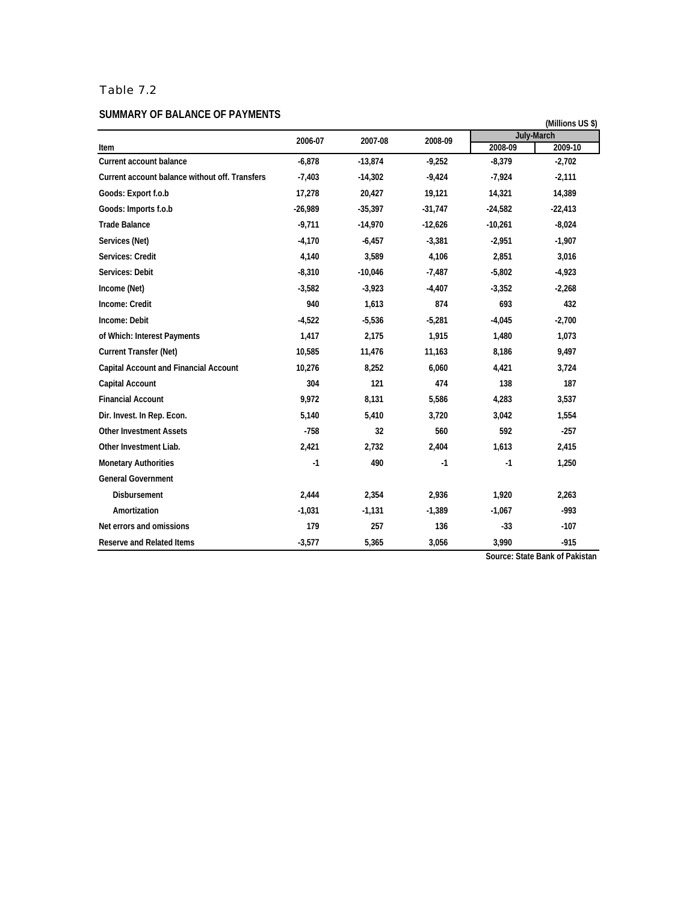# Table 7.2

#### **SUMMARY OF BALANCE OF PAYMENTS**

| SUMMARY OF BALANCE OF PAYMENTS                 |           |           |           |           | (Millions US \$)  |
|------------------------------------------------|-----------|-----------|-----------|-----------|-------------------|
|                                                | 2006-07   | 2007-08   | 2008-09   |           | <b>July-March</b> |
| Item                                           |           |           |           | 2008-09   | 2009-10           |
| <b>Current account balance</b>                 | $-6,878$  | $-13,874$ | $-9,252$  | $-8,379$  | $-2,702$          |
| Current account balance without off. Transfers | $-7,403$  | $-14,302$ | $-9,424$  | $-7,924$  | $-2,111$          |
| Goods: Export f.o.b                            | 17,278    | 20,427    | 19,121    | 14,321    | 14,389            |
| Goods: Imports f.o.b                           | $-26,989$ | $-35,397$ | $-31,747$ | $-24,582$ | $-22,413$         |
| <b>Trade Balance</b>                           | $-9,711$  | $-14,970$ | $-12,626$ | $-10,261$ | $-8,024$          |
| Services (Net)                                 | $-4,170$  | $-6,457$  | $-3,381$  | $-2,951$  | $-1,907$          |
| Services: Credit                               | 4,140     | 3,589     | 4,106     | 2.851     | 3,016             |
| Services: Debit                                | $-8,310$  | $-10,046$ | $-7,487$  | $-5,802$  | $-4,923$          |
| Income (Net)                                   | $-3,582$  | $-3,923$  | $-4,407$  | $-3,352$  | $-2,268$          |
| Income: Credit                                 | 940       | 1,613     | 874       | 693       | 432               |
| Income: Debit                                  | $-4,522$  | $-5,536$  | $-5,281$  | $-4,045$  | $-2,700$          |
| of Which: Interest Payments                    | 1,417     | 2,175     | 1,915     | 1,480     | 1,073             |
| <b>Current Transfer (Net)</b>                  | 10,585    | 11,476    | 11,163    | 8,186     | 9,497             |
| <b>Capital Account and Financial Account</b>   | 10,276    | 8,252     | 6,060     | 4,421     | 3,724             |
| <b>Capital Account</b>                         | 304       | 121       | 474       | 138       | 187               |
| <b>Financial Account</b>                       | 9,972     | 8,131     | 5,586     | 4,283     | 3,537             |
| Dir. Invest. In Rep. Econ.                     | 5,140     | 5,410     | 3,720     | 3,042     | 1,554             |
| <b>Other Investment Assets</b>                 | $-758$    | 32        | 560       | 592       | $-257$            |
| Other Investment Liab.                         | 2,421     | 2,732     | 2,404     | 1,613     | 2,415             |
| <b>Monetary Authorities</b>                    | $-1$      | 490       | $-1$      | $-1$      | 1,250             |
| <b>General Government</b>                      |           |           |           |           |                   |
| <b>Disbursement</b>                            | 2,444     | 2,354     | 2,936     | 1,920     | 2,263             |
| Amortization                                   | $-1,031$  | $-1,131$  | $-1,389$  | $-1,067$  | $-993$            |
| Net errors and omissions                       | 179       | 257       | 136       | $-33$     | $-107$            |
| <b>Reserve and Related Items</b>               | $-3,577$  | 5,365     | 3,056     | 3,990     | $-915$            |

**Source: State Bank of Pakistan**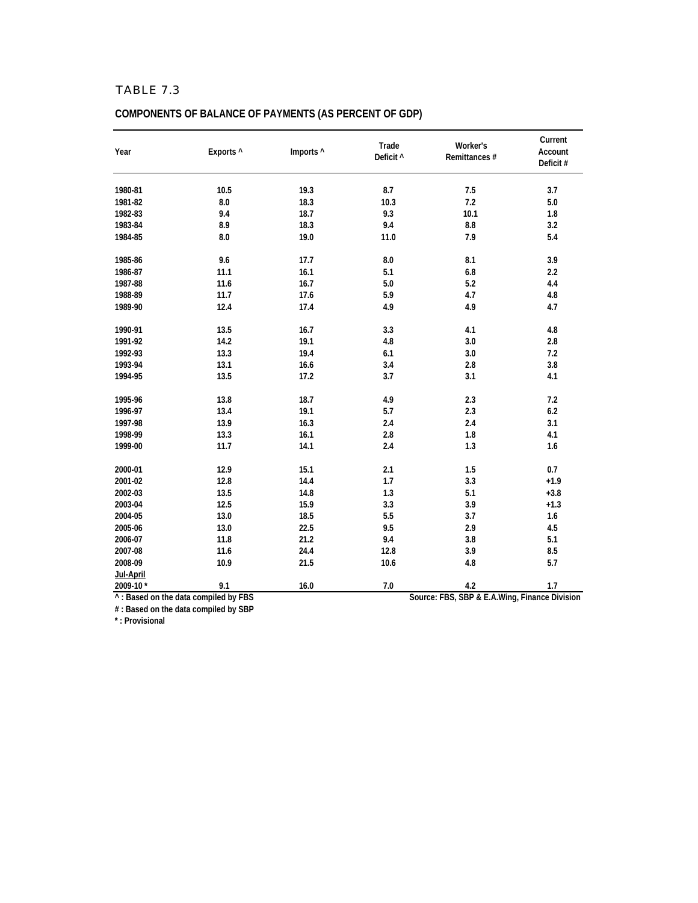| Exports ^<br>Year     |      | Imports ^ | Trade<br>Deficit ^ | Worker's<br>Remittances # | Current<br>Account<br>Deficit# |  |
|-----------------------|------|-----------|--------------------|---------------------------|--------------------------------|--|
| 1980-81               | 10.5 | 19.3      | 8.7                | 7.5                       | 3.7                            |  |
| 1981-82               | 8.0  | 18.3      | 10.3               | 7.2                       | 5.0                            |  |
| 1982-83               | 9.4  | 18.7      | 9.3                | 10.1                      | 1.8                            |  |
| 1983-84               | 8.9  | 18.3      | 9.4                | $\bf 8.8$                 | 3.2                            |  |
| 1984-85               | 8.0  | 19.0      | 11.0               | 7.9                       | 5.4                            |  |
| 1985-86               | 9.6  | 17.7      | 8.0                | 8.1                       | 3.9                            |  |
| 1986-87               | 11.1 | 16.1      | 5.1                | 6.8                       | 2.2                            |  |
| 1987-88               | 11.6 | 16.7      | 5.0                | 5.2                       | 4.4                            |  |
| 1988-89               | 11.7 | 17.6      | 5.9                | 4.7                       | 4.8                            |  |
| 1989-90               | 12.4 | 17.4      | 4.9                | 4.9                       | 4.7                            |  |
| 1990-91               | 13.5 | 16.7      | 3.3                | $4.1\,$                   | 4.8                            |  |
| 1991-92               | 14.2 | 19.1      | 4.8                | 3.0                       | 2.8                            |  |
| 1992-93               | 13.3 | 19.4      | 6.1                | 3.0                       | 7.2                            |  |
| 1993-94               | 13.1 | 16.6      | 3.4                | $2.8\,$                   | 3.8                            |  |
| 1994-95               | 13.5 | 17.2      | 3.7                | 3.1                       | 4.1                            |  |
| 1995-96               | 13.8 | 18.7      | 4.9                | 2.3                       | 7.2                            |  |
| 1996-97               | 13.4 | 19.1      | 5.7                | 2.3                       | 6.2                            |  |
| 1997-98               | 13.9 | 16.3      | 2.4                | 2.4                       | 3.1                            |  |
| 1998-99               | 13.3 | 16.1      | 2.8                | 1.8                       | 4.1                            |  |
| 1999-00               | 11.7 | 14.1      | 2.4                | 1.3                       | 1.6                            |  |
| 2000-01               | 12.9 | 15.1      | 2.1                | 1.5                       | 0.7                            |  |
| 2001-02               | 12.8 | 14.4      | 1.7                | 3.3                       | $+1.9$                         |  |
| 2002-03               | 13.5 | 14.8      | 1.3                | 5.1                       | $+3.8$                         |  |
| 2003-04               | 12.5 | 15.9      | 3.3                | 3.9                       | $+1.3$                         |  |
| 2004-05               | 13.0 | 18.5      | 5.5                | 3.7                       | 1.6                            |  |
| 2005-06               | 13.0 | 22.5      | 9.5                | 2.9                       | 4.5                            |  |
| 2006-07               | 11.8 | 21.2      | 9.4                | 3.8                       | 5.1                            |  |
| 2007-08               | 11.6 | 24.4      | 12.8               | 3.9                       | 8.5                            |  |
| 2008-09               | 10.9 | 21.5      | 10.6               | 4.8                       | 5.7                            |  |
| Jul-April<br>2009-10* | 9.1  | 16.0      | 7.0                | 4.2                       | 1.7                            |  |

# **COMPONENTS OF BALANCE OF PAYMENTS (AS PERCENT OF GDP)**

**# : Based on the data compiled by SBP**

**\* : Provisional**

**Source: FBS, SBP & E.A.Wing, Finance Division**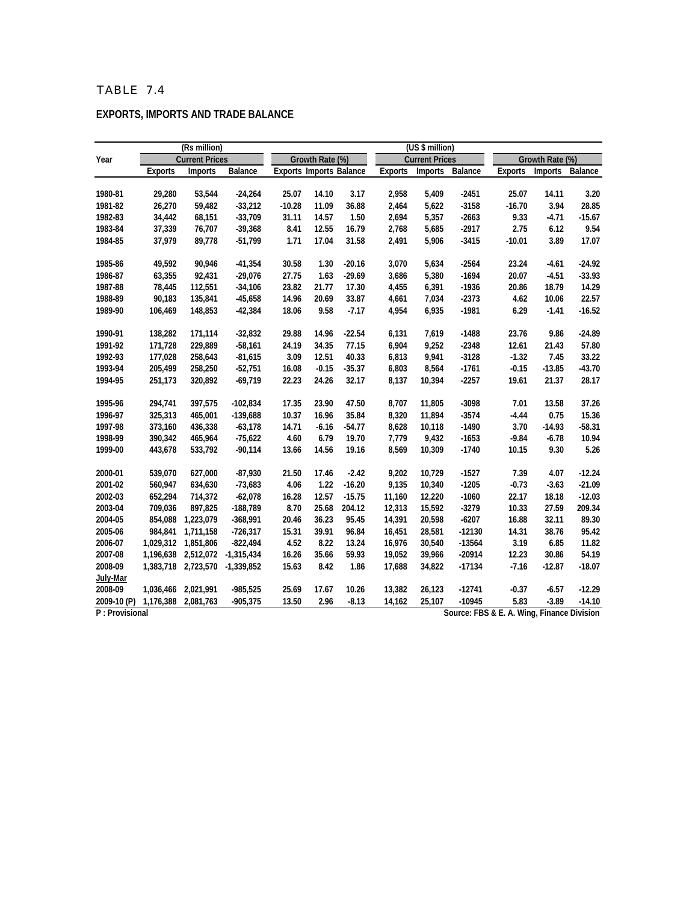|                |                | (Rs million)          |              |                                |                 |          | (US \$ million) |                       |          |                                            |                 |          |
|----------------|----------------|-----------------------|--------------|--------------------------------|-----------------|----------|-----------------|-----------------------|----------|--------------------------------------------|-----------------|----------|
| Year           |                | <b>Current Prices</b> |              |                                | Growth Rate (%) |          |                 | <b>Current Prices</b> |          |                                            | Growth Rate (%) |          |
|                | <b>Exports</b> | Imports               | Balance      | <b>Exports Imports Balance</b> |                 |          | <b>Exports</b>  | Imports               | Balance  | <b>Exports</b>                             | Imports         | Balance  |
|                |                |                       |              |                                |                 |          |                 |                       |          |                                            |                 |          |
| 1980-81        | 29,280         | 53,544                | $-24,264$    | 25.07                          | 14.10           | 3.17     | 2,958           | 5,409                 | $-2451$  | 25.07                                      | 14.11           | 3.20     |
| 1981-82        | 26,270         | 59,482                | $-33,212$    | $-10.28$                       | 11.09           | 36.88    | 2,464           | 5,622                 | $-3158$  | $-16.70$                                   | 3.94            | 28.85    |
| 1982-83        | 34,442         | 68,151                | $-33,709$    | 31.11                          | 14.57           | 1.50     | 2,694           | 5,357                 | $-2663$  | 9.33                                       | $-4.71$         | $-15.67$ |
| 1983-84        | 37,339         | 76,707                | $-39,368$    | 8.41                           | 12.55           | 16.79    | 2,768           | 5,685                 | $-2917$  | 2.75                                       | 6.12            | 9.54     |
| 1984-85        | 37,979         | 89,778                | $-51,799$    | 1.71                           | 17.04           | 31.58    | 2,491           | 5,906                 | $-3415$  | $-10.01$                                   | 3.89            | 17.07    |
|                |                |                       |              |                                |                 |          |                 |                       |          |                                            |                 |          |
| 1985-86        | 49,592         | 90,946                | $-41,354$    | 30.58                          | 1.30            | $-20.16$ | 3,070           | 5,634                 | $-2564$  | 23.24                                      | $-4.61$         | $-24.92$ |
| 1986-87        | 63,355         | 92,431                | $-29,076$    | 27.75                          | 1.63            | $-29.69$ | 3,686           | 5,380                 | $-1694$  | 20.07                                      | $-4.51$         | $-33.93$ |
| 1987-88        | 78,445         | 112,551               | $-34,106$    | 23.82                          | 21.77           | 17.30    | 4,455           | 6,391                 | $-1936$  | 20.86                                      | 18.79           | 14.29    |
| 1988-89        | 90,183         | 135,841               | $-45,658$    | 14.96                          | 20.69           | 33.87    | 4,661           | 7,034                 | $-2373$  | 4.62                                       | 10.06           | 22.57    |
| 1989-90        | 106,469        | 148,853               | $-42,384$    | 18.06                          | 9.58            | $-7.17$  | 4,954           | 6,935                 | $-1981$  | 6.29                                       | $-1.41$         | $-16.52$ |
|                |                |                       |              |                                |                 |          |                 |                       |          |                                            |                 |          |
| 1990-91        | 138,282        | 171.114               | $-32,832$    | 29.88                          | 14.96           | $-22.54$ | 6,131           | 7,619                 | $-1488$  | 23.76                                      | 9.86            | $-24.89$ |
| 1991-92        | 171,728        | 229,889               | $-58,161$    | 24.19                          | 34.35           | 77.15    | 6,904           | 9,252                 | $-2348$  | 12.61                                      | 21.43           | 57.80    |
| 1992-93        | 177,028        | 258,643               | $-81,615$    | 3.09                           | 12.51           | 40.33    | 6,813           | 9,941                 | $-3128$  | $-1.32$                                    | 7.45            | 33.22    |
| 1993-94        | 205,499        | 258,250               | $-52,751$    | 16.08                          | $-0.15$         | $-35.37$ | 6,803           | 8,564                 | $-1761$  | $-0.15$                                    | $-13.85$        | $-43.70$ |
| 1994-95        | 251,173        | 320,892               | $-69,719$    | 22.23                          | 24.26           | 32.17    | 8,137           | 10,394                | $-2257$  | 19.61                                      | 21.37           | 28.17    |
|                |                |                       |              |                                |                 |          |                 |                       |          |                                            |                 |          |
| 1995-96        | 294,741        | 397,575               | $-102,834$   | 17.35                          | 23.90           | 47.50    | 8,707           | 11,805                | $-3098$  | 7.01                                       | 13.58           | 37.26    |
| 1996-97        | 325,313        | 465,001               | $-139,688$   | 10.37                          | 16.96           | 35.84    | 8,320           | 11,894                | $-3574$  | $-4.44$                                    | 0.75            | 15.36    |
| 1997-98        | 373,160        | 436,338               | $-63,178$    | 14.71                          | $-6.16$         | $-54.77$ | 8,628           | 10,118                | $-1490$  | 3.70                                       | $-14.93$        | $-58.31$ |
| 1998-99        | 390,342        | 465,964               | $-75,622$    | 4.60                           | 6.79            | 19.70    | 7,779           | 9,432                 | $-1653$  | $-9.84$                                    | $-6.78$         | 10.94    |
| 1999-00        | 443,678        | 533,792               | $-90,114$    | 13.66                          | 14.56           | 19.16    | 8,569           | 10,309                | $-1740$  | 10.15                                      | 9.30            | 5.26     |
|                |                |                       |              |                                |                 |          |                 |                       |          |                                            |                 |          |
| 2000-01        | 539,070        | 627,000               | $-87,930$    | 21.50                          | 17.46           | $-2.42$  | 9,202           | 10,729                | $-1527$  | 7.39                                       | 4.07            | $-12.24$ |
| 2001-02        | 560,947        | 634,630               | $-73,683$    | 4.06                           | 1.22            | $-16.20$ | 9,135           | 10,340                | $-1205$  | $-0.73$                                    | $-3.63$         | $-21.09$ |
| 2002-03        | 652,294        | 714,372               | $-62,078$    | 16.28                          | 12.57           | $-15.75$ | 11,160          | 12,220                | $-1060$  | 22.17                                      | 18.18           | $-12.03$ |
| 2003-04        | 709.036        | 897,825               | $-188,789$   | 8.70                           | 25.68           | 204.12   | 12,313          | 15,592                | $-3279$  | 10.33                                      | 27.59           | 209.34   |
| 2004-05        | 854,088        | 1,223,079             | $-368,991$   | 20.46                          | 36.23           | 95.45    | 14,391          | 20,598                | $-6207$  | 16.88                                      | 32.11           | 89.30    |
| 2005-06        | 984,841        | 1,711,158             | $-726,317$   | 15.31                          | 39.91           | 96.84    | 16,451          | 28,581                | $-12130$ | 14.31                                      | 38.76           | 95.42    |
| 2006-07        |                | 1,029,312 1,851,806   | $-822,494$   | 4.52                           | 8.22            | 13.24    | 16,976          | 30,540                | $-13564$ | 3.19                                       | 6.85            | 11.82    |
| 2007-08        | 1,196,638      | 2,512,072             | $-1,315,434$ | 16.26                          | 35.66           | 59.93    | 19,052          | 39,966                | $-20914$ | 12.23                                      | 30.86           | 54.19    |
| 2008-09        |                | 1,383,718 2,723,570   | $-1,339,852$ | 15.63                          | 8.42            | 1.86     | 17,688          | 34,822                | $-17134$ | $-7.16$                                    | $-12.87$        | $-18.07$ |
| July-Mar       |                |                       |              |                                |                 |          |                 |                       |          |                                            |                 |          |
| 2008-09        | 1,036,466      | 2,021,991             | $-985,525$   | 25.69                          | 17.67           | 10.26    | 13,382          | 26,123                | $-12741$ | $-0.37$                                    | $-6.57$         | $-12.29$ |
| 2009-10 (P)    | 1,176,388      | 2,081,763             | $-905,375$   | 13.50                          | 2.96            | $-8.13$  | 14,162          | 25,107                | $-10945$ | 5.83                                       | $-3.89$         | $-14.10$ |
| P: Provisional |                |                       |              |                                |                 |          |                 |                       |          | Source: FBS & E. A. Wing, Finance Division |                 |          |

#### **EXPORTS, IMPORTS AND TRADE BALANCE**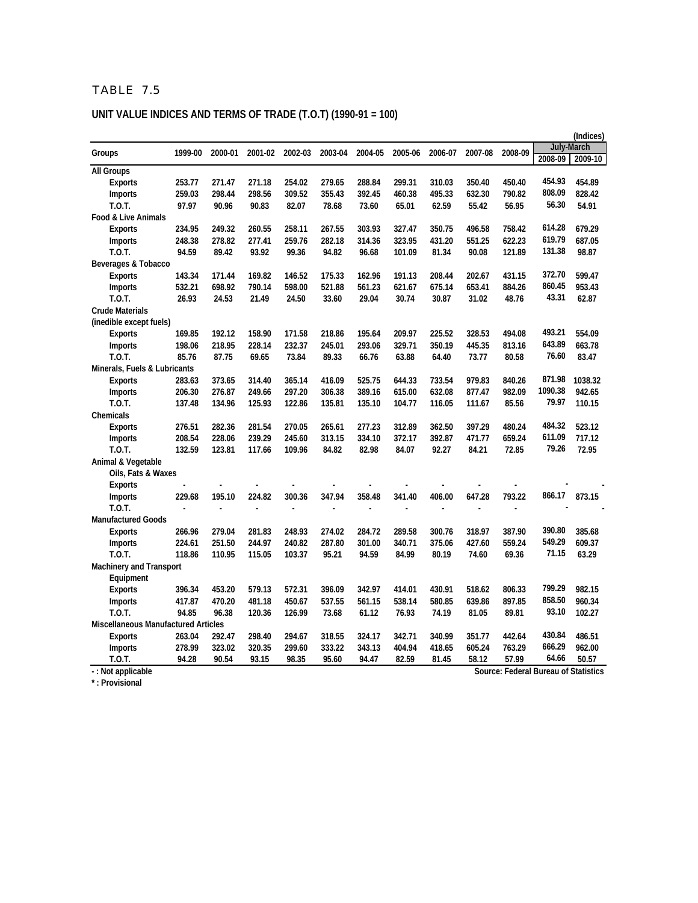# **UNIT VALUE INDICES AND TERMS OF TRADE (T.O.T) (1990-91 = 100)**

|                                            |         |         |         |         |                |                |                |                |         |         |                                      | (Indices)  |
|--------------------------------------------|---------|---------|---------|---------|----------------|----------------|----------------|----------------|---------|---------|--------------------------------------|------------|
| Groups                                     | 1999-00 | 2000-01 | 2001-02 | 2002-03 | 2003-04        | 2004-05        | 2005-06        | 2006-07        | 2007-08 | 2008-09 |                                      | July-March |
|                                            |         |         |         |         |                |                |                |                |         |         | 2008-09                              | 2009-10    |
| <b>All Groups</b>                          |         |         |         |         |                |                |                |                |         |         |                                      |            |
| <b>Exports</b>                             | 253.77  | 271.47  | 271.18  | 254.02  | 279.65         | 288.84         | 299.31         | 310.03         | 350.40  | 450.40  | 454.93                               | 454.89     |
| <b>Imports</b>                             | 259.03  | 298.44  | 298.56  | 309.52  | 355.43         | 392.45         | 460.38         | 495.33         | 632.30  | 790.82  | 808.09                               | 828.42     |
| T.O.T.                                     | 97.97   | 90.96   | 90.83   | 82.07   | 78.68          | 73.60          | 65.01          | 62.59          | 55.42   | 56.95   | 56.30                                | 54.91      |
| Food & Live Animals                        |         |         |         |         |                |                |                |                |         |         |                                      |            |
| <b>Exports</b>                             | 234.95  | 249.32  | 260.55  | 258.11  | 267.55         | 303.93         | 327.47         | 350.75         | 496.58  | 758.42  | 614.28                               | 679.29     |
| <b>Imports</b>                             | 248.38  | 278.82  | 277.41  | 259.76  | 282.18         | 314.36         | 323.95         | 431.20         | 551.25  | 622.23  | 619.79                               | 687.05     |
| T.O.T.                                     | 94.59   | 89.42   | 93.92   | 99.36   | 94.82          | 96.68          | 101.09         | 81.34          | 90.08   | 121.89  | 131.38                               | 98.87      |
| Beverages & Tobacco                        |         |         |         |         |                |                |                |                |         |         |                                      |            |
| <b>Exports</b>                             | 143.34  | 171.44  | 169.82  | 146.52  | 175.33         | 162.96         | 191.13         | 208.44         | 202.67  | 431.15  | 372.70                               | 599.47     |
| <b>Imports</b>                             | 532.21  | 698.92  | 790.14  | 598.00  | 521.88         | 561.23         | 621.67         | 675.14         | 653.41  | 884.26  | 860.45                               | 953.43     |
| $T.0.$ T.                                  | 26.93   | 24.53   | 21.49   | 24.50   | 33.60          | 29.04          | 30.74          | 30.87          | 31.02   | 48.76   | 43.31                                | 62.87      |
| <b>Crude Materials</b>                     |         |         |         |         |                |                |                |                |         |         |                                      |            |
| (inedible except fuels)                    |         |         |         |         |                |                |                |                |         |         |                                      |            |
| <b>Exports</b>                             | 169.85  | 192.12  | 158.90  | 171.58  | 218.86         | 195.64         | 209.97         | 225.52         | 328.53  | 494.08  | 493.21                               | 554.09     |
| <b>Imports</b>                             | 198.06  | 218.95  | 228.14  | 232.37  | 245.01         | 293.06         | 329.71         | 350.19         | 445.35  | 813.16  | 643.89                               | 663.78     |
| $T.0.$ T.                                  | 85.76   | 87.75   | 69.65   | 73.84   | 89.33          | 66.76          | 63.88          | 64.40          | 73.77   | 80.58   | 76.60                                | 83.47      |
| Minerals, Fuels & Lubricants               |         |         |         |         |                |                |                |                |         |         |                                      |            |
| <b>Exports</b>                             | 283.63  | 373.65  | 314.40  | 365.14  | 416.09         | 525.75         | 644.33         | 733.54         | 979.83  | 840.26  | 871.98                               | 1038.32    |
| <b>Imports</b>                             | 206.30  | 276.87  | 249.66  | 297.20  | 306.38         | 389.16         | 615.00         | 632.08         | 877.47  | 982.09  | 1090.38                              | 942.65     |
| T.O.T.                                     | 137.48  | 134.96  | 125.93  | 122.86  | 135.81         | 135.10         | 104.77         | 116.05         | 111.67  | 85.56   | 79.97                                | 110.15     |
| Chemicals                                  |         |         |         |         |                |                |                |                |         |         |                                      |            |
| <b>Exports</b>                             | 276.51  | 282.36  | 281.54  | 270.05  | 265.61         | 277.23         | 312.89         | 362.50         | 397.29  | 480.24  | 484.32                               | 523.12     |
| <b>Imports</b>                             | 208.54  | 228.06  | 239.29  | 245.60  | 313.15         | 334.10         | 372.17         | 392.87         | 471.77  | 659.24  | 611.09                               | 717.12     |
| T.O.T.                                     | 132.59  | 123.81  | 117.66  | 109.96  | 84.82          | 82.98          | 84.07          | 92.27          | 84.21   | 72.85   | 79.26                                | 72.95      |
| Animal & Vegetable                         |         |         |         |         |                |                |                |                |         |         |                                      |            |
| Oils, Fats & Waxes                         |         |         |         |         |                |                |                |                |         |         |                                      |            |
| <b>Exports</b>                             |         |         |         |         |                |                |                |                |         |         |                                      |            |
| <b>Imports</b>                             | 229.68  | 195.10  | 224.82  | 300.36  | 347.94         | 358.48         | 341.40         | 406.00         | 647.28  | 793.22  | 866.17                               | 873.15     |
| $T.0.$ T.                                  | ÷,      | Ĭ.      | Ĭ.      | Ĭ.      | $\overline{a}$ | $\overline{a}$ | $\overline{a}$ | $\overline{a}$ |         |         |                                      |            |
| <b>Manufactured Goods</b>                  |         |         |         |         |                |                |                |                |         |         |                                      |            |
| <b>Exports</b>                             | 266.96  | 279.04  | 281.83  | 248.93  | 274.02         | 284.72         | 289.58         | 300.76         | 318.97  | 387.90  | 390.80                               | 385.68     |
| <b>Imports</b>                             | 224.61  | 251.50  | 244.97  | 240.82  | 287.80         | 301.00         | 340.71         | 375.06         | 427.60  | 559.24  | 549.29                               | 609.37     |
| $T.0.$ T.                                  | 118.86  | 110.95  | 115.05  | 103.37  | 95.21          | 94.59          | 84.99          | 80.19          | 74.60   | 69.36   | 71.15                                | 63.29      |
| <b>Machinery and Transport</b>             |         |         |         |         |                |                |                |                |         |         |                                      |            |
| Equipment                                  |         |         |         |         |                |                |                |                |         |         |                                      |            |
| <b>Exports</b>                             | 396.34  | 453.20  | 579.13  | 572.31  | 396.09         | 342.97         | 414.01         | 430.91         | 518.62  | 806.33  | 799.29                               | 982.15     |
| <b>Imports</b>                             | 417.87  | 470.20  | 481.18  | 450.67  | 537.55         | 561.15         | 538.14         | 580.85         | 639.86  | 897.85  | 858.50                               | 960.34     |
| $T.0.$ T.                                  | 94.85   | 96.38   | 120.36  | 126.99  | 73.68          | 61.12          | 76.93          | 74.19          | 81.05   | 89.81   | 93.10                                | 102.27     |
| <b>Miscellaneous Manufactured Articles</b> |         |         |         |         |                |                |                |                |         |         |                                      |            |
| <b>Exports</b>                             | 263.04  | 292.47  | 298.40  | 294.67  | 318.55         | 324.17         | 342.71         | 340.99         | 351.77  | 442.64  | 430.84                               | 486.51     |
| <b>Imports</b>                             | 278.99  | 323.02  | 320.35  | 299.60  | 333.22         | 343.13         | 404.94         | 418.65         | 605.24  | 763.29  | 666.29                               | 962.00     |
| T.O.T.                                     | 94.28   | 90.54   | 93.15   | 98.35   | 95.60          | 94.47          | 82.59          | 81.45          | 58.12   | 57.99   | 64.66                                | 50.57      |
| -: Not applicable                          |         |         |         |         |                |                |                |                |         |         | Source: Federal Bureau of Statistics |            |

**\* : Provisional**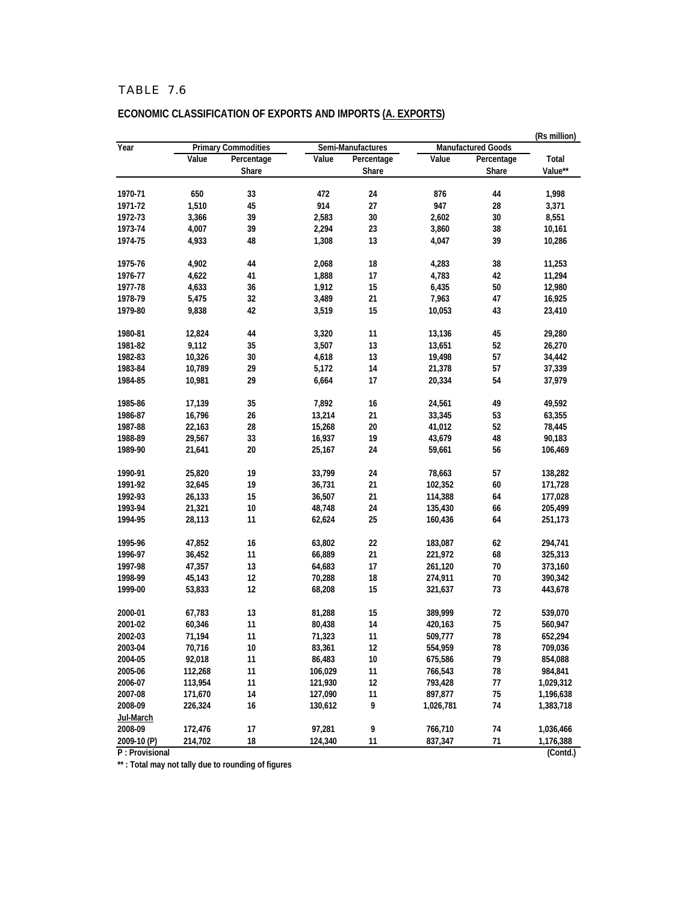|             | (Rs million) |                            |         |                   |           |                           |           |  |
|-------------|--------------|----------------------------|---------|-------------------|-----------|---------------------------|-----------|--|
| Year        |              | <b>Primary Commodities</b> |         | Semi-Manufactures |           | <b>Manufactured Goods</b> |           |  |
|             | Value        | Percentage                 | Value   | Percentage        | Value     | Percentage                | Total     |  |
|             |              | Share                      |         | Share             |           | Share                     | Value**   |  |
| 1970-71     | 650          | 33                         | 472     | 24                | 876       | 44                        | 1,998     |  |
| 1971-72     | 1,510        | 45                         | 914     | 27                | 947       | 28                        | 3,371     |  |
| 1972-73     | 3,366        | 39                         | 2,583   | 30                | 2,602     | 30                        | 8,551     |  |
| 1973-74     | 4,007        | 39                         | 2,294   | 23                | 3,860     | 38                        | 10,161    |  |
| 1974-75     | 4,933        | 48                         | 1,308   | 13                | 4,047     | 39                        | 10,286    |  |
| 1975-76     | 4,902        | 44                         | 2,068   | 18                | 4,283     | 38                        | 11,253    |  |
| 1976-77     | 4,622        | 41                         | 1,888   | 17                | 4,783     | 42                        | 11,294    |  |
| 1977-78     | 4,633        | 36                         | 1,912   | 15                | 6,435     | 50                        | 12,980    |  |
| 1978-79     | 5,475        | 32                         | 3,489   | 21                | 7,963     | 47                        | 16,925    |  |
| 1979-80     | 9,838        | 42                         | 3,519   | 15                | 10,053    | 43                        | 23,410    |  |
| 1980-81     | 12,824       | 44                         | 3,320   | 11                | 13,136    | 45                        | 29,280    |  |
| 1981-82     | 9,112        | 35                         | 3,507   | 13                | 13,651    | 52                        | 26,270    |  |
| 1982-83     | 10,326       | 30                         | 4,618   | 13                | 19,498    | 57                        | 34,442    |  |
| 1983-84     | 10,789       | 29                         | 5,172   | 14                | 21,378    | 57                        | 37,339    |  |
| 1984-85     | 10,981       | 29                         | 6,664   | 17                | 20,334    | 54                        | 37,979    |  |
| 1985-86     | 17,139       | 35                         | 7,892   | 16                | 24,561    | 49                        | 49,592    |  |
| 1986-87     | 16,796       | 26                         | 13,214  | 21                | 33,345    | 53                        | 63,355    |  |
| 1987-88     | 22,163       | 28                         | 15,268  | 20                | 41,012    | 52                        | 78,445    |  |
| 1988-89     | 29,567       | 33                         | 16,937  | 19                | 43,679    | 48                        | 90,183    |  |
| 1989-90     | 21,641       | 20                         | 25,167  | 24                | 59,661    | 56                        | 106,469   |  |
| 1990-91     | 25,820       | 19                         | 33,799  | 24                | 78,663    | 57                        | 138,282   |  |
| 1991-92     | 32,645       | 19                         | 36,731  | 21                | 102,352   | 60                        | 171,728   |  |
| 1992-93     | 26,133       | 15                         | 36,507  | 21                | 114,388   | 64                        | 177,028   |  |
| 1993-94     | 21,321       | 10                         | 48,748  | 24                | 135,430   | 66                        | 205,499   |  |
| 1994-95     | 28,113       | 11                         | 62,624  | 25                | 160,436   | 64                        | 251,173   |  |
| 1995-96     | 47,852       | 16                         | 63,802  | 22                | 183,087   | 62                        | 294,741   |  |
| 1996-97     | 36,452       | 11                         | 66,889  | 21                | 221,972   | 68                        | 325,313   |  |
| 1997-98     | 47,357       | 13                         | 64,683  | 17                | 261,120   | 70                        | 373,160   |  |
| 1998-99     | 45,143       | 12                         | 70,288  | 18                | 274,911   | 70                        | 390,342   |  |
| 1999-00     | 53,833       | 12                         | 68,208  | 15                | 321,637   | 73                        | 443,678   |  |
| 2000-01     | 67,783       | 13                         | 81,288  | 15                | 389,999   | 72                        | 539,070   |  |
| 2001-02     | 60,346       | 11                         | 80,438  | 14                | 420,163   | 75                        | 560,947   |  |
| 2002-03     | 71,194       | 11                         | 71,323  | 11                | 509,777   | 78                        | 652,294   |  |
| 2003-04     | 70,716       | 10                         | 83,361  | 12                | 554,959   | 78                        | 709,036   |  |
| 2004-05     | 92,018       | 11                         | 86,483  | 10                | 675,586   | 79                        | 854,088   |  |
| 2005-06     | 112,268      | 11                         | 106,029 | 11                | 766,543   | 78                        | 984,841   |  |
| 2006-07     | 113,954      | 11                         | 121,930 | 12                | 793,428   | 77                        | 1,029,312 |  |
| 2007-08     | 171,670      | 14                         | 127,090 | 11                | 897,877   | 75                        | 1,196,638 |  |
| 2008-09     | 226,324      | 16                         | 130,612 | 9                 | 1,026,781 | 74                        | 1,383,718 |  |
| Jul-March   |              |                            |         |                   |           |                           |           |  |
| 2008-09     | 172,476      | 17                         | 97,281  | 9                 | 766,710   | 74                        | 1,036,466 |  |
| 2009-10 (P) | 214,702      | 18                         | 124,340 | 11                | 837,347   | $71$                      | 1,176,388 |  |

**ECONOMIC CLASSIFICATION OF EXPORTS AND IMPORTS (A. EXPORTS)**

**P : Provisional (Contd.)**

**\*\* : Total may not tally due to rounding of figures**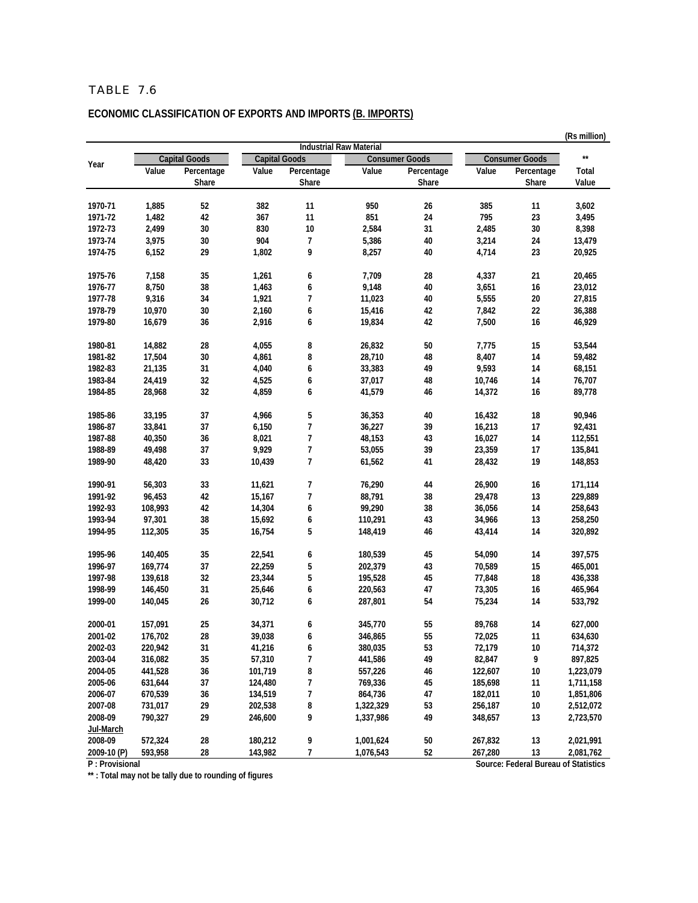# **ECONOMIC CLASSIFICATION OF EXPORTS AND IMPORTS (B. IMPORTS)**

|                      |                    |                      |                      |                                |                      |                       |                    |                                      | (Rs million)           |
|----------------------|--------------------|----------------------|----------------------|--------------------------------|----------------------|-----------------------|--------------------|--------------------------------------|------------------------|
|                      |                    |                      |                      | <b>Industrial Raw Material</b> |                      |                       |                    |                                      | $\star\star$           |
| Year                 |                    | <b>Capital Goods</b> | <b>Capital Goods</b> |                                |                      | <b>Consumer Goods</b> |                    | <b>Consumer Goods</b>                |                        |
|                      | Value              | Percentage<br>Share  | Value                | Percentage<br>Share            | Value                | Percentage<br>Share   | Value              | Percentage<br>Share                  | Total<br>Value         |
|                      |                    |                      |                      |                                |                      |                       |                    |                                      |                        |
| 1970-71              | 1,885              | 52                   | 382                  | 11                             | 950                  | 26                    | 385                | 11                                   | 3,602                  |
| 1971-72              | 1,482              | 42                   | 367                  | 11                             | 851                  | 24                    | 795                | 23                                   | 3,495                  |
| 1972-73              | 2,499              | 30                   | 830                  | 10                             | 2,584                | 31                    | 2,485              | 30                                   | 8,398                  |
| 1973-74              | 3,975              | 30                   | 904                  | 7                              | 5,386                | 40                    | 3,214              | 24                                   | 13,479                 |
| 1974-75              | 6,152              | 29                   | 1,802                | 9                              | 8,257                | 40                    | 4,714              | 23                                   | 20,925                 |
| 1975-76              | 7,158              | 35                   | 1,261                | 6                              | 7,709                | 28                    | 4,337              | 21                                   | 20,465                 |
| 1976-77              | 8,750              | 38                   | 1,463                | 6                              | 9,148                | 40                    | 3,651              | 16                                   | 23,012                 |
| 1977-78              | 9,316              | 34                   | 1,921                | 7                              | 11,023               | 40                    | 5,555              | 20                                   | 27,815                 |
| 1978-79              | 10,970             | 30                   | 2,160                | 6                              | 15,416               | 42                    | 7,842              | 22                                   | 36,388                 |
| 1979-80              | 16,679             | 36                   | 2,916                | 6                              | 19,834               | 42                    | 7,500              | 16                                   | 46,929                 |
| 1980-81              | 14,882             | 28                   | 4,055                | 8                              | 26,832               | 50                    | 7,775              | 15                                   | 53,544                 |
| 1981-82              |                    | 30                   |                      |                                |                      | 48                    |                    |                                      |                        |
| 1982-83              | 17,504<br>21.135   | 31                   | 4,861                | 8                              | 28,710               | 49                    | 8,407              | 14                                   | 59,482                 |
|                      |                    |                      | 4,040                | 6                              | 33,383               |                       | 9,593              | 14                                   | 68,151                 |
| 1983-84              | 24,419             | 32                   | 4,525                | 6                              | 37,017               | 48                    | 10,746             | 14                                   | 76,707                 |
| 1984-85              | 28,968             | 32                   | 4,859                | 6                              | 41,579               | 46                    | 14,372             | 16                                   | 89,778                 |
| 1985-86              | 33,195             | 37                   | 4,966                | 5                              | 36,353               | 40                    | 16,432             | 18                                   | 90,946                 |
| 1986-87              | 33,841             | 37                   | 6,150                | $\overline{1}$                 | 36,227               | 39                    | 16,213             | 17                                   | 92,431                 |
| 1987-88              | 40,350             | 36                   | 8,021                | 7                              | 48,153               | 43                    | 16,027             | 14                                   | 112,551                |
| 1988-89              | 49,498             | 37                   | 9,929                | $\overline{\phantom{a}}$       | 53,055               | 39                    | 23,359             | 17                                   | 135,841                |
| 1989-90              | 48,420             | 33                   | 10,439               | 7                              | 61,562               | 41                    | 28,432             | 19                                   | 148,853                |
| 1990-91              | 56,303             | 33                   | 11,621               | 7                              | 76,290               | 44                    | 26,900             | 16                                   | 171,114                |
| 1991-92              | 96,453             | 42                   | 15,167               | $\overline{\phantom{a}}$       | 88,791               | 38                    | 29,478             | 13                                   | 229,889                |
| 1992-93              | 108,993            | 42                   | 14,304               | 6                              | 99,290               | 38                    | 36,056             | 14                                   | 258,643                |
| 1993-94              | 97,301             | 38                   | 15,692               | 6                              | 110,291              | 43                    | 34,966             | 13                                   | 258,250                |
| 1994-95              | 112,305            | 35                   | 16,754               | 5                              | 148,419              | 46                    | 43,414             | 14                                   | 320,892                |
| 1995-96              | 140,405            | 35                   | 22,541               | 6                              | 180,539              | 45                    | 54,090             | 14                                   | 397,575                |
| 1996-97              | 169,774            | 37                   | 22,259               | 5                              | 202,379              | 43                    | 70,589             | 15                                   | 465,001                |
| 1997-98              | 139,618            | 32                   | 23,344               | 5                              | 195,528              | 45                    | 77,848             | 18                                   | 436,338                |
| 1998-99              | 146,450            | 31                   | 25,646               | 6                              | 220,563              | 47                    | 73,305             | 16                                   | 465,964                |
| 1999-00              | 140,045            | 26                   | 30,712               | 6                              | 287,801              | 54                    | 75,234             | 14                                   | 533,792                |
| 2000-01              | 157,091            | 25                   | 34,371               | 6                              | 345,770              | 55                    | 89,768             | 14                                   | 627,000                |
| 2001-02              | 176,702            | 28                   | 39,038               | 6                              | 346,865              | 55                    | 72,025             | 11                                   | 634,630                |
| 2002-03              |                    |                      |                      |                                | 380,035              |                       |                    |                                      |                        |
| 2003-04              | 220,942<br>316,082 | 31<br>35             | 41,216               | 6<br>7                         |                      | 53<br>49              | 72,179             | 10<br>9                              | 714,372                |
| 2004-05              | 441,528            | 36                   | 57,310<br>101,719    | 8                              | 441,586              | 46                    | 82,847             |                                      | 897,825<br>1,223,079   |
| 2005-06              |                    | 37                   | 124,480              | 7                              | 557,226<br>769,336   |                       | 122,607<br>185,698 | 10                                   | 1,711,158              |
|                      | 631,644            | 36                   |                      | 7                              |                      | 45<br>47              |                    | 11                                   |                        |
| 2006-07<br>2007-08   | 670,539<br>731,017 | 29                   | 134,519<br>202,538   | 8                              | 864,736<br>1,322,329 | 53                    | 182,011<br>256,187 | 10<br>$10\,$                         | 1,851,806<br>2,512,072 |
|                      |                    |                      |                      |                                |                      |                       | 348,657            |                                      |                        |
| 2008-09<br>Jul-March | 790,327            | 29                   | 246,600              | 9                              | 1,337,986            | 49                    |                    | 13                                   | 2,723,570              |
| 2008-09              | 572,324            | 28                   | 180,212              |                                | 1,001,624            | 50                    |                    |                                      |                        |
| 2009-10 (P)          | 593,958            | 28                   | 143,982              | 9<br>7                         | 1,076,543            | 52                    | 267,832<br>267,280 | 13<br>13                             | 2,021,991<br>2,081,762 |
| P: Provisional       |                    |                      |                      |                                |                      |                       |                    | Source: Federal Bureau of Statistics |                        |
|                      |                    |                      |                      |                                |                      |                       |                    |                                      |                        |

**\*\* : Total may not be tally due to rounding of figures**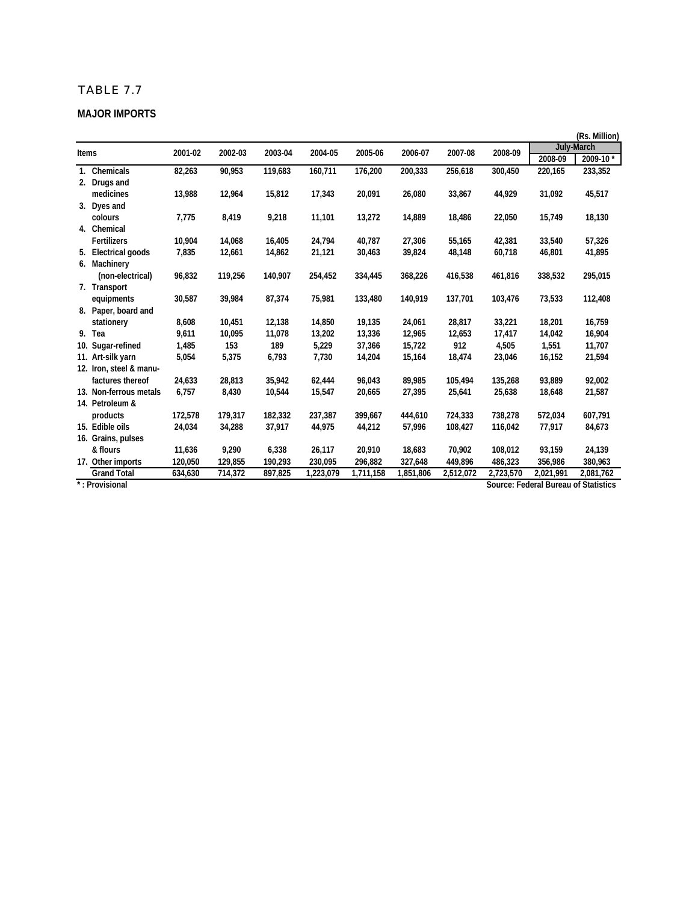#### **MAJOR IMPORTS**

|              |                                  |         |         |         |           |           |           |           |           |                                      | (Rs. Million) |
|--------------|----------------------------------|---------|---------|---------|-----------|-----------|-----------|-----------|-----------|--------------------------------------|---------------|
| <b>Items</b> |                                  | 2001-02 | 2002-03 | 2003-04 | 2004-05   | 2005-06   | 2006-07   | 2007-08   | 2008-09   |                                      | July-March    |
|              |                                  |         |         |         |           |           |           |           |           | 2008-09                              | 2009-10*      |
|              | 1. Chemicals                     | 82,263  | 90,953  | 119,683 | 160,711   | 176,200   | 200,333   | 256,618   | 300,450   | 220,165                              | 233,352       |
|              | 2. Drugs and                     |         |         |         |           |           |           |           |           |                                      |               |
|              | medicines                        | 13,988  | 12,964  | 15,812  | 17,343    | 20,091    | 26,080    | 33,867    | 44,929    | 31,092                               | 45,517        |
|              | 3. Dyes and                      |         |         |         |           |           |           |           |           |                                      |               |
|              | colours                          | 7,775   | 8,419   | 9,218   | 11,101    | 13,272    | 14,889    | 18,486    | 22,050    | 15,749                               | 18,130        |
|              | 4. Chemical                      |         |         |         |           |           |           |           |           |                                      |               |
|              | <b>Fertilizers</b>               | 10,904  | 14,068  | 16,405  | 24,794    | 40,787    | 27,306    | 55,165    | 42,381    | 33,540                               | 57,326        |
| 5.           | Electrical goods                 | 7,835   | 12,661  | 14,862  | 21,121    | 30,463    | 39,824    | 48,148    | 60,718    | 46,801                               | 41,895        |
|              | 6. Machinery                     |         |         |         |           |           |           |           |           |                                      |               |
|              | (non-electrical)                 | 96,832  | 119,256 | 140,907 | 254,452   | 334,445   | 368,226   | 416,538   | 461,816   | 338,532                              | 295,015       |
|              | 7. Transport                     |         |         |         |           |           |           |           |           |                                      |               |
|              | equipments                       | 30,587  | 39,984  | 87,374  | 75,981    | 133,480   | 140,919   | 137,701   | 103,476   | 73,533                               | 112,408       |
|              | 8. Paper, board and              |         |         |         |           |           |           |           |           |                                      |               |
|              | stationery                       | 8,608   | 10,451  | 12,138  | 14,850    | 19,135    | 24,061    | 28,817    | 33,221    | 18,201                               | 16,759        |
|              | 9. Tea                           | 9,611   | 10,095  | 11,078  | 13,202    | 13,336    | 12,965    | 12,653    | 17,417    | 14,042                               | 16,904        |
|              | 10. Sugar-refined                | 1,485   | 153     | 189     | 5,229     | 37,366    | 15,722    | 912       | 4,505     | 1,551                                | 11,707        |
|              | 11. Art-silk yarn                | 5,054   | 5,375   | 6,793   | 7,730     | 14,204    | 15,164    | 18,474    | 23,046    | 16,152                               | 21,594        |
|              | 12. Iron, steel & manu-          |         |         |         |           |           |           |           |           |                                      |               |
|              | factures thereof                 | 24,633  | 28,813  | 35,942  | 62,444    | 96,043    | 89,985    | 105,494   | 135,268   | 93,889                               | 92,002        |
|              | 13. Non-ferrous metals           | 6,757   | 8,430   | 10,544  | 15,547    | 20,665    | 27,395    | 25,641    | 25,638    | 18,648                               | 21,587        |
|              | 14. Petroleum &                  |         |         |         |           |           |           |           |           |                                      |               |
|              | products                         | 172,578 | 179,317 | 182,332 | 237,387   | 399,667   | 444,610   | 724,333   | 738,278   | 572,034                              | 607,791       |
|              | 15. Edible oils                  | 24,034  | 34,288  | 37,917  | 44,975    | 44,212    | 57,996    | 108,427   | 116,042   | 77,917                               | 84,673        |
|              | 16. Grains, pulses               |         |         |         |           |           |           |           |           |                                      |               |
|              | & flours                         | 11,636  | 9,290   | 6,338   | 26,117    | 20,910    | 18,683    | 70,902    | 108,012   | 93,159                               | 24,139        |
|              | 17. Other imports                | 120,050 | 129,855 | 190,293 | 230,095   | 296,882   | 327,648   | 449,896   | 486,323   | 356,986                              | 380,963       |
|              | <b>Grand Total</b>               | 634,630 | 714,372 | 897,825 | 1,223,079 | 1,711,158 | 1,851,806 | 2,512,072 | 2,723,570 | 2,021,991                            | 2,081,762     |
|              | $\overline{\cdot}$ : Provisional |         |         |         |           |           |           |           |           | Source: Federal Bureau of Statistics |               |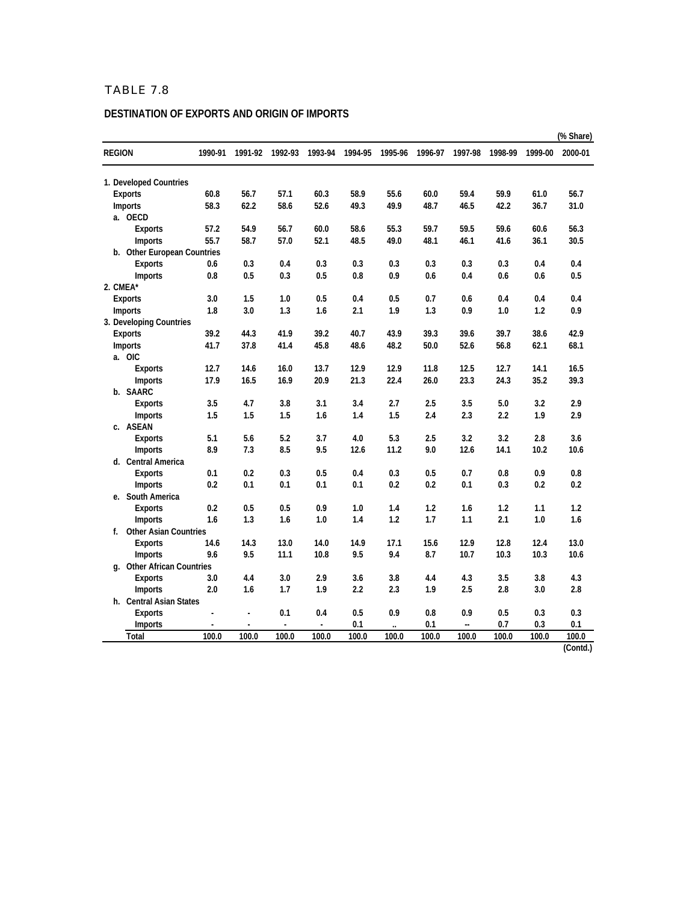#### **DESTINATION OF EXPORTS AND ORIGIN OF IMPORTS**

|               |                              |         |                          |                |         |         |                      |         |         |         |         | (% Share) |
|---------------|------------------------------|---------|--------------------------|----------------|---------|---------|----------------------|---------|---------|---------|---------|-----------|
| <b>REGION</b> |                              | 1990-91 | 1991-92                  | 1992-93        | 1993-94 | 1994-95 | 1995-96              | 1996-97 | 1997-98 | 1998-99 | 1999-00 | 2000-01   |
|               | 1. Developed Countries       |         |                          |                |         |         |                      |         |         |         |         |           |
|               | Exports                      | 60.8    | 56.7                     | 57.1           | 60.3    | 58.9    | 55.6                 | 60.0    | 59.4    | 59.9    | 61.0    | 56.7      |
|               | Imports                      | 58.3    | 62.2                     | 58.6           | 52.6    | 49.3    | 49.9                 | 48.7    | 46.5    | 42.2    | 36.7    | 31.0      |
|               | a. OECD                      |         |                          |                |         |         |                      |         |         |         |         |           |
|               | <b>Exports</b>               | 57.2    | 54.9                     | 56.7           | 60.0    | 58.6    | 55.3                 | 59.7    | 59.5    | 59.6    | 60.6    | 56.3      |
|               | <b>Imports</b>               | 55.7    | 58.7                     | 57.0           | 52.1    | 48.5    | 49.0                 | 48.1    | 46.1    | 41.6    | 36.1    | 30.5      |
|               | b. Other European Countries  |         |                          |                |         |         |                      |         |         |         |         |           |
|               | <b>Exports</b>               | 0.6     | 0.3                      | 0.4            | 0.3     | 0.3     | 0.3                  | 0.3     | 0.3     | 0.3     | 0.4     | 0.4       |
|               | <b>Imports</b>               | 0.8     | 0.5                      | 0.3            | 0.5     | 0.8     | 0.9                  | 0.6     | 0.4     | 0.6     | 0.6     | 0.5       |
|               | 2. CMEA*                     |         |                          |                |         |         |                      |         |         |         |         |           |
|               | <b>Exports</b>               | 3.0     | 1.5                      | 1.0            | 0.5     | 0.4     | 0.5                  | 0.7     | 0.6     | 0.4     | 0.4     | 0.4       |
|               | Imports                      | 1.8     | 3.0                      | 1.3            | 1.6     | 2.1     | 1.9                  | 1.3     | 0.9     | 1.0     | 1.2     | 0.9       |
|               | 3. Developing Countries      |         |                          |                |         |         |                      |         |         |         |         |           |
|               | <b>Exports</b>               | 39.2    | 44.3                     | 41.9           | 39.2    | 40.7    | 43.9                 | 39.3    | 39.6    | 39.7    | 38.6    | 42.9      |
|               | Imports                      | 41.7    | 37.8                     | 41.4           | 45.8    | 48.6    | 48.2                 | 50.0    | 52.6    | 56.8    | 62.1    | 68.1      |
|               | a. OIC                       |         |                          |                |         |         |                      |         |         |         |         |           |
|               | <b>Exports</b>               | 12.7    | 14.6                     | 16.0           | 13.7    | 12.9    | 12.9                 | 11.8    | 12.5    | 12.7    | 14.1    | 16.5      |
|               | <b>Imports</b>               | 17.9    | 16.5                     | 16.9           | 20.9    | 21.3    | 22.4                 | 26.0    | 23.3    | 24.3    | 35.2    | 39.3      |
|               | b. SAARC                     |         |                          |                |         |         |                      |         |         |         |         |           |
|               | <b>Exports</b>               | 3.5     | 4.7                      | 3.8            | 3.1     | 3.4     | 2.7                  | 2.5     | 3.5     | 5.0     | 3.2     | 2.9       |
|               | <b>Imports</b>               | 1.5     | 1.5                      | 1.5            | 1.6     | 1.4     | 1.5                  | 2.4     | 2.3     | 2.2     | 1.9     | 2.9       |
|               | c. ASEAN                     |         |                          |                |         |         |                      |         |         |         |         |           |
|               | <b>Exports</b>               | 5.1     | 5.6                      | 5.2            | 3.7     | 4.0     | 5.3                  | 2.5     | 3.2     | 3.2     | 2.8     | 3.6       |
|               | <b>Imports</b>               | 8.9     | 7.3                      | 8.5            | 9.5     | 12.6    | 11.2                 | 9.0     | 12.6    | 14.1    | 10.2    | 10.6      |
|               | d. Central America           |         |                          |                |         |         |                      |         |         |         |         |           |
|               | Exports                      | 0.1     | 0.2                      | 0.3            | 0.5     | 0.4     | 0.3                  | 0.5     | 0.7     | 0.8     | 0.9     | 0.8       |
|               | <b>Imports</b>               | 0.2     | 0.1                      | 0.1            | 0.1     | 0.1     | 0.2                  | 0.2     | 0.1     | 0.3     | 0.2     | 0.2       |
|               | e. South America             |         |                          |                |         |         |                      |         |         |         |         |           |
|               | <b>Exports</b>               | 0.2     | 0.5                      | 0.5            | 0.9     | 1.0     | 1.4                  | 1.2     | 1.6     | 1.2     | 1.1     | 1.2       |
|               | <b>Imports</b>               | 1.6     | 1.3                      | 1.6            | 1.0     | 1.4     | 1.2                  | 1.7     | 1.1     | 2.1     | 1.0     | 1.6       |
| f.            | <b>Other Asian Countries</b> |         |                          |                |         |         |                      |         |         |         |         |           |
|               | <b>Exports</b>               | 14.6    | 14.3                     | 13.0           | 14.0    | 14.9    | 17.1                 | 15.6    | 12.9    | 12.8    | 12.4    | 13.0      |
|               | <b>Imports</b>               | 9.6     | 9.5                      | 11.1           | 10.8    | 9.5     | 9.4                  | 8.7     | 10.7    | 10.3    | 10.3    | 10.6      |
|               | g. Other African Countries   |         |                          |                |         |         |                      |         |         |         |         |           |
|               | <b>Exports</b>               | 3.0     | 4.4                      | 3.0            | 2.9     | 3.6     | 3.8                  | 4.4     | 4.3     | 3.5     | 3.8     | 4.3       |
|               | <b>Imports</b>               | 2.0     | 1.6                      | 1.7            | 1.9     | 2.2     | 2.3                  | 1.9     | 2.5     | 2.8     | 3.0     | 2.8       |
|               | h. Central Asian States      |         |                          |                |         |         |                      |         |         |         |         |           |
|               | <b>Exports</b>               |         |                          | 0.1            | 0.4     | 0.5     | 0.9                  | 0.8     | 0.9     | 0.5     | 0.3     | 0.3       |
|               | <b>Imports</b>               |         | $\overline{\phantom{a}}$ | $\overline{a}$ | ÷,      | 0.1     | $\ddot{\phantom{a}}$ | 0.1     | --      | 0.7     | 0.3     | 0.1       |
|               | Total                        | 100.0   | 100.0                    | 100.0          | 100.0   | 100.0   | 100.0                | 100.0   | 100.0   | 100.0   | 100.0   | 100.0     |

**(Contd.)**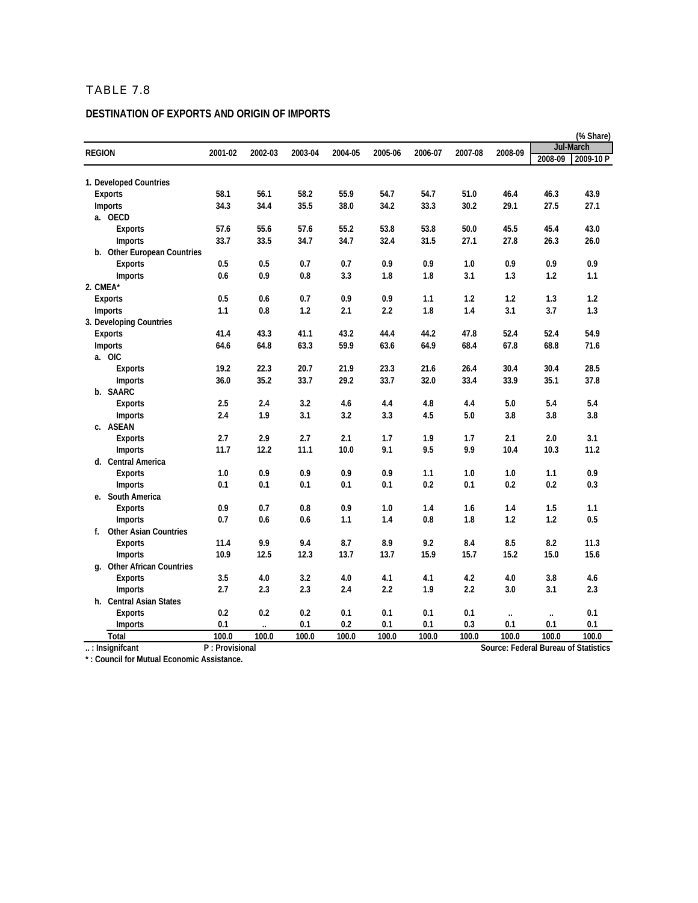#### **DESTINATION OF EXPORTS AND ORIGIN OF IMPORTS**

|                             |                |                      |         |         |         |         |         |          |          | (% Share)                            |
|-----------------------------|----------------|----------------------|---------|---------|---------|---------|---------|----------|----------|--------------------------------------|
| <b>REGION</b>               | 2001-02        | 2002-03              | 2003-04 | 2004-05 | 2005-06 | 2006-07 | 2007-08 | 2008-09  |          | Jul-March                            |
|                             |                |                      |         |         |         |         |         |          | 2008-09  | 2009-10 P                            |
| 1. Developed Countries      |                |                      |         |         |         |         |         |          |          |                                      |
| <b>Exports</b>              | 58.1           | 56.1                 | 58.2    | 55.9    | 54.7    | 54.7    | 51.0    | 46.4     | 46.3     | 43.9                                 |
| <b>Imports</b>              | 34.3           | 34.4                 | 35.5    | 38.0    | 34.2    | 33.3    | 30.2    | 29.1     | 27.5     | 27.1                                 |
| a. OECD                     |                |                      |         |         |         |         |         |          |          |                                      |
| <b>Exports</b>              | 57.6           | 55.6                 | 57.6    | 55.2    | 53.8    | 53.8    | 50.0    | 45.5     | 45.4     | 43.0                                 |
| Imports                     | 33.7           | 33.5                 | 34.7    | 34.7    | 32.4    | 31.5    | 27.1    | 27.8     | 26.3     | 26.0                                 |
| b. Other European Countries |                |                      |         |         |         |         |         |          |          |                                      |
| <b>Exports</b>              | 0.5            | 0.5                  | 0.7     | 0.7     | 0.9     | 0.9     | 1.0     | 0.9      | 0.9      | 0.9                                  |
| <b>Imports</b>              | 0.6            | 0.9                  | 0.8     | 3.3     | 1.8     | 1.8     | 3.1     | 1.3      | 1.2      | 1.1                                  |
| 2. CMEA*                    |                |                      |         |         |         |         |         |          |          |                                      |
| <b>Exports</b>              | 0.5            | 0.6                  | 0.7     | 0.9     | 0.9     | 1.1     | 1.2     | 1.2      | 1.3      | 1.2                                  |
| <b>Imports</b>              | 1.1            | 0.8                  | 1.2     | 2.1     | 2.2     | 1.8     | 1.4     | 3.1      | 3.7      | 1.3                                  |
| 3. Developing Countries     |                |                      |         |         |         |         |         |          |          |                                      |
| <b>Exports</b>              | 41.4           | 43.3                 | 41.1    | 43.2    | 44.4    | 44.2    | 47.8    | 52.4     | 52.4     | 54.9                                 |
| <b>Imports</b>              | 64.6           | 64.8                 | 63.3    | 59.9    | 63.6    | 64.9    | 68.4    | 67.8     | 68.8     | 71.6                                 |
| a. OIC                      |                |                      |         |         |         |         |         |          |          |                                      |
| <b>Exports</b>              | 19.2           | 22.3                 | 20.7    | 21.9    | 23.3    | 21.6    | 26.4    | 30.4     | 30.4     | 28.5                                 |
| <b>Imports</b>              | 36.0           | 35.2                 | 33.7    | 29.2    | 33.7    | 32.0    | 33.4    | 33.9     | 35.1     | 37.8                                 |
| b. SAARC                    |                |                      |         |         |         |         |         |          |          |                                      |
| <b>Exports</b>              | 2.5            | 2.4                  | 3.2     | 4.6     | 4.4     | 4.8     | 4.4     | 5.0      | 5.4      | 5.4                                  |
| <b>Imports</b>              | 2.4            | 1.9                  | 3.1     | 3.2     | 3.3     | 4.5     | 5.0     | 3.8      | 3.8      | 3.8                                  |
| c. ASEAN                    |                |                      |         |         |         |         |         |          |          |                                      |
| <b>Exports</b>              | 2.7            | 2.9                  | 2.7     | 2.1     | 1.7     | 1.9     | 1.7     | 2.1      | 2.0      | 3.1                                  |
| Imports                     | 11.7           | 12.2                 | 11.1    | 10.0    | 9.1     | 9.5     | 9.9     | 10.4     | 10.3     | 11.2                                 |
| d. Central America          |                |                      |         |         |         |         |         |          |          |                                      |
| <b>Exports</b>              | 1.0            | 0.9                  | 0.9     | 0.9     | 0.9     | 1.1     | 1.0     | 1.0      | 1.1      | 0.9                                  |
| <b>Imports</b>              | 0.1            | 0.1                  | 0.1     | 0.1     | 0.1     | 0.2     | 0.1     | 0.2      | 0.2      | 0.3                                  |
| e. South America            |                |                      |         |         |         |         |         |          |          |                                      |
| <b>Exports</b>              | 0.9            | 0.7                  | 0.8     | 0.9     | 1.0     | 1.4     | 1.6     | 1.4      | 1.5      | 1.1                                  |
| <b>Imports</b>              | 0.7            | 0.6                  | 0.6     | 1.1     | 1.4     | 0.8     | 1.8     | 1.2      | 1.2      | 0.5                                  |
| f. Other Asian Countries    |                |                      |         |         |         |         |         |          |          |                                      |
| <b>Exports</b>              | 11.4           | 9.9                  | 9.4     | 8.7     | 8.9     | 9.2     | 8.4     | 8.5      | 8.2      | 11.3                                 |
| <b>Imports</b>              | 10.9           | 12.5                 | 12.3    | 13.7    | 13.7    | 15.9    | 15.7    | 15.2     | 15.0     | 15.6                                 |
| g. Other African Countries  |                |                      |         |         |         |         |         |          |          |                                      |
| <b>Exports</b>              | 3.5            | 4.0                  | 3.2     | 4.0     | 4.1     | 4.1     | 4.2     | 4.0      | 3.8      | 4.6                                  |
| <b>Imports</b>              | 2.7            | 2.3                  | 2.3     | 2.4     | 2.2     | 1.9     | 2.2     | 3.0      | 3.1      | 2.3                                  |
| h. Central Asian States     |                |                      |         |         |         |         |         |          |          |                                      |
| Exports                     | 0.2            | 0.2                  | 0.2     | 0.1     | 0.1     | 0.1     | 0.1     | $\ldots$ | $\ldots$ | 0.1                                  |
| <b>Imports</b>              | 0.1            | $\ddot{\phantom{a}}$ | 0.1     | 0.2     | 0.1     | 0.1     | 0.3     | 0.1      | 0.1      | 0.1                                  |
| <b>Total</b>                | 100.0          | 100.0                | 100.0   | 100.0   | 100.0   | 100.0   | 100.0   | 100.0    | 100.0    | 100.0                                |
| $\ldots$ : Insignificant    | P: Provisional |                      |         |         |         |         |         |          |          | Source: Federal Bureau of Statistics |

**\* : Council for Mutual Economic Assistance.**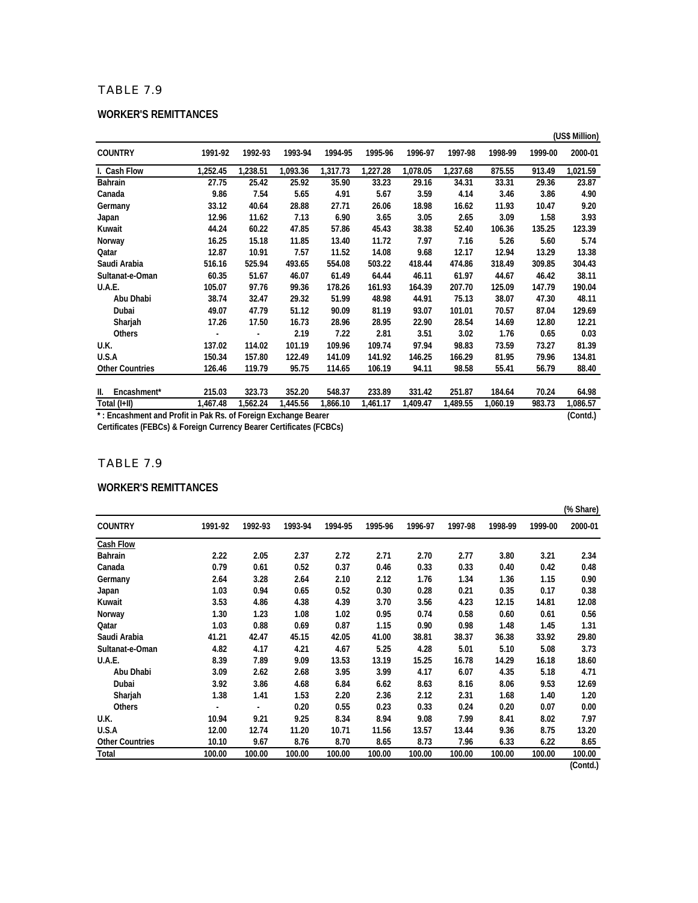#### **WORKER'S REMITTANCES**

|                                                                |          |          |          |          |          |          |          |          |         | (US\$ Million) |
|----------------------------------------------------------------|----------|----------|----------|----------|----------|----------|----------|----------|---------|----------------|
| <b>COUNTRY</b>                                                 | 1991-92  | 1992-93  | 1993-94  | 1994-95  | 1995-96  | 1996-97  | 1997-98  | 1998-99  | 1999-00 | 2000-01        |
| I. Cash Flow                                                   | 1,252.45 | 1,238.51 | 1,093.36 | 1,317.73 | 1,227.28 | 1,078.05 | 1,237.68 | 875.55   | 913.49  | 1,021.59       |
| Bahrain                                                        | 27.75    | 25.42    | 25.92    | 35.90    | 33.23    | 29.16    | 34.31    | 33.31    | 29.36   | 23.87          |
| Canada                                                         | 9.86     | 7.54     | 5.65     | 4.91     | 5.67     | 3.59     | 4.14     | 3.46     | 3.86    | 4.90           |
| Germany                                                        | 33.12    | 40.64    | 28.88    | 27.71    | 26.06    | 18.98    | 16.62    | 11.93    | 10.47   | 9.20           |
| Japan                                                          | 12.96    | 11.62    | 7.13     | 6.90     | 3.65     | 3.05     | 2.65     | 3.09     | 1.58    | 3.93           |
| Kuwait                                                         | 44.24    | 60.22    | 47.85    | 57.86    | 45.43    | 38.38    | 52.40    | 106.36   | 135.25  | 123.39         |
| Norway                                                         | 16.25    | 15.18    | 11.85    | 13.40    | 11.72    | 7.97     | 7.16     | 5.26     | 5.60    | 5.74           |
| Qatar                                                          | 12.87    | 10.91    | 7.57     | 11.52    | 14.08    | 9.68     | 12.17    | 12.94    | 13.29   | 13.38          |
| Saudi Arabia                                                   | 516.16   | 525.94   | 493.65   | 554.08   | 503.22   | 418.44   | 474.86   | 318.49   | 309.85  | 304.43         |
| Sultanat-e-Oman                                                | 60.35    | 51.67    | 46.07    | 61.49    | 64.44    | 46.11    | 61.97    | 44.67    | 46.42   | 38.11          |
| U.A.E.                                                         | 105.07   | 97.76    | 99.36    | 178.26   | 161.93   | 164.39   | 207.70   | 125.09   | 147.79  | 190.04         |
| Abu Dhabi                                                      | 38.74    | 32.47    | 29.32    | 51.99    | 48.98    | 44.91    | 75.13    | 38.07    | 47.30   | 48.11          |
| Dubai                                                          | 49.07    | 47.79    | 51.12    | 90.09    | 81.19    | 93.07    | 101.01   | 70.57    | 87.04   | 129.69         |
| Sharjah                                                        | 17.26    | 17.50    | 16.73    | 28.96    | 28.95    | 22.90    | 28.54    | 14.69    | 12.80   | 12.21          |
| <b>Others</b>                                                  |          |          | 2.19     | 7.22     | 2.81     | 3.51     | 3.02     | 1.76     | 0.65    | 0.03           |
| U.K.                                                           | 137.02   | 114.02   | 101.19   | 109.96   | 109.74   | 97.94    | 98.83    | 73.59    | 73.27   | 81.39          |
| U.S.A                                                          | 150.34   | 157.80   | 122.49   | 141.09   | 141.92   | 146.25   | 166.29   | 81.95    | 79.96   | 134.81         |
| <b>Other Countries</b>                                         | 126.46   | 119.79   | 95.75    | 114.65   | 106.19   | 94.11    | 98.58    | 55.41    | 56.79   | 88.40          |
|                                                                |          |          |          |          |          |          |          |          |         |                |
| Encashment*<br>II.                                             | 215.03   | 323.73   | 352.20   | 548.37   | 233.89   | 331.42   | 251.87   | 184.64   | 70.24   | 64.98          |
| Total (I+II)                                                   | 1,467.48 | 1,562.24 | 1,445.56 | 1,866.10 | 1,461.17 | 1,409.47 | 1,489.55 | 1,060.19 | 983.73  | 1,086.57       |
| *: Encashment and Profit in Pak Rs. of Foreign Exchange Bearer |          |          |          |          |          |          |          |          |         | (Contd.)       |

**Certificates (FEBCs) & Foreign Currency Bearer Certificates (FCBCs)**

#### TABLE 7.9

#### **WORKER'S REMITTANCES**

|                        |         |         |         |         |         |         |         |         |         | (% Share) |
|------------------------|---------|---------|---------|---------|---------|---------|---------|---------|---------|-----------|
| <b>COUNTRY</b>         | 1991-92 | 1992-93 | 1993-94 | 1994-95 | 1995-96 | 1996-97 | 1997-98 | 1998-99 | 1999-00 | 2000-01   |
| <b>Cash Flow</b>       |         |         |         |         |         |         |         |         |         |           |
| Bahrain                | 2.22    | 2.05    | 2.37    | 2.72    | 2.71    | 2.70    | 2.77    | 3.80    | 3.21    | 2.34      |
| Canada                 | 0.79    | 0.61    | 0.52    | 0.37    | 0.46    | 0.33    | 0.33    | 0.40    | 0.42    | 0.48      |
| Germany                | 2.64    | 3.28    | 2.64    | 2.10    | 2.12    | 1.76    | 1.34    | 1.36    | 1.15    | 0.90      |
| Japan                  | 1.03    | 0.94    | 0.65    | 0.52    | 0.30    | 0.28    | 0.21    | 0.35    | 0.17    | 0.38      |
| Kuwait                 | 3.53    | 4.86    | 4.38    | 4.39    | 3.70    | 3.56    | 4.23    | 12.15   | 14.81   | 12.08     |
| Norway                 | 1.30    | 1.23    | 1.08    | 1.02    | 0.95    | 0.74    | 0.58    | 0.60    | 0.61    | 0.56      |
| Qatar                  | 1.03    | 0.88    | 0.69    | 0.87    | 1.15    | 0.90    | 0.98    | 1.48    | 1.45    | 1.31      |
| Saudi Arabia           | 41.21   | 42.47   | 45.15   | 42.05   | 41.00   | 38.81   | 38.37   | 36.38   | 33.92   | 29.80     |
| Sultanat-e-Oman        | 4.82    | 4.17    | 4.21    | 4.67    | 5.25    | 4.28    | 5.01    | 5.10    | 5.08    | 3.73      |
| U.A.E.                 | 8.39    | 7.89    | 9.09    | 13.53   | 13.19   | 15.25   | 16.78   | 14.29   | 16.18   | 18.60     |
| Abu Dhabi              | 3.09    | 2.62    | 2.68    | 3.95    | 3.99    | 4.17    | 6.07    | 4.35    | 5.18    | 4.71      |
| Dubai                  | 3.92    | 3.86    | 4.68    | 6.84    | 6.62    | 8.63    | 8.16    | 8.06    | 9.53    | 12.69     |
| Sharjah                | 1.38    | 1.41    | 1.53    | 2.20    | 2.36    | 2.12    | 2.31    | 1.68    | 1.40    | 1.20      |
| <b>Others</b>          |         |         | 0.20    | 0.55    | 0.23    | 0.33    | 0.24    | 0.20    | 0.07    | 0.00      |
| U.K.                   | 10.94   | 9.21    | 9.25    | 8.34    | 8.94    | 9.08    | 7.99    | 8.41    | 8.02    | 7.97      |
| U.S.A                  | 12.00   | 12.74   | 11.20   | 10.71   | 11.56   | 13.57   | 13.44   | 9.36    | 8.75    | 13.20     |
| <b>Other Countries</b> | 10.10   | 9.67    | 8.76    | 8.70    | 8.65    | 8.73    | 7.96    | 6.33    | 6.22    | 8.65      |
| Total                  | 100.00  | 100.00  | 100.00  | 100.00  | 100.00  | 100.00  | 100.00  | 100.00  | 100.00  | 100.00    |
|                        |         |         |         |         |         |         |         |         |         | (Contd.)  |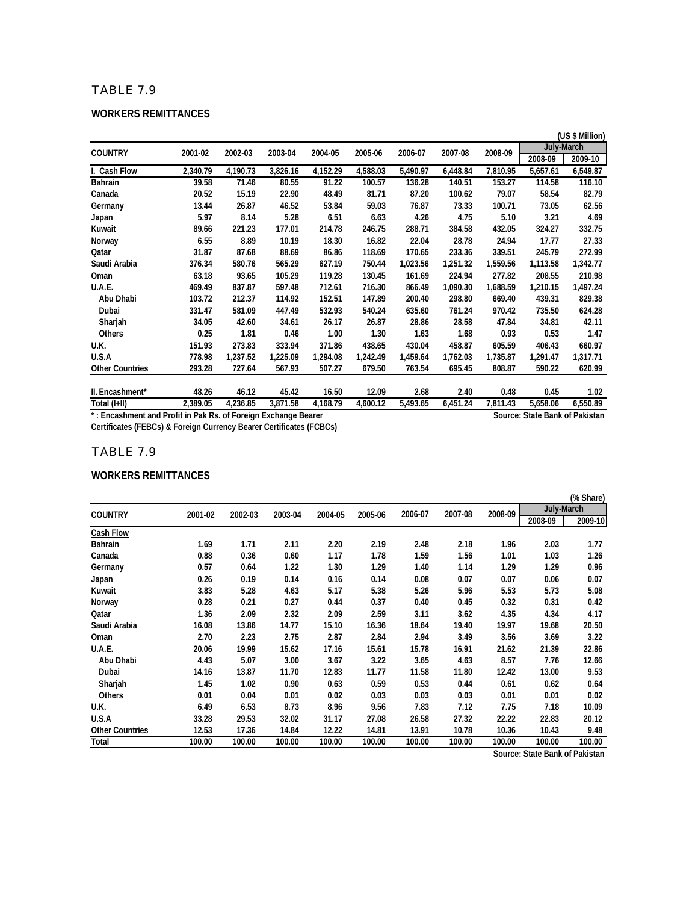#### **WORKERS REMITTANCES**

|                        |          |          |          |          |          |          |          |          |            | (US \$ Million) |
|------------------------|----------|----------|----------|----------|----------|----------|----------|----------|------------|-----------------|
| <b>COUNTRY</b>         | 2001-02  | 2002-03  | 2003-04  | 2004-05  | 2005-06  | 2006-07  | 2007-08  | 2008-09  | July-March |                 |
|                        |          |          |          |          |          |          |          |          | 2008-09    | 2009-10         |
| I. Cash Flow           | 2,340.79 | 4,190.73 | 3,826.16 | 4,152.29 | 4,588.03 | 5,490.97 | 6,448.84 | 7,810.95 | 5,657.61   | 6,549.87        |
| Bahrain                | 39.58    | 71.46    | 80.55    | 91.22    | 100.57   | 136.28   | 140.51   | 153.27   | 114.58     | 116.10          |
| Canada                 | 20.52    | 15.19    | 22.90    | 48.49    | 81.71    | 87.20    | 100.62   | 79.07    | 58.54      | 82.79           |
| Germany                | 13.44    | 26.87    | 46.52    | 53.84    | 59.03    | 76.87    | 73.33    | 100.71   | 73.05      | 62.56           |
| Japan                  | 5.97     | 8.14     | 5.28     | 6.51     | 6.63     | 4.26     | 4.75     | 5.10     | 3.21       | 4.69            |
| Kuwait                 | 89.66    | 221.23   | 177.01   | 214.78   | 246.75   | 288.71   | 384.58   | 432.05   | 324.27     | 332.75          |
| Norway                 | 6.55     | 8.89     | 10.19    | 18.30    | 16.82    | 22.04    | 28.78    | 24.94    | 17.77      | 27.33           |
| Qatar                  | 31.87    | 87.68    | 88.69    | 86.86    | 118.69   | 170.65   | 233.36   | 339.51   | 245.79     | 272.99          |
| Saudi Arabia           | 376.34   | 580.76   | 565.29   | 627.19   | 750.44   | 1,023.56 | 1,251.32 | 1,559.56 | 1,113.58   | 1,342.77        |
| Oman                   | 63.18    | 93.65    | 105.29   | 119.28   | 130.45   | 161.69   | 224.94   | 277.82   | 208.55     | 210.98          |
| U.A.E.                 | 469.49   | 837.87   | 597.48   | 712.61   | 716.30   | 866.49   | 1,090.30 | 1,688.59 | 1,210.15   | 1,497.24        |
| Abu Dhabi              | 103.72   | 212.37   | 114.92   | 152.51   | 147.89   | 200.40   | 298.80   | 669.40   | 439.31     | 829.38          |
| Dubai                  | 331.47   | 581.09   | 447.49   | 532.93   | 540.24   | 635.60   | 761.24   | 970.42   | 735.50     | 624.28          |
| Sharjah                | 34.05    | 42.60    | 34.61    | 26.17    | 26.87    | 28.86    | 28.58    | 47.84    | 34.81      | 42.11           |
| <b>Others</b>          | 0.25     | 1.81     | 0.46     | 1.00     | 1.30     | 1.63     | 1.68     | 0.93     | 0.53       | 1.47            |
| U.K.                   | 151.93   | 273.83   | 333.94   | 371.86   | 438.65   | 430.04   | 458.87   | 605.59   | 406.43     | 660.97          |
| U.S.A                  | 778.98   | 1,237.52 | 1,225.09 | 1,294.08 | 1,242.49 | 1,459.64 | 1,762.03 | 1,735.87 | 1,291.47   | 1,317.71        |
| <b>Other Countries</b> | 293.28   | 727.64   | 567.93   | 507.27   | 679.50   | 763.54   | 695.45   | 808.87   | 590.22     | 620.99          |
|                        |          |          |          |          |          |          |          |          |            |                 |
| II. Encashment*        | 48.26    | 46.12    | 45.42    | 16.50    | 12.09    | 2.68     | 2.40     | 0.48     | 0.45       | 1.02            |
| Total (I+II)           | 2,389.05 | 4,236.85 | 3,871.58 | 4.168.79 | 4,600.12 | 5,493.65 | 6,451.24 | 7,811.43 | 5,658.06   | 6,550.89        |

**\* : Encashment and Profit in Pak Rs. of Foreign Exchange Bearer Source: State Bank of Pakistan Certificates (FEBCs) & Foreign Currency Bearer Certificates (FCBCs)**

#### TABLE 7.9

#### **WORKERS REMITTANCES**

|                        |         |         |         |         |         |         |         |         |                   | (% Share) |
|------------------------|---------|---------|---------|---------|---------|---------|---------|---------|-------------------|-----------|
| <b>COUNTRY</b>         | 2001-02 | 2002-03 | 2003-04 | 2004-05 | 2005-06 | 2006-07 | 2007-08 | 2008-09 | <b>July-March</b> |           |
|                        |         |         |         |         |         |         |         |         | 2008-09           | 2009-10   |
| Cash Flow              |         |         |         |         |         |         |         |         |                   |           |
| Bahrain                | 1.69    | 1.71    | 2.11    | 2.20    | 2.19    | 2.48    | 2.18    | 1.96    | 2.03              | 1.77      |
| Canada                 | 0.88    | 0.36    | 0.60    | 1.17    | 1.78    | 1.59    | 1.56    | 1.01    | 1.03              | 1.26      |
| Germany                | 0.57    | 0.64    | 1.22    | 1.30    | 1.29    | 1.40    | 1.14    | 1.29    | 1.29              | 0.96      |
| Japan                  | 0.26    | 0.19    | 0.14    | 0.16    | 0.14    | 0.08    | 0.07    | 0.07    | 0.06              | 0.07      |
| Kuwait                 | 3.83    | 5.28    | 4.63    | 5.17    | 5.38    | 5.26    | 5.96    | 5.53    | 5.73              | 5.08      |
| Norway                 | 0.28    | 0.21    | 0.27    | 0.44    | 0.37    | 0.40    | 0.45    | 0.32    | 0.31              | 0.42      |
| Qatar                  | 1.36    | 2.09    | 2.32    | 2.09    | 2.59    | 3.11    | 3.62    | 4.35    | 4.34              | 4.17      |
| Saudi Arabia           | 16.08   | 13.86   | 14.77   | 15.10   | 16.36   | 18.64   | 19.40   | 19.97   | 19.68             | 20.50     |
| Oman                   | 2.70    | 2.23    | 2.75    | 2.87    | 2.84    | 2.94    | 3.49    | 3.56    | 3.69              | 3.22      |
| U.A.E.                 | 20.06   | 19.99   | 15.62   | 17.16   | 15.61   | 15.78   | 16.91   | 21.62   | 21.39             | 22.86     |
| Abu Dhabi              | 4.43    | 5.07    | 3.00    | 3.67    | 3.22    | 3.65    | 4.63    | 8.57    | 7.76              | 12.66     |
| Dubai                  | 14.16   | 13.87   | 11.70   | 12.83   | 11.77   | 11.58   | 11.80   | 12.42   | 13.00             | 9.53      |
| Sharjah                | 1.45    | 1.02    | 0.90    | 0.63    | 0.59    | 0.53    | 0.44    | 0.61    | 0.62              | 0.64      |
| <b>Others</b>          | 0.01    | 0.04    | 0.01    | 0.02    | 0.03    | 0.03    | 0.03    | 0.01    | 0.01              | 0.02      |
| U.K.                   | 6.49    | 6.53    | 8.73    | 8.96    | 9.56    | 7.83    | 7.12    | 7.75    | 7.18              | 10.09     |
| U.S.A                  | 33.28   | 29.53   | 32.02   | 31.17   | 27.08   | 26.58   | 27.32   | 22.22   | 22.83             | 20.12     |
| <b>Other Countries</b> | 12.53   | 17.36   | 14.84   | 12.22   | 14.81   | 13.91   | 10.78   | 10.36   | 10.43             | 9.48      |
| Total                  | 100.00  | 100.00  | 100.00  | 100.00  | 100.00  | 100.00  | 100.00  | 100.00  | 100.00            | 100.00    |

**Source: State Bank of Pakistan**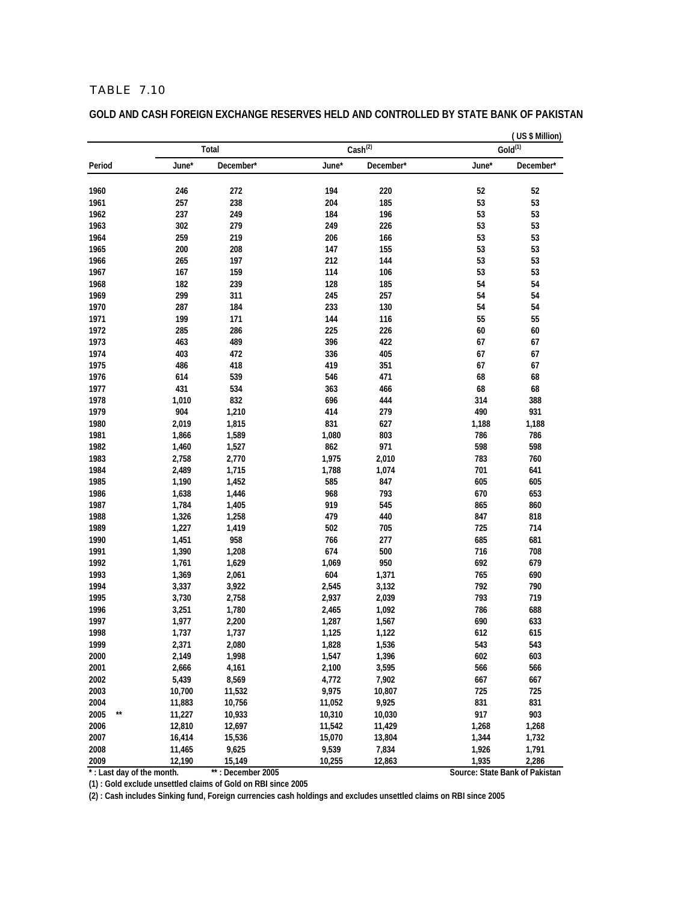**GOLD AND CASH FOREIGN EXCHANGE RESERVES HELD AND CONTROLLED BY STATE BANK OF PAKISTAN**

|                           |                |                   |        |                     |       | (US \$ Million)<br>$Gold^{(1)}$ |  |  |  |
|---------------------------|----------------|-------------------|--------|---------------------|-------|---------------------------------|--|--|--|
|                           |                | Total             |        | $\text{Cash}^{(2)}$ |       |                                 |  |  |  |
| Period                    | June*          | December*         | June*  | December*           | June* | December*                       |  |  |  |
| 1960                      | 246            | 272               | 194    | 220                 | 52    | 52                              |  |  |  |
| 1961                      | 257            | 238               | 204    | 185                 | 53    | 53                              |  |  |  |
| 1962                      | 237            | 249               | 184    | 196                 | 53    | 53                              |  |  |  |
| 1963                      | 302            | 279               | 249    | 226                 | 53    | 53                              |  |  |  |
| 1964                      | 259            | 219               | 206    | 166                 | 53    | 53                              |  |  |  |
| 1965                      | 200            | 208               | 147    | 155                 | 53    | 53                              |  |  |  |
| 1966                      | 265            | 197               | 212    | 144                 | 53    | 53                              |  |  |  |
| 1967                      | 167            | 159               | 114    | 106                 | 53    | 53                              |  |  |  |
| 1968                      | 182            | 239               | 128    | 185                 | 54    | 54                              |  |  |  |
| 1969                      | 299            | 311               | 245    | 257                 | 54    | 54                              |  |  |  |
| 1970                      | 287            | 184               | 233    | 130                 | 54    | 54                              |  |  |  |
| 1971                      | 199            | 171               | 144    | 116                 | 55    | 55                              |  |  |  |
| 1972                      | 285            | 286               | 225    | 226                 | 60    | 60                              |  |  |  |
| 1973                      | 463            | 489               | 396    | 422                 | 67    | 67                              |  |  |  |
| 1974                      | 403            | 472               | 336    | 405                 | 67    | 67                              |  |  |  |
| 1975                      | 486            | 418               | 419    | 351                 | 67    | 67                              |  |  |  |
| 1976                      | 614            | 539               | 546    | 471                 | 68    | 68                              |  |  |  |
| 1977                      | 431            | 534               | 363    | 466                 | 68    | 68                              |  |  |  |
| 1978                      | 1,010          | 832               | 696    | 444                 | 314   | 388                             |  |  |  |
| 1979                      | 904            | 1,210             | 414    | 279                 | 490   | 931                             |  |  |  |
| 1980                      | 2,019          | 1,815             | 831    | 627                 | 1,188 | 1,188                           |  |  |  |
| 1981                      | 1,866          | 1,589             | 1,080  | 803                 | 786   | 786                             |  |  |  |
| 1982                      | 1,460          | 1,527             | 862    | 971                 | 598   | 598                             |  |  |  |
| 1983                      | 2,758          | 2,770             | 1,975  | 2,010               | 783   | 760                             |  |  |  |
| 1984                      | 2,489          | 1,715             | 1,788  | 1,074               | 701   | 641                             |  |  |  |
| 1985                      | 1,190          | 1,452             | 585    | 847                 | 605   | 605                             |  |  |  |
| 1986                      | 1,638          | 1,446             | 968    | 793                 | 670   | 653                             |  |  |  |
| 1987                      | 1,784          | 1,405             | 919    | 545                 | 865   | 860                             |  |  |  |
| 1988                      |                |                   | 479    | 440                 | 847   | 818                             |  |  |  |
| 1989                      | 1,326          | 1,258             | 502    | 705                 | 725   | 714                             |  |  |  |
| 1990                      | 1,227<br>1,451 | 1,419<br>958      | 766    | 277                 | 685   | 681                             |  |  |  |
| 1991                      |                |                   |        |                     |       |                                 |  |  |  |
|                           | 1,390          | 1,208             | 674    | 500                 | 716   | 708                             |  |  |  |
| 1992                      | 1,761          | 1,629             | 1,069  | 950                 | 692   | 679                             |  |  |  |
| 1993<br>1994              | 1,369          | 2,061             | 604    | 1,371               | 765   | 690                             |  |  |  |
|                           | 3,337          | 3,922             | 2,545  | 3,132               | 792   | 790                             |  |  |  |
| 1995                      | 3,730          | 2,758             | 2,937  | 2,039               | 793   | 719                             |  |  |  |
| 1996                      | 3,251          | 1,780             | 2,465  | 1,092               | 786   | 688                             |  |  |  |
| 1997                      | 1,977          | 2,200             | 1,287  | 1,567               | 690   | 633                             |  |  |  |
| 1998                      | 1,737          | 1,737             | 1,125  | 1,122               | 612   | 615                             |  |  |  |
| 1999                      | 2,371          | 2,080             | 1,828  | 1,536               | 543   | 543                             |  |  |  |
| 2000                      | 2,149          | 1,998             | 1,547  | 1,396               | 602   | 603                             |  |  |  |
| 2001                      | 2,666          | 4,161             | 2,100  | 3,595               | 566   | 566                             |  |  |  |
| 2002                      | 5,439          | 8,569             | 4,772  | 7,902               | 667   | 667                             |  |  |  |
| 2003                      | 10,700         | 11,532            | 9,975  | 10,807              | 725   | 725                             |  |  |  |
| 2004                      | 11,883         | 10,756            | 11,052 | 9,925               | 831   | 831                             |  |  |  |
| 2005<br>$\star\star$      | 11,227         | 10,933            | 10,310 | 10,030              | 917   | 903                             |  |  |  |
| 2006                      | 12,810         | 12,697            | 11,542 | 11,429              | 1,268 | 1,268                           |  |  |  |
| 2007                      | 16,414         | 15,536            | 15,070 | 13,804              | 1,344 | 1,732                           |  |  |  |
| 2008                      | 11,465         | 9,625             | 9,539  | 7,834               | 1,926 | 1,791                           |  |  |  |
| 2009                      | 12,190         | 15,149            | 10,255 | 12,863              | 1,935 | 2,286                           |  |  |  |
| *: Last day of the month. |                | **: December 2005 |        |                     |       | Source: State Bank of Pakistan  |  |  |  |

**(1) : Gold exclude unsettled claims of Gold on RBI since 2005**

**(2) : Cash includes Sinking fund, Foreign currencies cash holdings and excludes unsettled claims on RBI since 2005**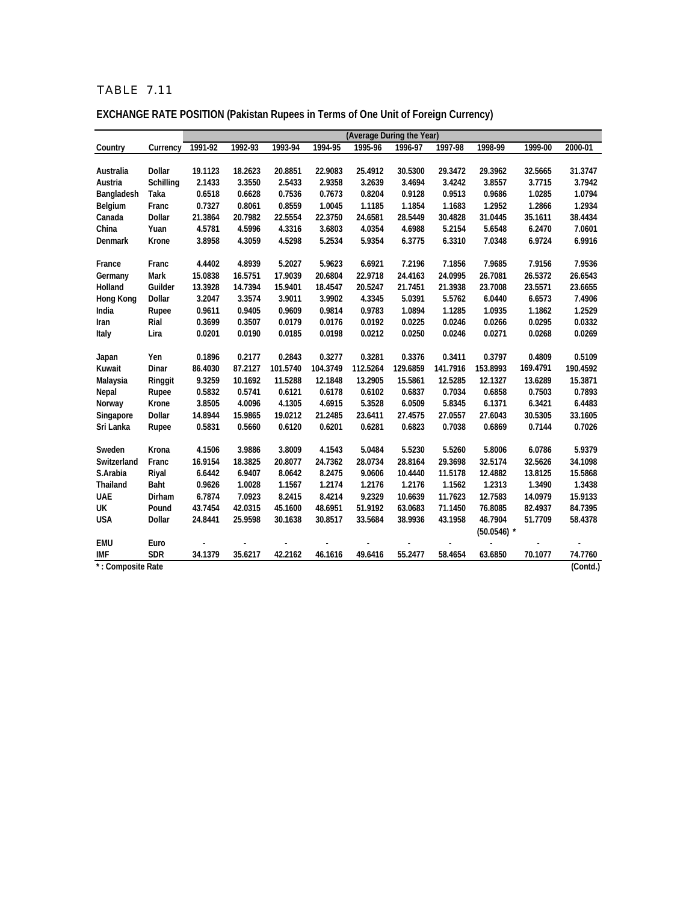| <b>EXCHANGE RATE POSITION (Pakistan Rupees in Terms of One Unit of Foreign Currency)</b> |
|------------------------------------------------------------------------------------------|
| (Average During the Voar)                                                                |

|                   |             | (Average During the Year) |         |          |          |          |          |          |               |          |                        |
|-------------------|-------------|---------------------------|---------|----------|----------|----------|----------|----------|---------------|----------|------------------------|
| Country           | Currency    | 1991-92                   | 1992-93 | 1993-94  | 1994-95  | 1995-96  | 1996-97  | 1997-98  | 1998-99       | 1999-00  | 2000-01                |
|                   |             |                           |         |          |          |          |          |          |               |          |                        |
| Australia         | Dollar      | 19.1123                   | 18.2623 | 20.8851  | 22.9083  | 25.4912  | 30.5300  | 29.3472  | 29.3962       | 32.5665  | 31.3747                |
| Austria           | Schilling   | 2.1433                    | 3.3550  | 2.5433   | 2.9358   | 3.2639   | 3.4694   | 3.4242   | 3.8557        | 3.7715   | 3.7942                 |
| Bangladesh        | Taka        | 0.6518                    | 0.6628  | 0.7536   | 0.7673   | 0.8204   | 0.9128   | 0.9513   | 0.9686        | 1.0285   | 1.0794                 |
| Belgium           | Franc       | 0.7327                    | 0.8061  | 0.8559   | 1.0045   | 1.1185   | 1.1854   | 1.1683   | 1.2952        | 1.2866   | 1.2934                 |
| Canada            | Dollar      | 21.3864                   | 20.7982 | 22.5554  | 22.3750  | 24.6581  | 28.5449  | 30.4828  | 31.0445       | 35.1611  | 38.4434                |
| China             | Yuan        | 4.5781                    | 4.5996  | 4.3316   | 3.6803   | 4.0354   | 4.6988   | 5.2154   | 5.6548        | 6.2470   | 7.0601                 |
| Denmark           | Krone       | 3.8958                    | 4.3059  | 4.5298   | 5.2534   | 5.9354   | 6.3775   | 6.3310   | 7.0348        | 6.9724   | 6.9916                 |
| France            | Franc       | 4.4402                    | 4.8939  | 5.2027   | 5.9623   | 6.6921   | 7.2196   | 7.1856   | 7.9685        | 7.9156   | 7.9536                 |
| Germany           | Mark        | 15.0838                   | 16.5751 | 17.9039  | 20.6804  | 22.9718  | 24.4163  | 24.0995  | 26.7081       | 26.5372  | 26.6543                |
| Holland           | Guilder     | 13.3928                   | 14.7394 | 15.9401  | 18.4547  | 20.5247  | 21.7451  | 21.3938  | 23.7008       | 23.5571  | 23.6655                |
| Hong Kong         | Dollar      | 3.2047                    | 3.3574  | 3.9011   | 3.9902   | 4.3345   | 5.0391   | 5.5762   | 6.0440        | 6.6573   | 7.4906                 |
| India             | Rupee       | 0.9611                    | 0.9405  | 0.9609   | 0.9814   | 0.9783   | 1.0894   | 1.1285   | 1.0935        | 1.1862   | 1.2529                 |
| Iran              | Rial        | 0.3699                    | 0.3507  | 0.0179   | 0.0176   | 0.0192   | 0.0225   | 0.0246   | 0.0266        | 0.0295   | 0.0332                 |
| Italy             | Lira        | 0.0201                    | 0.0190  | 0.0185   | 0.0198   | 0.0212   | 0.0250   | 0.0246   | 0.0271        | 0.0268   | 0.0269                 |
|                   |             |                           |         |          |          |          |          |          |               |          |                        |
| Japan             | Yen         | 0.1896                    | 0.2177  | 0.2843   | 0.3277   | 0.3281   | 0.3376   | 0.3411   | 0.3797        | 0.4809   | 0.5109                 |
| Kuwait            | Dinar       | 86.4030                   | 87.2127 | 101.5740 | 104.3749 | 112.5264 | 129.6859 | 141.7916 | 153.8993      | 169.4791 | 190.4592               |
| Malaysia          | Ringgit     | 9.3259                    | 10.1692 | 11.5288  | 12.1848  | 13.2905  | 15.5861  | 12.5285  | 12.1327       | 13.6289  | 15.3871                |
| Nepal             | Rupee       | 0.5832                    | 0.5741  | 0.6121   | 0.6178   | 0.6102   | 0.6837   | 0.7034   | 0.6858        | 0.7503   | 0.7893                 |
| Norway            | Krone       | 3.8505                    | 4.0096  | 4.1305   | 4.6915   | 5.3528   | 6.0509   | 5.8345   | 6.1371        | 6.3421   | 6.4483                 |
| Singapore         | Dollar      | 14.8944                   | 15.9865 | 19.0212  | 21.2485  | 23.6411  | 27.4575  | 27.0557  | 27.6043       | 30.5305  | 33.1605                |
| Sri Lanka         | Rupee       | 0.5831                    | 0.5660  | 0.6120   | 0.6201   | 0.6281   | 0.6823   | 0.7038   | 0.6869        | 0.7144   | 0.7026                 |
| Sweden            | Krona       | 4.1506                    | 3.9886  | 3.8009   | 4.1543   | 5.0484   | 5.5230   | 5.5260   | 5.8006        | 6.0786   | 5.9379                 |
| Switzerland       | Franc       | 16.9154                   | 18.3825 | 20.8077  | 24.7362  | 28.0734  | 28.8164  | 29.3698  | 32.5174       | 32.5626  | 34.1098                |
| S.Arabia          | Riyal       | 6.6442                    | 6.9407  | 8.0642   | 8.2475   | 9.0606   | 10.4440  | 11.5178  | 12.4882       | 13.8125  | 15.5868                |
| Thailand          | <b>Baht</b> | 0.9626                    | 1.0028  | 1.1567   | 1.2174   | 1.2176   | 1.2176   | 1.1562   | 1.2313        | 1.3490   | 1.3438                 |
| <b>UAE</b>        | Dirham      | 6.7874                    | 7.0923  | 8.2415   | 8.4214   | 9.2329   | 10.6639  | 11.7623  | 12.7583       | 14.0979  | 15.9133                |
| UK                | Pound       | 43.7454                   | 42.0315 | 45.1600  | 48.6951  | 51.9192  | 63.0683  | 71.1450  | 76.8085       | 82.4937  | 84.7395                |
| <b>USA</b>        | Dollar      | 24.8441                   | 25.9598 | 30.1638  | 30.8517  | 33.5684  | 38.9936  | 43.1958  | 46.7904       | 51.7709  | 58.4378                |
|                   |             |                           |         |          |          |          |          |          | $(50.0546)$ * |          |                        |
| <b>EMU</b>        | Euro        |                           |         |          |          |          |          |          |               |          |                        |
| <b>IMF</b>        | <b>SDR</b>  | 34.1379                   | 35.6217 | 42.2162  | 46.1616  | 49.6416  | 55.2477  | 58.4654  | 63.6850       | 70.1077  | 74.7760                |
| *: Composite Rate |             |                           |         |          |          |          |          |          |               |          | $\overline{(C}$ ontd.) |